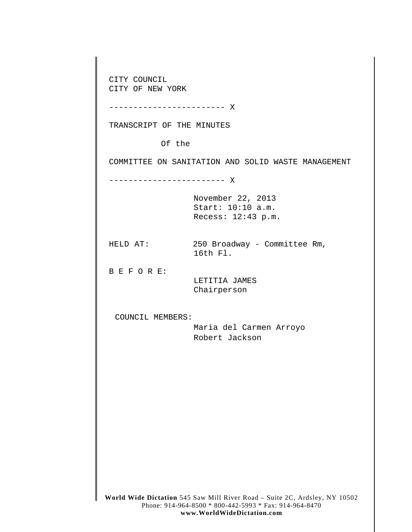**World Wide Dictation** 545 Saw Mill River Road – Suite 2C, Ardsley, NY 10502 Phone: 914-964-8500 \* 800-442-5993 \* Fax: 914-964-8470 CITY COUNCIL CITY OF NEW YORK ------------------------ X TRANSCRIPT OF THE MINUTES Of the COMMITTEE ON SANITATION AND SOLID WASTE MANAGEMENT ------------------------ X November 22, 2013 Start: 10:10 a.m. Recess: 12:43 p.m. HELD AT: 250 Broadway - Committee Rm, 16th Fl. B E F O R E: LETITIA JAMES Chairperson COUNCIL MEMBERS: Maria del Carmen Arroyo Robert Jackson

**www.WorldWideDictation.com**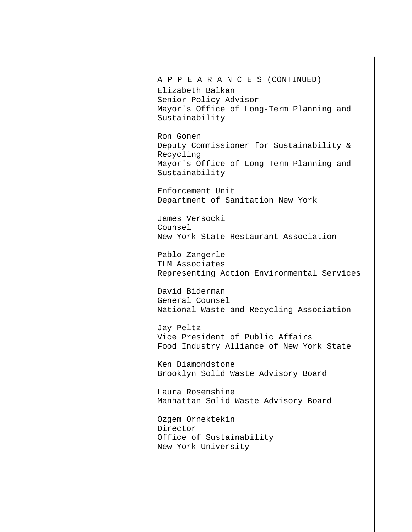A P P E A R A N C E S (CONTINUED)

Elizabeth Balkan Senior Policy Advisor Mayor's Office of Long-Term Planning and Sustainability

Ron Gonen Deputy Commissioner for Sustainability & Recycling Mayor's Office of Long-Term Planning and Sustainability

Enforcement Unit Department of Sanitation New York

James Versocki Counsel New York State Restaurant Association

Pablo Zangerle TLM Associates Representing Action Environmental Services

David Biderman General Counsel National Waste and Recycling Association

Jay Peltz Vice President of Public Affairs Food Industry Alliance of New York State

Ken Diamondstone Brooklyn Solid Waste Advisory Board

Laura Rosenshine Manhattan Solid Waste Advisory Board

Ozgem Ornektekin Director Office of Sustainability New York University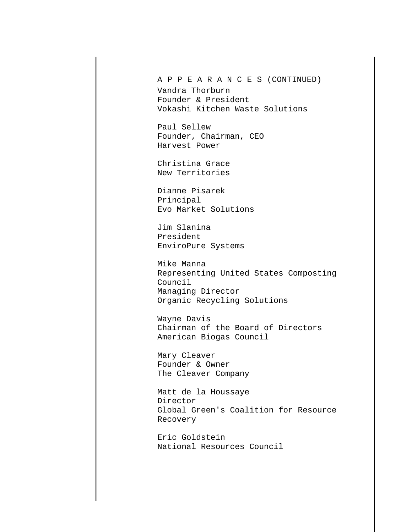A P P E A R A N C E S (CONTINUED)

Vandra Thorburn Founder & President Vokashi Kitchen Waste Solutions

Paul Sellew Founder, Chairman, CEO Harvest Power

Christina Grace New Territories

Dianne Pisarek Principal Evo Market Solutions

Jim Slanina President EnviroPure Systems

Mike Manna Representing United States Composting Council Managing Director Organic Recycling Solutions

Wayne Davis Chairman of the Board of Directors American Biogas Council

Mary Cleaver Founder & Owner The Cleaver Company

Matt de la Houssaye Director Global Green's Coalition for Resource Recovery

Eric Goldstein National Resources Council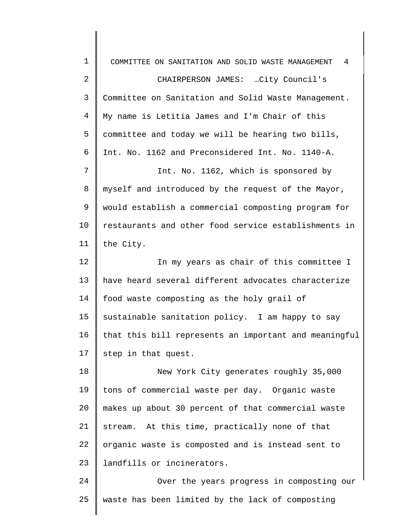| $\mathbf 1$ | 4<br>COMMITTEE ON SANITATION AND SOLID WASTE MANAGEMENT |
|-------------|---------------------------------------------------------|
| 2           | CHAIRPERSON JAMES: City Council's                       |
| 3           | Committee on Sanitation and Solid Waste Management.     |
| 4           | My name is Letitia James and I'm Chair of this          |
| 5           | committee and today we will be hearing two bills,       |
| 6           | Int. No. 1162 and Preconsidered Int. No. 1140-A.        |
| 7           | Int. No. 1162, which is sponsored by                    |
| 8           | myself and introduced by the request of the Mayor,      |
| 9           | would establish a commercial composting program for     |
| 10          | restaurants and other food service establishments in    |
| 11          | the City.                                               |
| 12          | In my years as chair of this committee I                |
| 13          | have heard several different advocates characterize     |
| 14          | food waste composting as the holy grail of              |
| 15          | sustainable sanitation policy. I am happy to say        |
| 16          | that this bill represents an important and meaningful   |
| 17          | step in that quest.                                     |
| 18          | New York City generates roughly 35,000                  |
| 19          | tons of commercial waste per day. Organic waste         |
| 20          | makes up about 30 percent of that commercial waste      |
| 21          | stream. At this time, practically none of that          |
| 22          | organic waste is composted and is instead sent to       |
| 23          | landfills or incinerators.                              |
| 24          | Over the years progress in composting our               |
| 25          | waste has been limited by the lack of composting        |
|             |                                                         |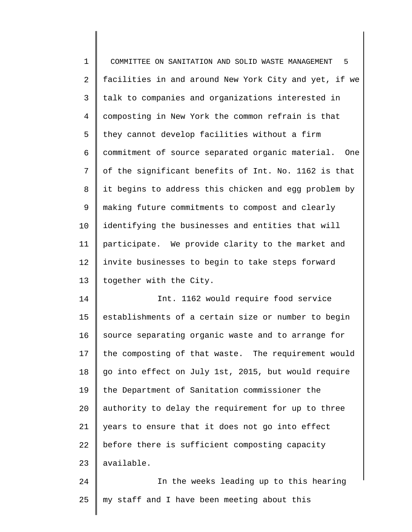1 2 3 4 5 6 7 8 9 10 11 12 13 COMMITTEE ON SANITATION AND SOLID WASTE MANAGEMENT 5 facilities in and around New York City and yet, if we talk to companies and organizations interested in composting in New York the common refrain is that they cannot develop facilities without a firm commitment of source separated organic material. One of the significant benefits of Int. No. 1162 is that it begins to address this chicken and egg problem by making future commitments to compost and clearly identifying the businesses and entities that will participate. We provide clarity to the market and invite businesses to begin to take steps forward together with the City.

14 15 16 17 18 19 20 21 22 23 Int. 1162 would require food service establishments of a certain size or number to begin source separating organic waste and to arrange for the composting of that waste. The requirement would go into effect on July 1st, 2015, but would require the Department of Sanitation commissioner the authority to delay the requirement for up to three years to ensure that it does not go into effect before there is sufficient composting capacity available.

24 25 In the weeks leading up to this hearing my staff and I have been meeting about this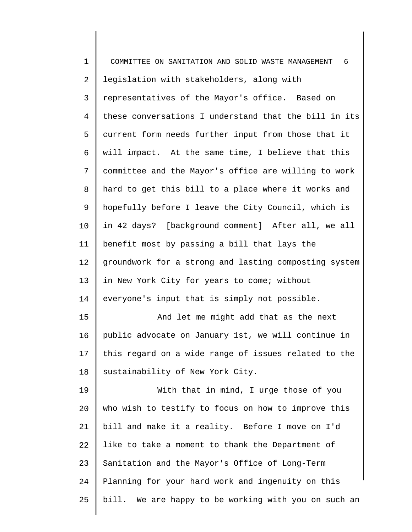| $\mathbf 1$    | COMMITTEE ON SANITATION AND SOLID WASTE MANAGEMENT<br>6 |
|----------------|---------------------------------------------------------|
| 2              | legislation with stakeholders, along with               |
| 3              | representatives of the Mayor's office. Based on         |
| $\overline{4}$ | these conversations I understand that the bill in its   |
| 5              | current form needs further input from those that it     |
| 6              | will impact. At the same time, I believe that this      |
| 7              | committee and the Mayor's office are willing to work    |
| 8              | hard to get this bill to a place where it works and     |
| 9              | hopefully before I leave the City Council, which is     |
| $10 \,$        | in 42 days? [background comment] After all, we all      |
| 11             | benefit most by passing a bill that lays the            |
| 12             | groundwork for a strong and lasting composting system   |
| 13             | in New York City for years to come; without             |
| 14             | everyone's input that is simply not possible.           |
| 15             | And let me might add that as the next                   |
| 16             | public advocate on January 1st, we will continue in     |
| 17             | this regard on a wide range of issues related to the    |
| 18             | sustainability of New York City.                        |
| 19             | With that in mind, I urge those of you                  |
| 20             | who wish to testify to focus on how to improve this     |
| 21             | bill and make it a reality. Before I move on I'd        |
| 22             | like to take a moment to thank the Department of        |
| 23             | Sanitation and the Mayor's Office of Long-Term          |
| 24             | Planning for your hard work and ingenuity on this       |
| 25             | bill. We are happy to be working with you on such an    |
|                |                                                         |

∥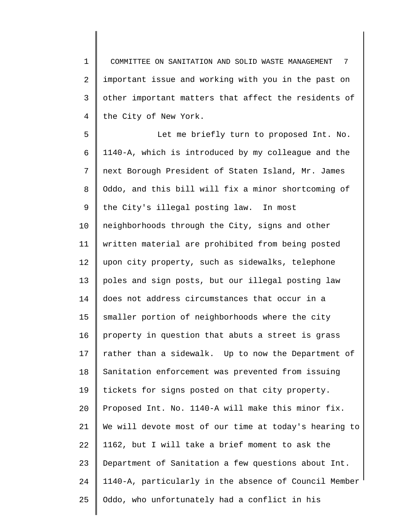1 2 3 4 COMMITTEE ON SANITATION AND SOLID WASTE MANAGEMENT 7 important issue and working with you in the past on other important matters that affect the residents of the City of New York.

5 6 7 8 9 10 11 12 13 14 15 16 17 18 19 20 21 22 23 24 25 Let me briefly turn to proposed Int. No. 1140-A, which is introduced by my colleague and the next Borough President of Staten Island, Mr. James Oddo, and this bill will fix a minor shortcoming of the City's illegal posting law. In most neighborhoods through the City, signs and other written material are prohibited from being posted upon city property, such as sidewalks, telephone poles and sign posts, but our illegal posting law does not address circumstances that occur in a smaller portion of neighborhoods where the city property in question that abuts a street is grass rather than a sidewalk. Up to now the Department of Sanitation enforcement was prevented from issuing tickets for signs posted on that city property. Proposed Int. No. 1140-A will make this minor fix. We will devote most of our time at today's hearing to 1162, but I will take a brief moment to ask the Department of Sanitation a few questions about Int. 1140-A, particularly in the absence of Council Member Oddo, who unfortunately had a conflict in his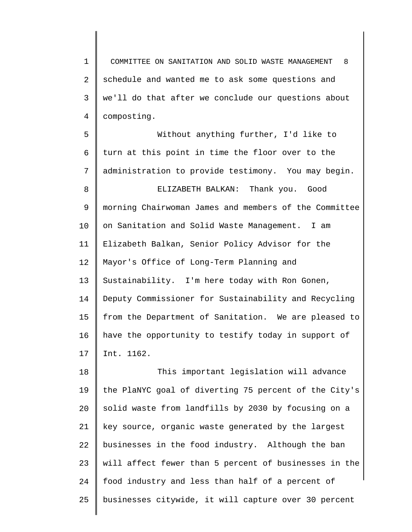1 2 3 4 COMMITTEE ON SANITATION AND SOLID WASTE MANAGEMENT 8 schedule and wanted me to ask some questions and we'll do that after we conclude our questions about composting.

5 6 7 8 Without anything further, I'd like to turn at this point in time the floor over to the administration to provide testimony. You may begin. ELIZABETH BALKAN: Thank you. Good

9 10 11 12 13 14 15 16 17 morning Chairwoman James and members of the Committee on Sanitation and Solid Waste Management. I am Elizabeth Balkan, Senior Policy Advisor for the Mayor's Office of Long-Term Planning and Sustainability. I'm here today with Ron Gonen, Deputy Commissioner for Sustainability and Recycling from the Department of Sanitation. We are pleased to have the opportunity to testify today in support of Int. 1162.

18 19 20 21 22 23 24 25 This important legislation will advance the PlaNYC goal of diverting 75 percent of the City's solid waste from landfills by 2030 by focusing on a key source, organic waste generated by the largest businesses in the food industry. Although the ban will affect fewer than 5 percent of businesses in the food industry and less than half of a percent of businesses citywide, it will capture over 30 percent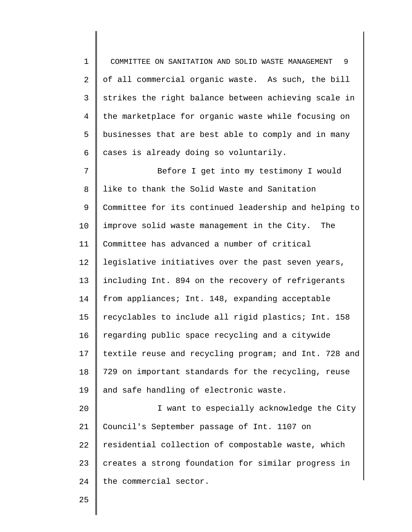1 2 3 4 5 6 COMMITTEE ON SANITATION AND SOLID WASTE MANAGEMENT 9 of all commercial organic waste. As such, the bill strikes the right balance between achieving scale in the marketplace for organic waste while focusing on businesses that are best able to comply and in many cases is already doing so voluntarily.

7 8 9 10 11 12 13 14 15 16 17 18 19 20 21 22 Before I get into my testimony I would like to thank the Solid Waste and Sanitation Committee for its continued leadership and helping to improve solid waste management in the City. The Committee has advanced a number of critical legislative initiatives over the past seven years, including Int. 894 on the recovery of refrigerants from appliances; Int. 148, expanding acceptable recyclables to include all rigid plastics; Int. 158 regarding public space recycling and a citywide textile reuse and recycling program; and Int. 728 and 729 on important standards for the recycling, reuse and safe handling of electronic waste. I want to especially acknowledge the City Council's September passage of Int. 1107 on residential collection of compostable waste, which

23 24 creates a strong foundation for similar progress in the commercial sector.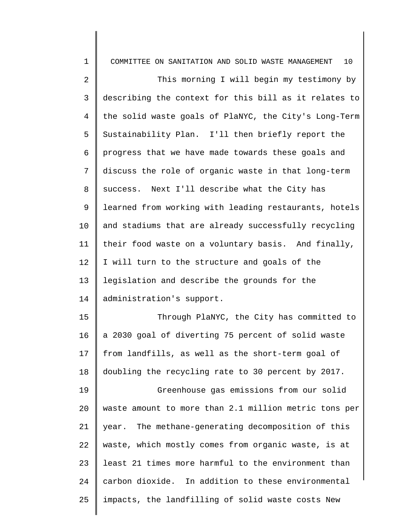| $1\,$          | 10<br>COMMITTEE ON SANITATION AND SOLID WASTE MANAGEMENT |
|----------------|----------------------------------------------------------|
| $\sqrt{2}$     | This morning I will begin my testimony by                |
| $\mathsf{3}$   | describing the context for this bill as it relates to    |
| $\overline{4}$ | the solid waste goals of PlaNYC, the City's Long-Term    |
| 5              | Sustainability Plan. I'll then briefly report the        |
| 6              | progress that we have made towards these goals and       |
| 7              | discuss the role of organic waste in that long-term      |
| 8              | success. Next I'll describe what the City has            |
| 9              | learned from working with leading restaurants, hotels    |
| 10             | and stadiums that are already successfully recycling     |
| 11             | their food waste on a voluntary basis. And finally,      |
| 12             | I will turn to the structure and goals of the            |
| 13             | legislation and describe the grounds for the             |
| 14             | administration's support.                                |
| 15             | Through PlaNYC, the City has committed to                |
| 16             | a 2030 goal of diverting 75 percent of solid waste       |
| 17             | from landfills, as well as the short-term goal of        |
| 18             | doubling the recycling rate to 30 percent by 2017.       |
| 19             | Greenhouse gas emissions from our solid                  |
| 20             | waste amount to more than 2.1 million metric tons per    |
| 21             | year. The methane-generating decomposition of this       |
| 22             | waste, which mostly comes from organic waste, is at      |
| 23             | least 21 times more harmful to the environment than      |
| 24             | carbon dioxide. In addition to these environmental       |
| 25             | impacts, the landfilling of solid waste costs New        |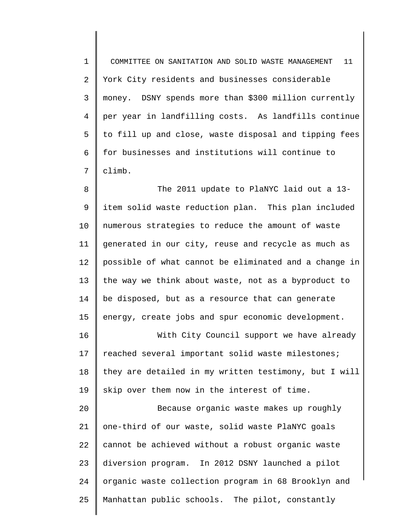1 2 3 4 5 6 7 COMMITTEE ON SANITATION AND SOLID WASTE MANAGEMENT 11 York City residents and businesses considerable money. DSNY spends more than \$300 million currently per year in landfilling costs. As landfills continue to fill up and close, waste disposal and tipping fees for businesses and institutions will continue to climb.

8 9 10 11 12 13 14 15 The 2011 update to PlaNYC laid out a 13 item solid waste reduction plan. This plan included numerous strategies to reduce the amount of waste generated in our city, reuse and recycle as much as possible of what cannot be eliminated and a change in the way we think about waste, not as a byproduct to be disposed, but as a resource that can generate energy, create jobs and spur economic development.

16 17 18 19 With City Council support we have already reached several important solid waste milestones; they are detailed in my written testimony, but I will skip over them now in the interest of time.

20 21 22 23 24 25 Because organic waste makes up roughly one-third of our waste, solid waste PlaNYC goals cannot be achieved without a robust organic waste diversion program. In 2012 DSNY launched a pilot organic waste collection program in 68 Brooklyn and Manhattan public schools. The pilot, constantly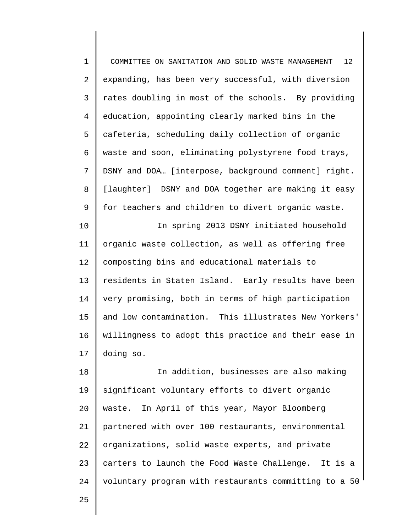1 2 3 4 5 6 7 8 9 COMMITTEE ON SANITATION AND SOLID WASTE MANAGEMENT 12 expanding, has been very successful, with diversion rates doubling in most of the schools. By providing education, appointing clearly marked bins in the cafeteria, scheduling daily collection of organic waste and soon, eliminating polystyrene food trays, DSNY and DOA… [interpose, background comment] right. [laughter] DSNY and DOA together are making it easy for teachers and children to divert organic waste.

10 11 12 13 14 15 16 17 In spring 2013 DSNY initiated household organic waste collection, as well as offering free composting bins and educational materials to residents in Staten Island. Early results have been very promising, both in terms of high participation and low contamination. This illustrates New Yorkers' willingness to adopt this practice and their ease in doing so.

18 19 20 21 22 23 24 In addition, businesses are also making significant voluntary efforts to divert organic waste. In April of this year, Mayor Bloomberg partnered with over 100 restaurants, environmental organizations, solid waste experts, and private carters to launch the Food Waste Challenge. It is a voluntary program with restaurants committing to a 50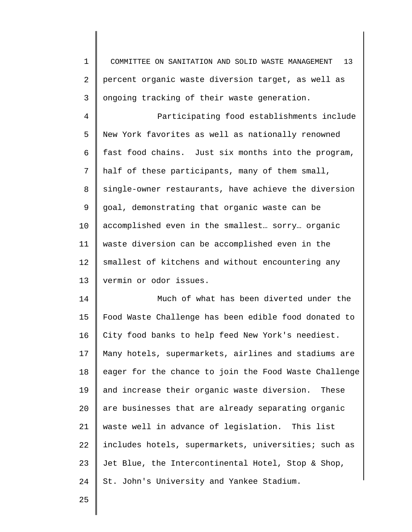1 2 3 COMMITTEE ON SANITATION AND SOLID WASTE MANAGEMENT 13 percent organic waste diversion target, as well as ongoing tracking of their waste generation.

4 5 6 7 8 9 10 11 12 13 Participating food establishments include New York favorites as well as nationally renowned fast food chains. Just six months into the program, half of these participants, many of them small, single-owner restaurants, have achieve the diversion goal, demonstrating that organic waste can be accomplished even in the smallest… sorry… organic waste diversion can be accomplished even in the smallest of kitchens and without encountering any vermin or odor issues.

14 15 16 17 18 19 20 21 22 23 24 Much of what has been diverted under the Food Waste Challenge has been edible food donated to City food banks to help feed New York's neediest. Many hotels, supermarkets, airlines and stadiums are eager for the chance to join the Food Waste Challenge and increase their organic waste diversion. These are businesses that are already separating organic waste well in advance of legislation. This list includes hotels, supermarkets, universities; such as Jet Blue, the Intercontinental Hotel, Stop & Shop, St. John's University and Yankee Stadium.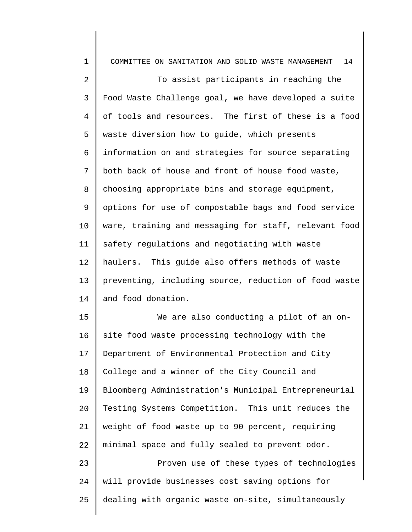| $\mathbf 1$ | COMMITTEE ON SANITATION AND SOLID WASTE MANAGEMENT<br>14 |
|-------------|----------------------------------------------------------|
| 2           | To assist participants in reaching the                   |
| 3           | Food Waste Challenge goal, we have developed a suite     |
| 4           | of tools and resources. The first of these is a food     |
| 5           | waste diversion how to guide, which presents             |
| 6           | information on and strategies for source separating      |
| 7           | both back of house and front of house food waste,        |
| 8           | choosing appropriate bins and storage equipment,         |
| 9           | options for use of compostable bags and food service     |
| 10          | ware, training and messaging for staff, relevant food    |
| 11          | safety regulations and negotiating with waste            |
| 12          | haulers. This guide also offers methods of waste         |
| 13          | preventing, including source, reduction of food waste    |
| 14          | and food donation.                                       |
| 15          | We are also conducting a pilot of an on-                 |
| 16          | site food waste processing technology with the           |
| 17          | Department of Environmental Protection and City          |
| 18          | College and a winner of the City Council and             |
| 19          | Bloomberg Administration's Municipal Entrepreneurial     |
| 20          | Testing Systems Competition. This unit reduces the       |
| 21          | weight of food waste up to 90 percent, requiring         |
| 22          | minimal space and fully sealed to prevent odor.          |
| 23          | Proven use of these types of technologies                |
| 24          | will provide businesses cost saving options for          |
| 25          | dealing with organic waste on-site, simultaneously       |
|             |                                                          |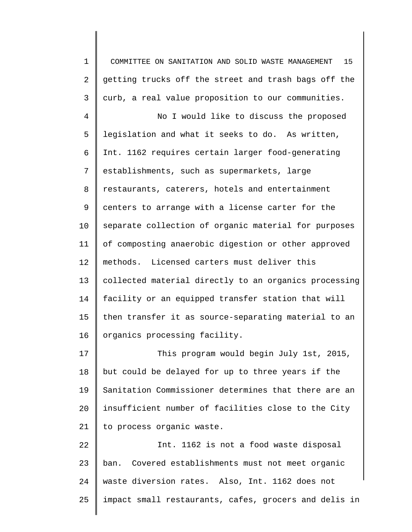1 2 3 4 5 6 7 8 9 10 11 12 13 14 15 16 17 18 19 20 21 22 23 COMMITTEE ON SANITATION AND SOLID WASTE MANAGEMENT 15 getting trucks off the street and trash bags off the curb, a real value proposition to our communities. No I would like to discuss the proposed legislation and what it seeks to do. As written, Int. 1162 requires certain larger food-generating establishments, such as supermarkets, large restaurants, caterers, hotels and entertainment centers to arrange with a license carter for the separate collection of organic material for purposes of composting anaerobic digestion or other approved methods. Licensed carters must deliver this collected material directly to an organics processing facility or an equipped transfer station that will then transfer it as source-separating material to an organics processing facility. This program would begin July 1st, 2015, but could be delayed for up to three years if the Sanitation Commissioner determines that there are an insufficient number of facilities close to the City to process organic waste. Int. 1162 is not a food waste disposal ban. Covered establishments must not meet organic

waste diversion rates. Also, Int. 1162 does not

impact small restaurants, cafes, grocers and delis in

24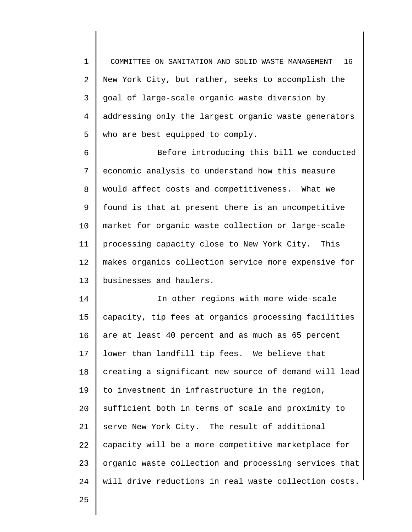1 2 3 4 5 COMMITTEE ON SANITATION AND SOLID WASTE MANAGEMENT 16 New York City, but rather, seeks to accomplish the goal of large-scale organic waste diversion by addressing only the largest organic waste generators who are best equipped to comply.

6 7 8 9 10 11 12 13 Before introducing this bill we conducted economic analysis to understand how this measure would affect costs and competitiveness. What we found is that at present there is an uncompetitive market for organic waste collection or large-scale processing capacity close to New York City. This makes organics collection service more expensive for businesses and haulers.

14 15 16 17 18 19 20 21 22 23 24 In other regions with more wide-scale capacity, tip fees at organics processing facilities are at least 40 percent and as much as 65 percent lower than landfill tip fees. We believe that creating a significant new source of demand will lead to investment in infrastructure in the region, sufficient both in terms of scale and proximity to serve New York City. The result of additional capacity will be a more competitive marketplace for organic waste collection and processing services that will drive reductions in real waste collection costs.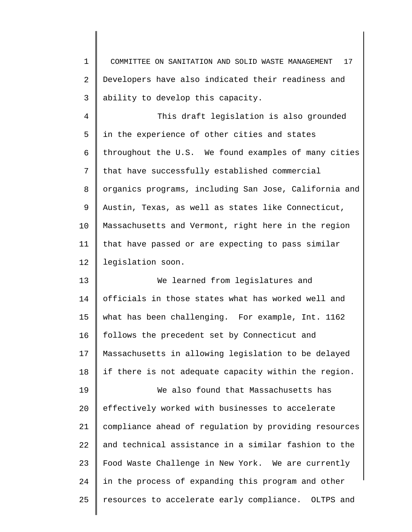1 2 3 COMMITTEE ON SANITATION AND SOLID WASTE MANAGEMENT 17 Developers have also indicated their readiness and ability to develop this capacity.

4 5 6 7 8 9 10 11 12 This draft legislation is also grounded in the experience of other cities and states throughout the U.S. We found examples of many cities that have successfully established commercial organics programs, including San Jose, California and Austin, Texas, as well as states like Connecticut, Massachusetts and Vermont, right here in the region that have passed or are expecting to pass similar legislation soon.

13 14 15 16 17 18 We learned from legislatures and officials in those states what has worked well and what has been challenging. For example, Int. 1162 follows the precedent set by Connecticut and Massachusetts in allowing legislation to be delayed if there is not adequate capacity within the region.

19 20 21 22 23 24 25 We also found that Massachusetts has effectively worked with businesses to accelerate compliance ahead of regulation by providing resources and technical assistance in a similar fashion to the Food Waste Challenge in New York. We are currently in the process of expanding this program and other resources to accelerate early compliance. OLTPS and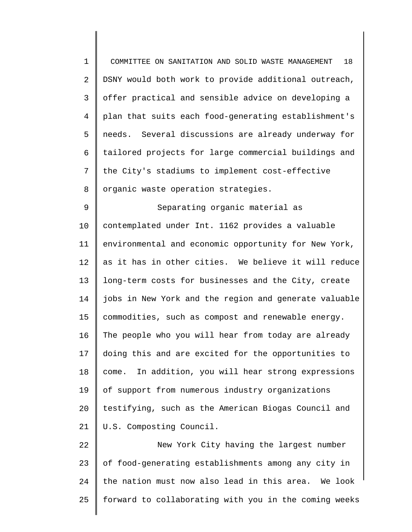1 2 3 4 5 6 7 8 COMMITTEE ON SANITATION AND SOLID WASTE MANAGEMENT 18 DSNY would both work to provide additional outreach, offer practical and sensible advice on developing a plan that suits each food-generating establishment's needs. Several discussions are already underway for tailored projects for large commercial buildings and the City's stadiums to implement cost-effective organic waste operation strategies.

9 10 11 12 13 14 15 16 17 18 19 20 21 Separating organic material as contemplated under Int. 1162 provides a valuable environmental and economic opportunity for New York, as it has in other cities. We believe it will reduce long-term costs for businesses and the City, create jobs in New York and the region and generate valuable commodities, such as compost and renewable energy. The people who you will hear from today are already doing this and are excited for the opportunities to come. In addition, you will hear strong expressions of support from numerous industry organizations testifying, such as the American Biogas Council and U.S. Composting Council.

22 23 24 25 New York City having the largest number of food-generating establishments among any city in the nation must now also lead in this area. We look forward to collaborating with you in the coming weeks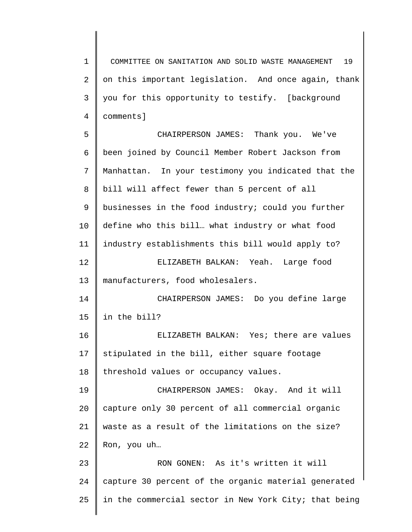1 2 3 4 COMMITTEE ON SANITATION AND SOLID WASTE MANAGEMENT 19 on this important legislation. And once again, thank you for this opportunity to testify. [background comments]

5 6 7 8 9 10 11 12 13 14 15 16 17 18 19 20 21 22 23 24 25 CHAIRPERSON JAMES: Thank you. We've been joined by Council Member Robert Jackson from Manhattan. In your testimony you indicated that the bill will affect fewer than 5 percent of all businesses in the food industry; could you further define who this bill… what industry or what food industry establishments this bill would apply to? ELIZABETH BALKAN: Yeah. Large food manufacturers, food wholesalers. CHAIRPERSON JAMES: Do you define large in the bill? ELIZABETH BALKAN: Yes; there are values stipulated in the bill, either square footage threshold values or occupancy values. CHAIRPERSON JAMES: Okay. And it will capture only 30 percent of all commercial organic waste as a result of the limitations on the size? Ron, you uh… RON GONEN: As it's written it will capture 30 percent of the organic material generated in the commercial sector in New York City; that being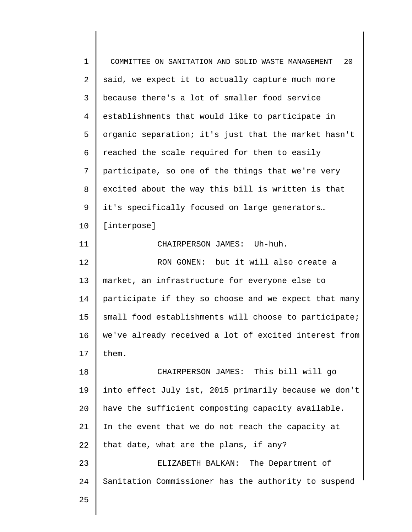| $\mathbf 1$ | 20<br>COMMITTEE ON SANITATION AND SOLID WASTE MANAGEMENT |
|-------------|----------------------------------------------------------|
| 2           | said, we expect it to actually capture much more         |
| 3           | because there's a lot of smaller food service            |
| 4           | establishments that would like to participate in         |
| 5           | organic separation; it's just that the market hasn't     |
| 6           | reached the scale required for them to easily            |
| 7           | participate, so one of the things that we're very        |
| 8           | excited about the way this bill is written is that       |
| 9           | it's specifically focused on large generators            |
| 10          | [interpose]                                              |
| 11          | CHAIRPERSON JAMES: Uh-huh.                               |
| 12          | RON GONEN: but it will also create a                     |
| 13          | market, an infrastructure for everyone else to           |
| 14          | participate if they so choose and we expect that many    |
| 15          | small food establishments will choose to participate;    |
| 16          | we've already received a lot of excited interest from    |
| 17          | them.                                                    |
| 18          | CHAIRPERSON JAMES: This bill will go                     |
| 19          | into effect July 1st, 2015 primarily because we don't    |
| 20          | have the sufficient composting capacity available.       |
| 21          | In the event that we do not reach the capacity at        |
| 22          | that date, what are the plans, if any?                   |
| 23          | ELIZABETH BALKAN: The Department of                      |
| 24          | Sanitation Commissioner has the authority to suspend     |
| 25          |                                                          |
|             |                                                          |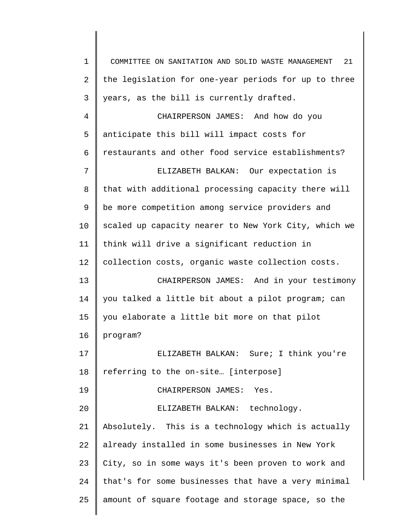1 2 3 4 5 6 7 8 9 10 11 12 13 14 15 16 17 18 19 20 21 22 23 24 25 COMMITTEE ON SANITATION AND SOLID WASTE MANAGEMENT 21 the legislation for one-year periods for up to three years, as the bill is currently drafted. CHAIRPERSON JAMES: And how do you anticipate this bill will impact costs for restaurants and other food service establishments? ELIZABETH BALKAN: Our expectation is that with additional processing capacity there will be more competition among service providers and scaled up capacity nearer to New York City, which we think will drive a significant reduction in collection costs, organic waste collection costs. CHAIRPERSON JAMES: And in your testimony you talked a little bit about a pilot program; can you elaborate a little bit more on that pilot program? ELIZABETH BALKAN: Sure; I think you're referring to the on-site… [interpose] CHAIRPERSON JAMES: Yes. ELIZABETH BALKAN: technology. Absolutely. This is a technology which is actually already installed in some businesses in New York City, so in some ways it's been proven to work and that's for some businesses that have a very minimal amount of square footage and storage space, so the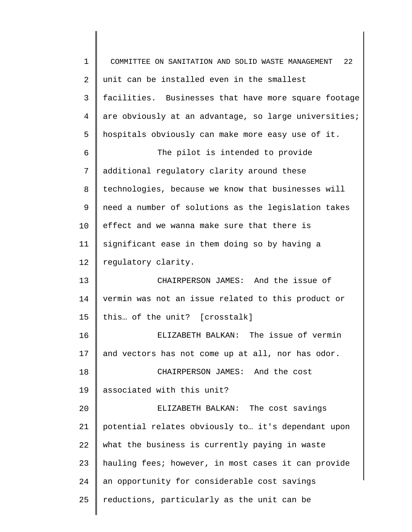1 2 3 4 5 6 7 8 9 10 11 12 13 14 15 16 17 18 19 20 21 22 23 24 25 COMMITTEE ON SANITATION AND SOLID WASTE MANAGEMENT 22 unit can be installed even in the smallest facilities. Businesses that have more square footage are obviously at an advantage, so large universities; hospitals obviously can make more easy use of it. The pilot is intended to provide additional regulatory clarity around these technologies, because we know that businesses will need a number of solutions as the legislation takes effect and we wanna make sure that there is significant ease in them doing so by having a regulatory clarity. CHAIRPERSON JAMES: And the issue of vermin was not an issue related to this product or this… of the unit? [crosstalk] ELIZABETH BALKAN: The issue of vermin and vectors has not come up at all, nor has odor. CHAIRPERSON JAMES: And the cost associated with this unit? ELIZABETH BALKAN: The cost savings potential relates obviously to… it's dependant upon what the business is currently paying in waste hauling fees; however, in most cases it can provide an opportunity for considerable cost savings reductions, particularly as the unit can be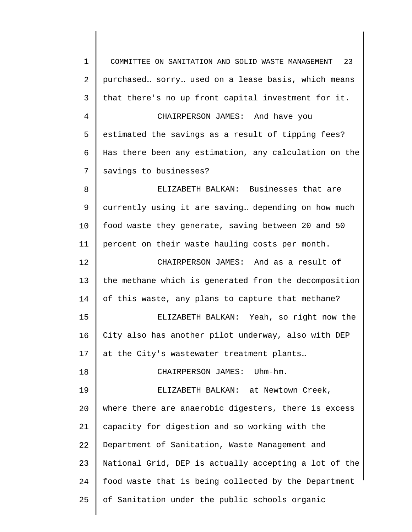1 2 3 4 5 6 7 8 9 10 11 12 13 14 15 16 17 18 19 20 21 22 23 24 25 COMMITTEE ON SANITATION AND SOLID WASTE MANAGEMENT 23 purchased… sorry… used on a lease basis, which means that there's no up front capital investment for it. CHAIRPERSON JAMES: And have you estimated the savings as a result of tipping fees? Has there been any estimation, any calculation on the savings to businesses? ELIZABETH BALKAN: Businesses that are currently using it are saving… depending on how much food waste they generate, saving between 20 and 50 percent on their waste hauling costs per month. CHAIRPERSON JAMES: And as a result of the methane which is generated from the decomposition of this waste, any plans to capture that methane? ELIZABETH BALKAN: Yeah, so right now the City also has another pilot underway, also with DEP at the City's wastewater treatment plants… CHAIRPERSON JAMES: Uhm-hm. ELIZABETH BALKAN: at Newtown Creek, where there are anaerobic digesters, there is excess capacity for digestion and so working with the Department of Sanitation, Waste Management and National Grid, DEP is actually accepting a lot of the food waste that is being collected by the Department of Sanitation under the public schools organic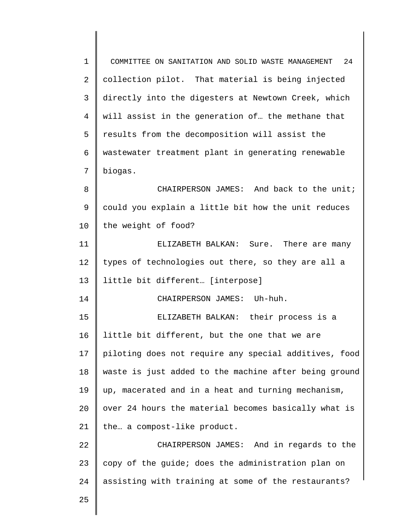1 2 3 4 5 6 7 8 9 10 11 12 13 14 15 16 17 18 19 20 21 22 23 24 25 COMMITTEE ON SANITATION AND SOLID WASTE MANAGEMENT 24 collection pilot. That material is being injected directly into the digesters at Newtown Creek, which will assist in the generation of… the methane that results from the decomposition will assist the wastewater treatment plant in generating renewable biogas. CHAIRPERSON JAMES: And back to the unit; could you explain a little bit how the unit reduces the weight of food? ELIZABETH BALKAN: Sure. There are many types of technologies out there, so they are all a little bit different… [interpose] CHAIRPERSON JAMES: Uh-huh. ELIZABETH BALKAN: their process is a little bit different, but the one that we are piloting does not require any special additives, food waste is just added to the machine after being ground up, macerated and in a heat and turning mechanism, over 24 hours the material becomes basically what is the… a compost-like product. CHAIRPERSON JAMES: And in regards to the copy of the guide; does the administration plan on assisting with training at some of the restaurants?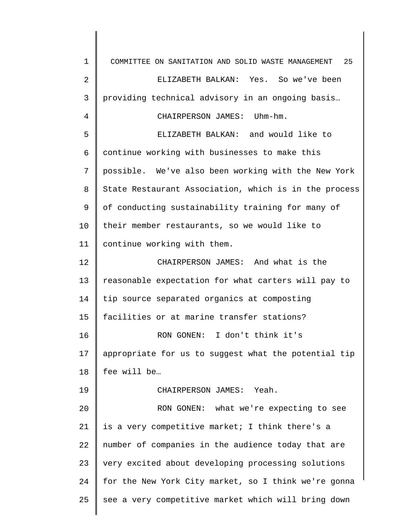1 2 3 4 5 6 7 8 9 10 11 12 13 14 15 16 17 18 19 20 21 22 23 24 25 COMMITTEE ON SANITATION AND SOLID WASTE MANAGEMENT 25 ELIZABETH BALKAN: Yes. So we've been providing technical advisory in an ongoing basis… CHAIRPERSON JAMES: Uhm-hm. ELIZABETH BALKAN: and would like to continue working with businesses to make this possible. We've also been working with the New York State Restaurant Association, which is in the process of conducting sustainability training for many of their member restaurants, so we would like to continue working with them. CHAIRPERSON JAMES: And what is the reasonable expectation for what carters will pay to tip source separated organics at composting facilities or at marine transfer stations? RON GONEN: I don't think it's appropriate for us to suggest what the potential tip fee will be… CHAIRPERSON JAMES: Yeah. RON GONEN: what we're expecting to see is a very competitive market; I think there's a number of companies in the audience today that are very excited about developing processing solutions for the New York City market, so I think we're gonna see a very competitive market which will bring down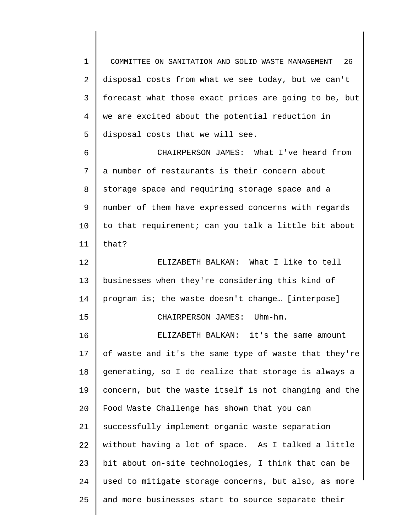1 2 3 4 5 COMMITTEE ON SANITATION AND SOLID WASTE MANAGEMENT 26 disposal costs from what we see today, but we can't forecast what those exact prices are going to be, but we are excited about the potential reduction in disposal costs that we will see.

6 7 8 9 10 11 CHAIRPERSON JAMES: What I've heard from a number of restaurants is their concern about storage space and requiring storage space and a number of them have expressed concerns with regards to that requirement; can you talk a little bit about that?

12 13 14 15 ELIZABETH BALKAN: What I like to tell businesses when they're considering this kind of program is; the waste doesn't change… [interpose] CHAIRPERSON JAMES: Uhm-hm.

16 17 18 19 20 21 22 23 24 25 ELIZABETH BALKAN: it's the same amount of waste and it's the same type of waste that they're generating, so I do realize that storage is always a concern, but the waste itself is not changing and the Food Waste Challenge has shown that you can successfully implement organic waste separation without having a lot of space. As I talked a little bit about on-site technologies, I think that can be used to mitigate storage concerns, but also, as more and more businesses start to source separate their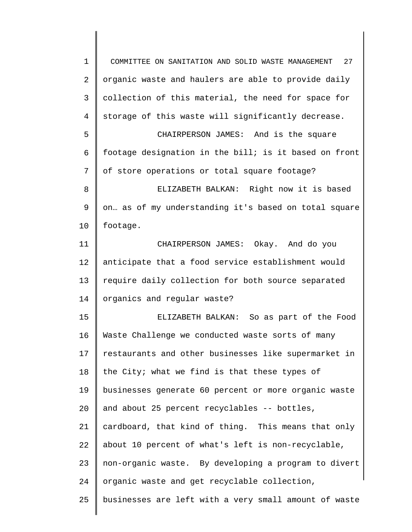1 2 3 4 5 6 7 8 9 10 11 12 13 14 15 16 17 18 19 20 21 22 23 24 25 COMMITTEE ON SANITATION AND SOLID WASTE MANAGEMENT 27 organic waste and haulers are able to provide daily collection of this material, the need for space for storage of this waste will significantly decrease. CHAIRPERSON JAMES: And is the square footage designation in the bill; is it based on front of store operations or total square footage? ELIZABETH BALKAN: Right now it is based on… as of my understanding it's based on total square footage. CHAIRPERSON JAMES: Okay. And do you anticipate that a food service establishment would require daily collection for both source separated organics and regular waste? ELIZABETH BALKAN: So as part of the Food Waste Challenge we conducted waste sorts of many restaurants and other businesses like supermarket in the City; what we find is that these types of businesses generate 60 percent or more organic waste and about 25 percent recyclables -- bottles, cardboard, that kind of thing. This means that only about 10 percent of what's left is non-recyclable, non-organic waste. By developing a program to divert organic waste and get recyclable collection, businesses are left with a very small amount of waste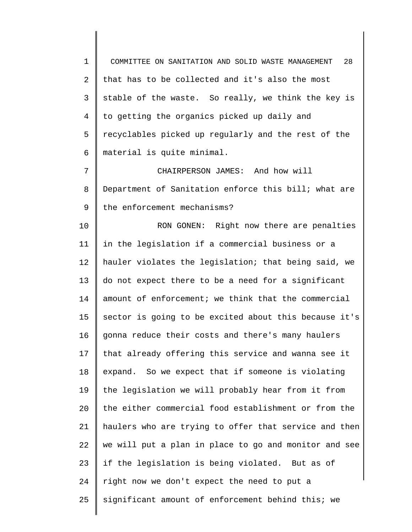1 2 3 4 5 6 COMMITTEE ON SANITATION AND SOLID WASTE MANAGEMENT 28 that has to be collected and it's also the most stable of the waste. So really, we think the key is to getting the organics picked up daily and recyclables picked up regularly and the rest of the material is quite minimal.

7 8 9 CHAIRPERSON JAMES: And how will Department of Sanitation enforce this bill; what are the enforcement mechanisms?

10 11 12 13 14 15 16 17 18 19  $20^{\circ}$ 21 22 23 24 25 RON GONEN: Right now there are penalties in the legislation if a commercial business or a hauler violates the legislation; that being said, we do not expect there to be a need for a significant amount of enforcement; we think that the commercial sector is going to be excited about this because it's gonna reduce their costs and there's many haulers that already offering this service and wanna see it expand. So we expect that if someone is violating the legislation we will probably hear from it from the either commercial food establishment or from the haulers who are trying to offer that service and then we will put a plan in place to go and monitor and see if the legislation is being violated. But as of right now we don't expect the need to put a significant amount of enforcement behind this; we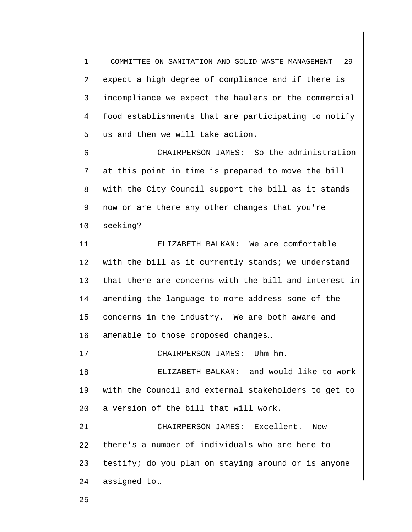1 2 3 4 5 COMMITTEE ON SANITATION AND SOLID WASTE MANAGEMENT 29 expect a high degree of compliance and if there is incompliance we expect the haulers or the commercial food establishments that are participating to notify us and then we will take action.

6 7 8 9 10 CHAIRPERSON JAMES: So the administration at this point in time is prepared to move the bill with the City Council support the bill as it stands now or are there any other changes that you're seeking?

11 12 13 14 15 16 ELIZABETH BALKAN: We are comfortable with the bill as it currently stands; we understand that there are concerns with the bill and interest in amending the language to more address some of the concerns in the industry. We are both aware and amenable to those proposed changes…

17 CHAIRPERSON JAMES: Uhm-hm.

18 19 20 ELIZABETH BALKAN: and would like to work with the Council and external stakeholders to get to a version of the bill that will work.

21 22 23 24 CHAIRPERSON JAMES: Excellent. Now there's a number of individuals who are here to testify; do you plan on staying around or is anyone assigned to…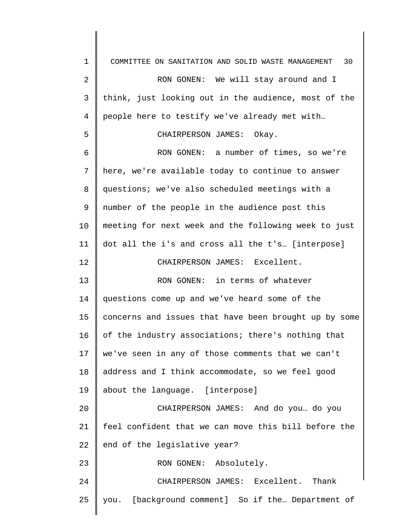1 2 3 4 5 6 7 8 9 10 11 12 13 14 15 16 17 18 19 20 21 22 23 24 25 COMMITTEE ON SANITATION AND SOLID WASTE MANAGEMENT 30 RON GONEN: We will stay around and I think, just looking out in the audience, most of the people here to testify we've already met with… CHAIRPERSON JAMES: Okay. RON GONEN: a number of times, so we're here, we're available today to continue to answer questions; we've also scheduled meetings with a number of the people in the audience post this meeting for next week and the following week to just dot all the i's and cross all the t's… [interpose] CHAIRPERSON JAMES: Excellent. RON GONEN: in terms of whatever questions come up and we've heard some of the concerns and issues that have been brought up by some of the industry associations; there's nothing that we've seen in any of those comments that we can't address and I think accommodate, so we feel good about the language. [interpose] CHAIRPERSON JAMES: And do you… do you feel confident that we can move this bill before the end of the legislative year? RON GONEN: Absolutely. CHAIRPERSON JAMES: Excellent. Thank you. [background comment] So if the… Department of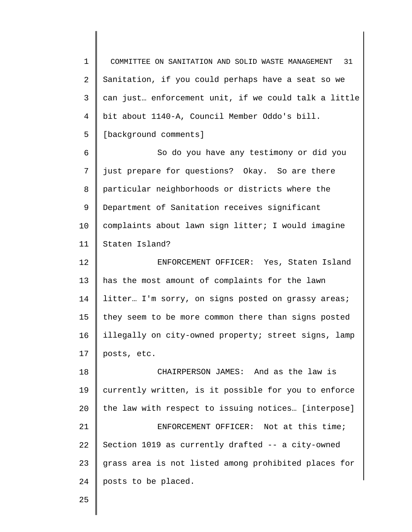1 2 3 4 5 6 7 8 9 10 11 12 13 14 15 16 17 18 19 20 21 22 23 24 COMMITTEE ON SANITATION AND SOLID WASTE MANAGEMENT 31 Sanitation, if you could perhaps have a seat so we can just… enforcement unit, if we could talk a little bit about 1140-A, Council Member Oddo's bill. [background comments] So do you have any testimony or did you just prepare for questions? Okay. So are there particular neighborhoods or districts where the Department of Sanitation receives significant complaints about lawn sign litter; I would imagine Staten Island? ENFORCEMENT OFFICER: Yes, Staten Island has the most amount of complaints for the lawn litter... I'm sorry, on signs posted on grassy areas; they seem to be more common there than signs posted illegally on city-owned property; street signs, lamp posts, etc. CHAIRPERSON JAMES: And as the law is currently written, is it possible for you to enforce the law with respect to issuing notices… [interpose] ENFORCEMENT OFFICER: Not at this time; Section 1019 as currently drafted -- a city-owned grass area is not listed among prohibited places for posts to be placed.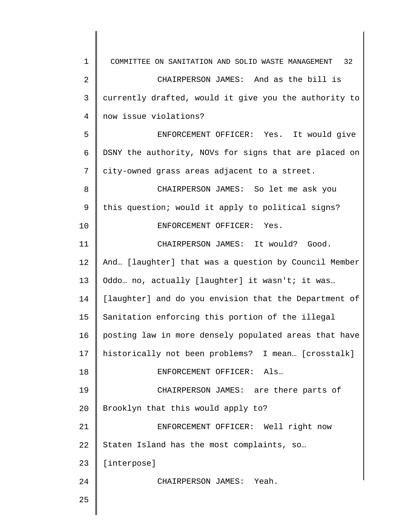| $\mathbf 1$    | COMMITTEE ON SANITATION AND SOLID WASTE MANAGEMENT 32 |
|----------------|-------------------------------------------------------|
| $\overline{2}$ | CHAIRPERSON JAMES: And as the bill is                 |
| 3              | currently drafted, would it give you the authority to |
| 4              | now issue violations?                                 |
| 5              | ENFORCEMENT OFFICER: Yes. It would give               |
| 6              | DSNY the authority, NOVs for signs that are placed on |
| 7              | city-owned grass areas adjacent to a street.          |
| 8              | CHAIRPERSON JAMES: So let me ask you                  |
| 9              | this question; would it apply to political signs?     |
| 10             | ENFORCEMENT OFFICER: Yes.                             |
| 11             | CHAIRPERSON JAMES: It would? Good.                    |
| 12             | And [laughter] that was a question by Council Member  |
| 13             | Oddo no, actually [laughter] it wasn't; it was        |
| 14             | [laughter] and do you envision that the Department of |
| 15             | Sanitation enforcing this portion of the illegal      |
| 16             | posting law in more densely populated areas that have |
| 17             | historically not been problems? I mean [crosstalk]    |
| 18             | ENFORCEMENT OFFICER: Als                              |
| 19             | CHAIRPERSON JAMES: are there parts of                 |
| 20             | Brooklyn that this would apply to?                    |
| 21             | ENFORCEMENT OFFICER: Well right now                   |
| 22             | Staten Island has the most complaints, so             |
| 23             | [interpose]                                           |
| 24             | CHAIRPERSON JAMES: Yeah.                              |
| 25             |                                                       |
|                |                                                       |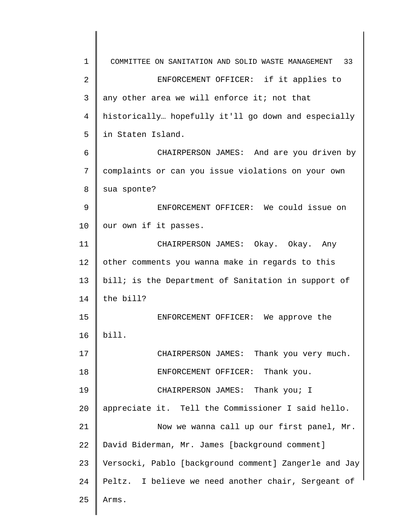1 2 3 4 5 6 7 8 9 10 11 12 13 14 15 16 17 18 19 20 21 22 23 24 25 COMMITTEE ON SANITATION AND SOLID WASTE MANAGEMENT 33 ENFORCEMENT OFFICER: if it applies to any other area we will enforce it; not that historically… hopefully it'll go down and especially in Staten Island. CHAIRPERSON JAMES: And are you driven by complaints or can you issue violations on your own sua sponte? ENFORCEMENT OFFICER: We could issue on our own if it passes. CHAIRPERSON JAMES: Okay. Okay. Any other comments you wanna make in regards to this bill; is the Department of Sanitation in support of the bill? ENFORCEMENT OFFICER: We approve the bill. CHAIRPERSON JAMES: Thank you very much. ENFORCEMENT OFFICER: Thank you. CHAIRPERSON JAMES: Thank you; I appreciate it. Tell the Commissioner I said hello. Now we wanna call up our first panel, Mr. David Biderman, Mr. James [background comment] Versocki, Pablo [background comment] Zangerle and Jay Peltz. I believe we need another chair, Sergeant of Arms.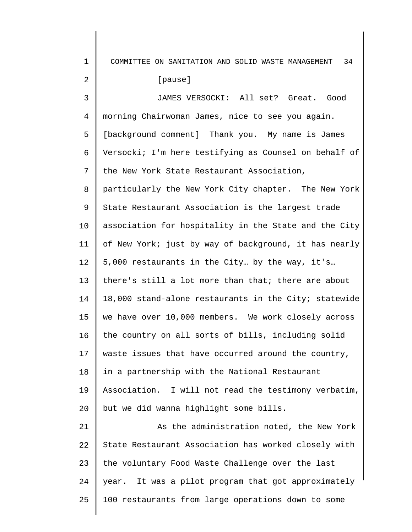1 2 3 4 5 6 7 8 9 10 11 12 13 14 15 16 17 18 19 20 21 22 23 24 25 COMMITTEE ON SANITATION AND SOLID WASTE MANAGEMENT 34 [pause] JAMES VERSOCKI: All set? Great. Good morning Chairwoman James, nice to see you again. [background comment] Thank you. My name is James Versocki; I'm here testifying as Counsel on behalf of the New York State Restaurant Association, particularly the New York City chapter. The New York State Restaurant Association is the largest trade association for hospitality in the State and the City of New York; just by way of background, it has nearly 5,000 restaurants in the City… by the way, it's… there's still a lot more than that; there are about 18,000 stand-alone restaurants in the City; statewide we have over 10,000 members. We work closely across the country on all sorts of bills, including solid waste issues that have occurred around the country, in a partnership with the National Restaurant Association. I will not read the testimony verbatim, but we did wanna highlight some bills. As the administration noted, the New York State Restaurant Association has worked closely with the voluntary Food Waste Challenge over the last year. It was a pilot program that got approximately 100 restaurants from large operations down to some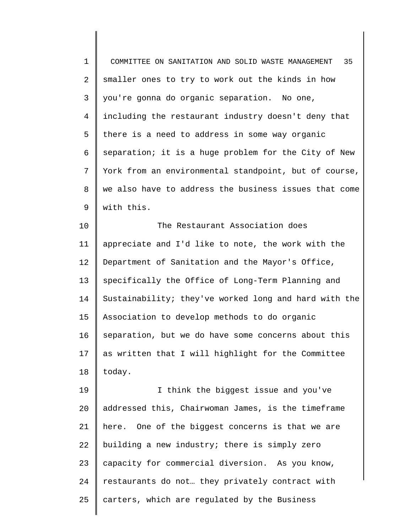1 2 3 4 5 6 7 8 9 COMMITTEE ON SANITATION AND SOLID WASTE MANAGEMENT 35 smaller ones to try to work out the kinds in how you're gonna do organic separation. No one, including the restaurant industry doesn't deny that there is a need to address in some way organic separation; it is a huge problem for the City of New York from an environmental standpoint, but of course, we also have to address the business issues that come with this.

10 11 12 13 14 15 16 17 18 The Restaurant Association does appreciate and I'd like to note, the work with the Department of Sanitation and the Mayor's Office, specifically the Office of Long-Term Planning and Sustainability; they've worked long and hard with the Association to develop methods to do organic separation, but we do have some concerns about this as written that I will highlight for the Committee today.

19 20 21 22 23 24 25 I think the biggest issue and you've addressed this, Chairwoman James, is the timeframe here. One of the biggest concerns is that we are building a new industry; there is simply zero capacity for commercial diversion. As you know, restaurants do not… they privately contract with carters, which are regulated by the Business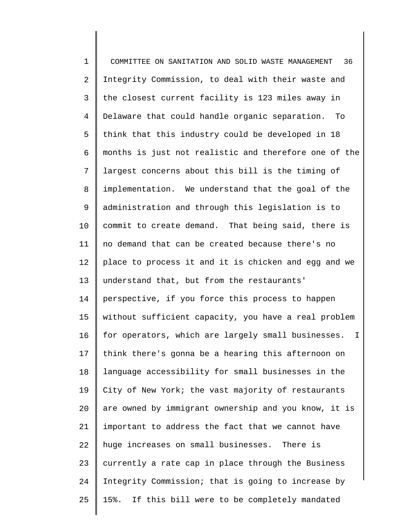1 2 3 4 5 6 7 8 9 10 11 12 13 14 15 16 17 18 19 20 21 22 23 24 25 COMMITTEE ON SANITATION AND SOLID WASTE MANAGEMENT 36 Integrity Commission, to deal with their waste and the closest current facility is 123 miles away in Delaware that could handle organic separation. To think that this industry could be developed in 18 months is just not realistic and therefore one of the largest concerns about this bill is the timing of implementation. We understand that the goal of the administration and through this legislation is to commit to create demand. That being said, there is no demand that can be created because there's no place to process it and it is chicken and egg and we understand that, but from the restaurants' perspective, if you force this process to happen without sufficient capacity, you have a real problem for operators, which are largely small businesses. I think there's gonna be a hearing this afternoon on language accessibility for small businesses in the City of New York; the vast majority of restaurants are owned by immigrant ownership and you know, it is important to address the fact that we cannot have huge increases on small businesses. There is currently a rate cap in place through the Business Integrity Commission; that is going to increase by 15%. If this bill were to be completely mandated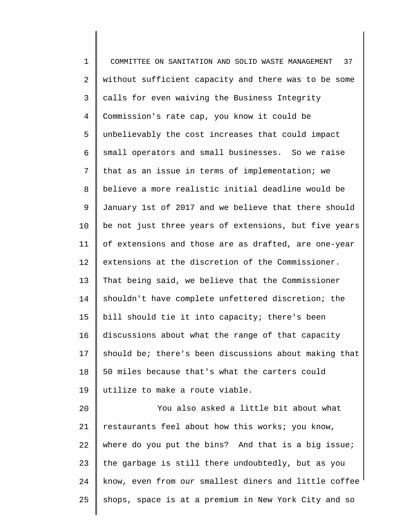1 2 3 4 5 6 7 8 9 10 11 12 13 14 15 16 17 18 19 20 21 22 23 24 COMMITTEE ON SANITATION AND SOLID WASTE MANAGEMENT 37 without sufficient capacity and there was to be some calls for even waiving the Business Integrity Commission's rate cap, you know it could be unbelievably the cost increases that could impact small operators and small businesses. So we raise that as an issue in terms of implementation; we believe a more realistic initial deadline would be January 1st of 2017 and we believe that there should be not just three years of extensions, but five years of extensions and those are as drafted, are one-year extensions at the discretion of the Commissioner. That being said, we believe that the Commissioner shouldn't have complete unfettered discretion; the bill should tie it into capacity; there's been discussions about what the range of that capacity should be; there's been discussions about making that 50 miles because that's what the carters could utilize to make a route viable. You also asked a little bit about what restaurants feel about how this works; you know, where do you put the bins? And that is a big issue; the garbage is still there undoubtedly, but as you know, even from our smallest diners and little coffee

shops, space is at a premium in New York City and so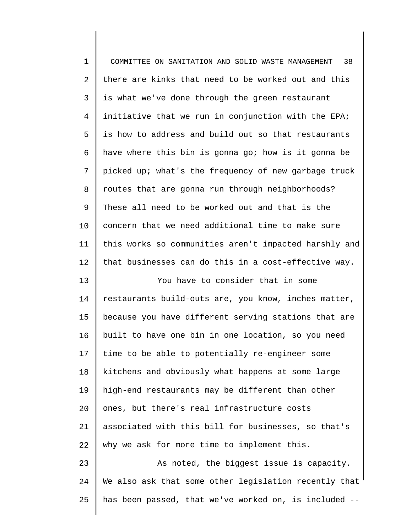| $\mathbf 1$    | 38<br>COMMITTEE ON SANITATION AND SOLID WASTE MANAGEMENT |
|----------------|----------------------------------------------------------|
| 2              | there are kinks that need to be worked out and this      |
| 3              | is what we've done through the green restaurant          |
| $\overline{4}$ | initiative that we run in conjunction with the EPA;      |
| 5              | is how to address and build out so that restaurants      |
| 6              | have where this bin is gonna go; how is it gonna be      |
| 7              | picked up; what's the frequency of new garbage truck     |
| 8              | routes that are gonna run through neighborhoods?         |
| 9              | These all need to be worked out and that is the          |
| 10             | concern that we need additional time to make sure        |
| 11             | this works so communities aren't impacted harshly and    |
| 12             | that businesses can do this in a cost-effective way.     |
| 13             | You have to consider that in some                        |
| 14             | restaurants build-outs are, you know, inches matter,     |
| 15             | because you have different serving stations that are     |
| 16             | built to have one bin in one location, so you need       |
| 17             | time to be able to potentially re-engineer some          |
| 18             | kitchens and obviously what happens at some large        |
| 19             | high-end restaurants may be different than other         |
| 20             | ones, but there's real infrastructure costs              |
| 21             | associated with this bill for businesses, so that's      |
| 22             | why we ask for more time to implement this.              |
| 23             | As noted, the biggest issue is capacity.                 |
| 24             | We also ask that some other legislation recently that    |
| 25             | has been passed, that we've worked on, is included --    |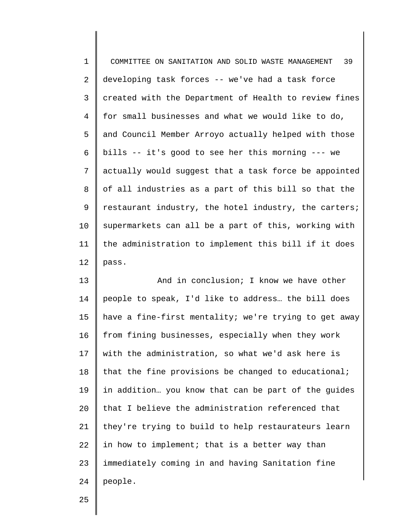| $1\,$          | 39<br>COMMITTEE ON SANITATION AND SOLID WASTE MANAGEMENT |
|----------------|----------------------------------------------------------|
| $\overline{a}$ | developing task forces -- we've had a task force         |
| 3              | created with the Department of Health to review fines    |
| 4              | for small businesses and what we would like to do,       |
| 5              | and Council Member Arroyo actually helped with those     |
| 6              | bills -- it's good to see her this morning --- we        |
| 7              | actually would suggest that a task force be appointed    |
| 8              | of all industries as a part of this bill so that the     |
| 9              | restaurant industry, the hotel industry, the carters;    |
| $10 \,$        | supermarkets can all be a part of this, working with     |
| 11             | the administration to implement this bill if it does     |
| 12             | pass.                                                    |
|                |                                                          |

13 14 15 16 17 18 19 20 21 22 23 24 And in conclusion; I know we have other people to speak, I'd like to address… the bill does have a fine-first mentality; we're trying to get away from fining businesses, especially when they work with the administration, so what we'd ask here is that the fine provisions be changed to educational; in addition… you know that can be part of the guides that I believe the administration referenced that they're trying to build to help restaurateurs learn in how to implement; that is a better way than immediately coming in and having Sanitation fine people.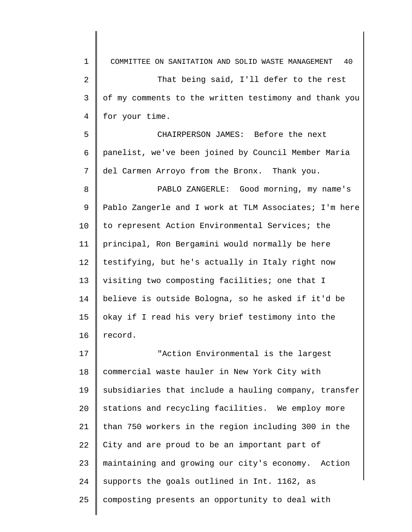1 2 3 4 5 6 7 8 9 10 11 12 13 14 15 16 17 18 19 20 21 22 23 24 25 COMMITTEE ON SANITATION AND SOLID WASTE MANAGEMENT 40 That being said, I'll defer to the rest of my comments to the written testimony and thank you for your time. CHAIRPERSON JAMES: Before the next panelist, we've been joined by Council Member Maria del Carmen Arroyo from the Bronx. Thank you. PABLO ZANGERLE: Good morning, my name's Pablo Zangerle and I work at TLM Associates; I'm here to represent Action Environmental Services; the principal, Ron Bergamini would normally be here testifying, but he's actually in Italy right now visiting two composting facilities; one that I believe is outside Bologna, so he asked if it'd be okay if I read his very brief testimony into the record. "Action Environmental is the largest commercial waste hauler in New York City with subsidiaries that include a hauling company, transfer stations and recycling facilities. We employ more than 750 workers in the region including 300 in the City and are proud to be an important part of maintaining and growing our city's economy. Action supports the goals outlined in Int. 1162, as composting presents an opportunity to deal with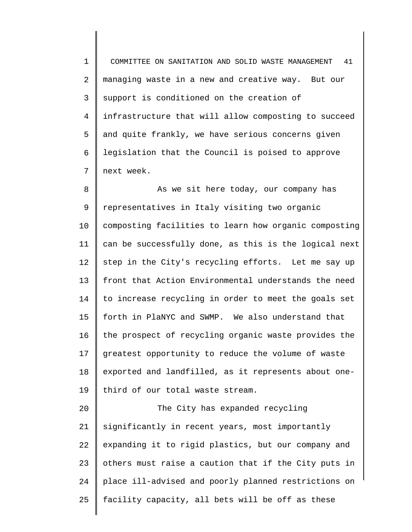1 2 3 4 5 6 7 COMMITTEE ON SANITATION AND SOLID WASTE MANAGEMENT 41 managing waste in a new and creative way. But our support is conditioned on the creation of infrastructure that will allow composting to succeed and quite frankly, we have serious concerns given legislation that the Council is poised to approve next week.

8 9 10 11 12 13 14 15 16 17 18 19 As we sit here today, our company has representatives in Italy visiting two organic composting facilities to learn how organic composting can be successfully done, as this is the logical next step in the City's recycling efforts. Let me say up front that Action Environmental understands the need to increase recycling in order to meet the goals set forth in PlaNYC and SWMP. We also understand that the prospect of recycling organic waste provides the greatest opportunity to reduce the volume of waste exported and landfilled, as it represents about onethird of our total waste stream.

20 21 22 23 24 25 The City has expanded recycling significantly in recent years, most importantly expanding it to rigid plastics, but our company and others must raise a caution that if the City puts in place ill-advised and poorly planned restrictions on facility capacity, all bets will be off as these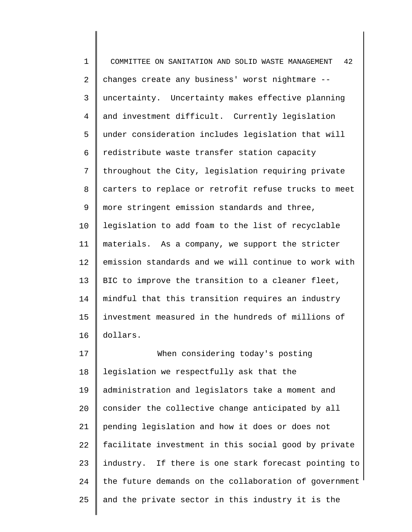1 2 3 4 5 6 7 8 9 10 11 12 13 14 15 16 17 18 COMMITTEE ON SANITATION AND SOLID WASTE MANAGEMENT 42 changes create any business' worst nightmare - uncertainty. Uncertainty makes effective planning and investment difficult. Currently legislation under consideration includes legislation that will redistribute waste transfer station capacity throughout the City, legislation requiring private carters to replace or retrofit refuse trucks to meet more stringent emission standards and three, legislation to add foam to the list of recyclable materials. As a company, we support the stricter emission standards and we will continue to work with BIC to improve the transition to a cleaner fleet, mindful that this transition requires an industry investment measured in the hundreds of millions of dollars. When considering today's posting legislation we respectfully ask that the

19 20 21 22 23 24 25 administration and legislators take a moment and consider the collective change anticipated by all pending legislation and how it does or does not facilitate investment in this social good by private industry. If there is one stark forecast pointing to the future demands on the collaboration of government and the private sector in this industry it is the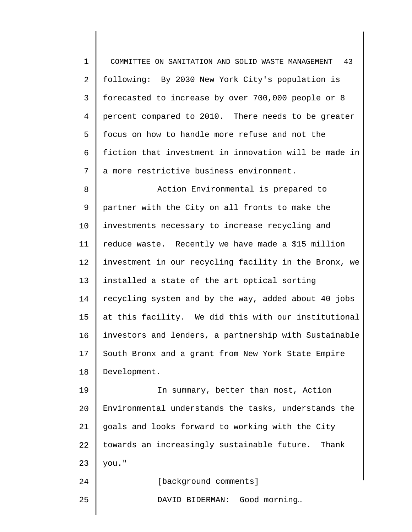1 2 3 4 5 6 7 8 9 10 11 12 13 14 15 16 17 18 19 20 21 22 23 24 COMMITTEE ON SANITATION AND SOLID WASTE MANAGEMENT 43 following: By 2030 New York City's population is forecasted to increase by over 700,000 people or 8 percent compared to 2010. There needs to be greater focus on how to handle more refuse and not the fiction that investment in innovation will be made in a more restrictive business environment. Action Environmental is prepared to partner with the City on all fronts to make the investments necessary to increase recycling and reduce waste. Recently we have made a \$15 million investment in our recycling facility in the Bronx, we installed a state of the art optical sorting recycling system and by the way, added about 40 jobs at this facility. We did this with our institutional investors and lenders, a partnership with Sustainable South Bronx and a grant from New York State Empire Development. In summary, better than most, Action Environmental understands the tasks, understands the goals and looks forward to working with the City towards an increasingly sustainable future. Thank you." [background comments]

25

DAVID BIDERMAN: Good morning…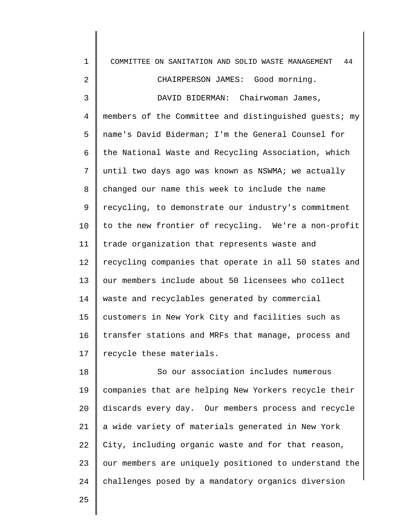| $\mathbf 1$ | COMMITTEE ON SANITATION AND SOLID WASTE MANAGEMENT<br>44 |
|-------------|----------------------------------------------------------|
| 2           | CHAIRPERSON JAMES: Good morning.                         |
| 3           | DAVID BIDERMAN: Chairwoman James,                        |
| 4           | members of the Committee and distinguished guests; my    |
| 5           | name's David Biderman; I'm the General Counsel for       |
| 6           | the National Waste and Recycling Association, which      |
| 7           | until two days ago was known as NSWMA; we actually       |
| 8           | changed our name this week to include the name           |
| 9           | recycling, to demonstrate our industry's commitment      |
| 10          | to the new frontier of recycling. We're a non-profit     |
| 11          | trade organization that represents waste and             |
| 12          | recycling companies that operate in all 50 states and    |
| 13          | our members include about 50 licensees who collect       |
| 14          | waste and recyclables generated by commercial            |
| 15          | customers in New York City and facilities such as        |
| 16          | transfer stations and MRFs that manage, process and      |
| 17          | recycle these materials.                                 |
| 18          | So our association includes numerous                     |
| 19          | companies that are helping New Yorkers recycle their     |
| 20          | discards every day. Our members process and recycle      |
| 21          | a wide variety of materials generated in New York        |
| 22          | City, including organic waste and for that reason,       |
| 23          | our members are uniquely positioned to understand the    |
| 24          | challenges posed by a mandatory organics diversion       |
|             |                                                          |

25

I

 $\mathsf I$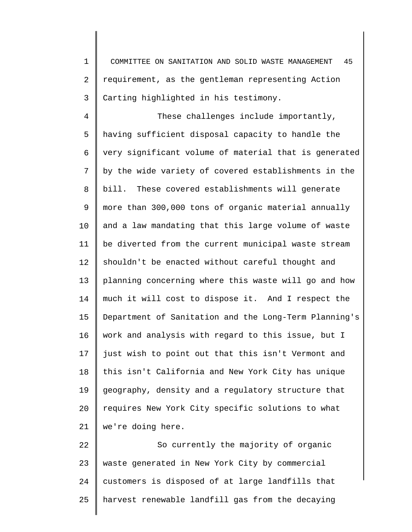1 2 3 COMMITTEE ON SANITATION AND SOLID WASTE MANAGEMENT 45 requirement, as the gentleman representing Action Carting highlighted in his testimony.

4 5 6 7 8 9 10 11 12 13 14 15 16 17 18 19 20 21 These challenges include importantly, having sufficient disposal capacity to handle the very significant volume of material that is generated by the wide variety of covered establishments in the bill. These covered establishments will generate more than 300,000 tons of organic material annually and a law mandating that this large volume of waste be diverted from the current municipal waste stream shouldn't be enacted without careful thought and planning concerning where this waste will go and how much it will cost to dispose it. And I respect the Department of Sanitation and the Long-Term Planning's work and analysis with regard to this issue, but I just wish to point out that this isn't Vermont and this isn't California and New York City has unique geography, density and a regulatory structure that requires New York City specific solutions to what we're doing here.

22 23 24 25 So currently the majority of organic waste generated in New York City by commercial customers is disposed of at large landfills that harvest renewable landfill gas from the decaying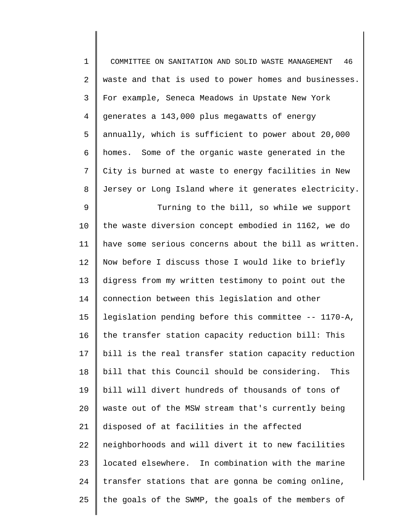1 2 3 4 5 6 7 8 9 10 11 12 13 14 15 16 17 18 19 20 21 22 23 24 25 COMMITTEE ON SANITATION AND SOLID WASTE MANAGEMENT 46 waste and that is used to power homes and businesses. For example, Seneca Meadows in Upstate New York generates a 143,000 plus megawatts of energy annually, which is sufficient to power about 20,000 homes. Some of the organic waste generated in the City is burned at waste to energy facilities in New Jersey or Long Island where it generates electricity. Turning to the bill, so while we support the waste diversion concept embodied in 1162, we do have some serious concerns about the bill as written. Now before I discuss those I would like to briefly digress from my written testimony to point out the connection between this legislation and other legislation pending before this committee -- 1170-A, the transfer station capacity reduction bill: This bill is the real transfer station capacity reduction bill that this Council should be considering. This bill will divert hundreds of thousands of tons of waste out of the MSW stream that's currently being disposed of at facilities in the affected neighborhoods and will divert it to new facilities located elsewhere. In combination with the marine transfer stations that are gonna be coming online, the goals of the SWMP, the goals of the members of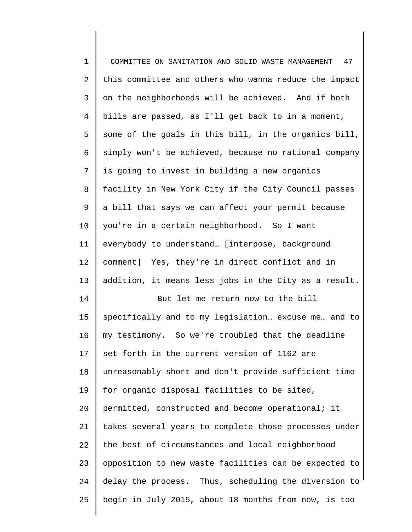| $\mathbf 1$    | COMMITTEE ON SANITATION AND SOLID WASTE MANAGEMENT<br>47 |
|----------------|----------------------------------------------------------|
| $\overline{2}$ | this committee and others who wanna reduce the impact    |
| 3              | on the neighborhoods will be achieved. And if both       |
| $\overline{4}$ | bills are passed, as I'll get back to in a moment,       |
| 5              | some of the goals in this bill, in the organics bill,    |
| 6              | simply won't be achieved, because no rational company    |
| 7              | is going to invest in building a new organics            |
| 8              | facility in New York City if the City Council passes     |
| 9              | a bill that says we can affect your permit because       |
| $10 \,$        | you're in a certain neighborhood. So I want              |
| 11             | everybody to understand [interpose, background           |
| 12             | comment] Yes, they're in direct conflict and in          |
| 13             | addition, it means less jobs in the City as a result.    |
| 14             | But let me return now to the bill                        |
| 15             | specifically and to my legislation excuse me and to      |
| 16             | my testimony. So we're troubled that the deadline        |
| 17             | set forth in the current version of 1162 are             |
| 18             | unreasonably short and don't provide sufficient time     |
| 19             | for organic disposal facilities to be sited,             |
| 20             | permitted, constructed and become operational; it        |
| 21             | takes several years to complete those processes under    |
| 22             | the best of circumstances and local neighborhood         |
| 23             |                                                          |
|                | opposition to new waste facilities can be expected to    |
| 24             | delay the process. Thus, scheduling the diversion to     |
| 25             | begin in July 2015, about 18 months from now, is too     |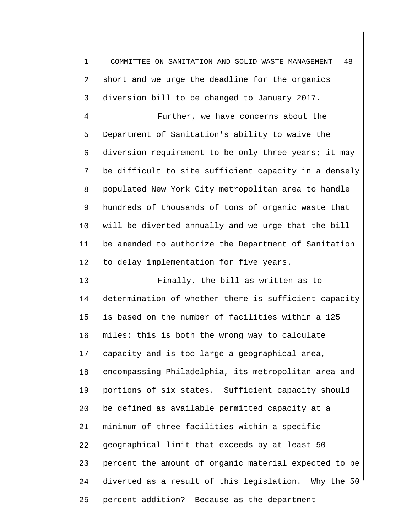1 2 3 4 5 6 7 8 9 10 11 12 13 14 15 16 17 18 19 20 21 22 23 24 25 COMMITTEE ON SANITATION AND SOLID WASTE MANAGEMENT 48 short and we urge the deadline for the organics diversion bill to be changed to January 2017. Further, we have concerns about the Department of Sanitation's ability to waive the diversion requirement to be only three years; it may be difficult to site sufficient capacity in a densely populated New York City metropolitan area to handle hundreds of thousands of tons of organic waste that will be diverted annually and we urge that the bill be amended to authorize the Department of Sanitation to delay implementation for five years. Finally, the bill as written as to determination of whether there is sufficient capacity is based on the number of facilities within a 125 miles; this is both the wrong way to calculate capacity and is too large a geographical area, encompassing Philadelphia, its metropolitan area and portions of six states. Sufficient capacity should be defined as available permitted capacity at a minimum of three facilities within a specific geographical limit that exceeds by at least 50 percent the amount of organic material expected to be diverted as a result of this legislation. Why the 50 percent addition? Because as the department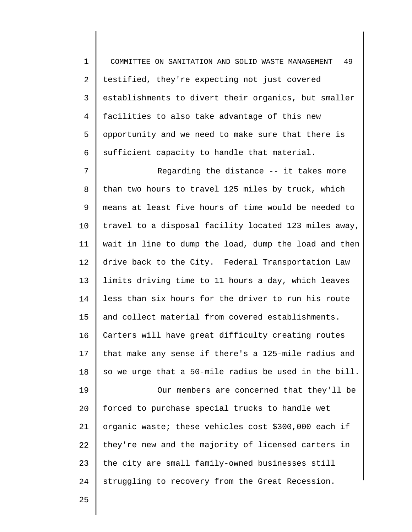1 2 3 4 5 6 COMMITTEE ON SANITATION AND SOLID WASTE MANAGEMENT 49 testified, they're expecting not just covered establishments to divert their organics, but smaller facilities to also take advantage of this new opportunity and we need to make sure that there is sufficient capacity to handle that material.

7 8 9 10 11 12 13 14 15 16 17 18 19 20 21 22 23 24 Regarding the distance -- it takes more than two hours to travel 125 miles by truck, which means at least five hours of time would be needed to travel to a disposal facility located 123 miles away, wait in line to dump the load, dump the load and then drive back to the City. Federal Transportation Law limits driving time to 11 hours a day, which leaves less than six hours for the driver to run his route and collect material from covered establishments. Carters will have great difficulty creating routes that make any sense if there's a 125-mile radius and so we urge that a 50-mile radius be used in the bill. Our members are concerned that they'll be forced to purchase special trucks to handle wet organic waste; these vehicles cost \$300,000 each if they're new and the majority of licensed carters in the city are small family-owned businesses still struggling to recovery from the Great Recession.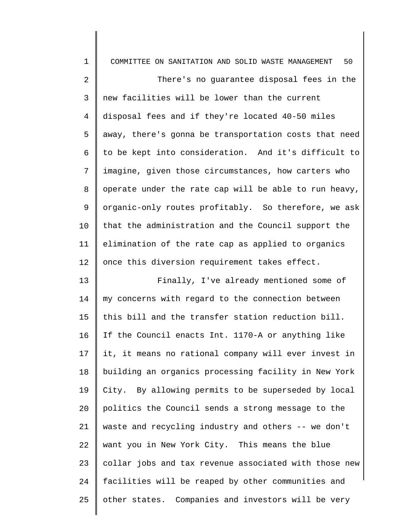| $\mathbf{1}$ | COMMITTEE ON SANITATION AND SOLID WASTE MANAGEMENT<br>50 |
|--------------|----------------------------------------------------------|
| 2            | There's no guarantee disposal fees in the                |
| 3            | new facilities will be lower than the current            |
| 4            | disposal fees and if they're located 40-50 miles         |
| 5            | away, there's gonna be transportation costs that need    |
| 6            | to be kept into consideration. And it's difficult to     |
| 7            | imagine, given those circumstances, how carters who      |
| 8            | operate under the rate cap will be able to run heavy,    |
| 9            | organic-only routes profitably. So therefore, we ask     |
| 10           | that the administration and the Council support the      |
| 11           | elimination of the rate cap as applied to organics       |
| 12           | once this diversion requirement takes effect.            |
| 13           | Finally, I've already mentioned some of                  |
| 14           | my concerns with regard to the connection between        |
| 15           | this bill and the transfer station reduction bill.       |
| 16           | If the Council enacts Int. 1170-A or anything like       |
| 17           | it, it means no rational company will ever invest in     |
| 18           | building an organics processing facility in New York     |
| 19           | City. By allowing permits to be superseded by local      |
| 20           | politics the Council sends a strong message to the       |
| 21           | waste and recycling industry and others -- we don't      |
| 22           | want you in New York City. This means the blue           |
| 23           | collar jobs and tax revenue associated with those new    |
| 24           | facilities will be reaped by other communities and       |
| 25           | other states. Companies and investors will be very       |
|              |                                                          |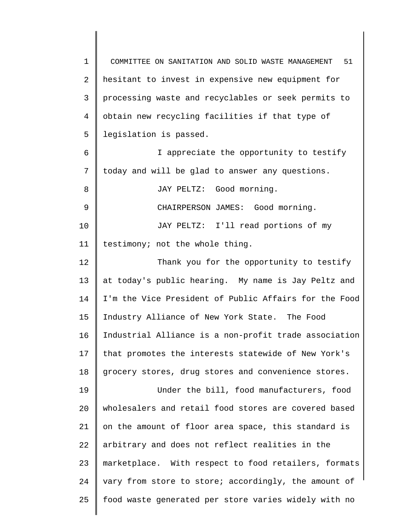1 2 3 4 5 6 7 8 9 10 11 12 13 14 15 16 17 18 19 20 21 22 23 24 25 COMMITTEE ON SANITATION AND SOLID WASTE MANAGEMENT 51 hesitant to invest in expensive new equipment for processing waste and recyclables or seek permits to obtain new recycling facilities if that type of legislation is passed. I appreciate the opportunity to testify today and will be glad to answer any questions. JAY PELTZ: Good morning. CHAIRPERSON JAMES: Good morning. JAY PELTZ: I'll read portions of my testimony; not the whole thing. Thank you for the opportunity to testify at today's public hearing. My name is Jay Peltz and I'm the Vice President of Public Affairs for the Food Industry Alliance of New York State. The Food Industrial Alliance is a non-profit trade association that promotes the interests statewide of New York's grocery stores, drug stores and convenience stores. Under the bill, food manufacturers, food wholesalers and retail food stores are covered based on the amount of floor area space, this standard is arbitrary and does not reflect realities in the marketplace. With respect to food retailers, formats vary from store to store; accordingly, the amount of food waste generated per store varies widely with no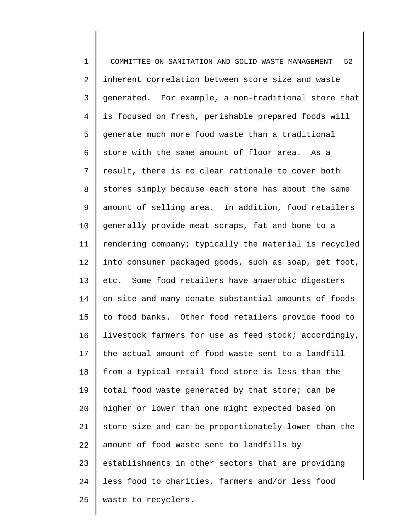1 2 3 4 5 6 7 8 9 10 11 12 13 14 15 16 17 18 19 20 21 22 23 24 25 COMMITTEE ON SANITATION AND SOLID WASTE MANAGEMENT 52 inherent correlation between store size and waste generated. For example, a non-traditional store that is focused on fresh, perishable prepared foods will generate much more food waste than a traditional store with the same amount of floor area. As a result, there is no clear rationale to cover both stores simply because each store has about the same amount of selling area. In addition, food retailers generally provide meat scraps, fat and bone to a rendering company; typically the material is recycled into consumer packaged goods, such as soap, pet foot, etc. Some food retailers have anaerobic digesters on-site and many donate substantial amounts of foods to food banks. Other food retailers provide food to livestock farmers for use as feed stock; accordingly, the actual amount of food waste sent to a landfill from a typical retail food store is less than the total food waste generated by that store; can be higher or lower than one might expected based on store size and can be proportionately lower than the amount of food waste sent to landfills by establishments in other sectors that are providing less food to charities, farmers and/or less food waste to recyclers.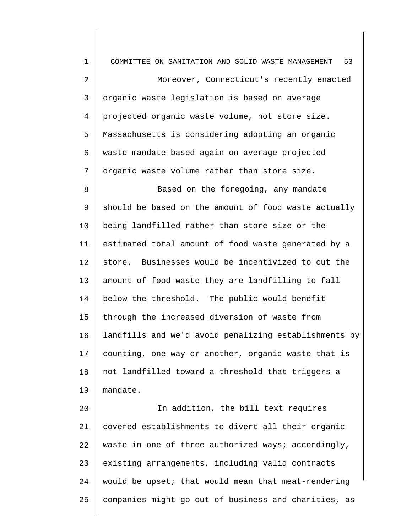1 2 3 4 5 6 7 8 9 10 11 12 13 14 15 16 17 18 19 20 21 22 23 24 COMMITTEE ON SANITATION AND SOLID WASTE MANAGEMENT 53 Moreover, Connecticut's recently enacted organic waste legislation is based on average projected organic waste volume, not store size. Massachusetts is considering adopting an organic waste mandate based again on average projected organic waste volume rather than store size. Based on the foregoing, any mandate should be based on the amount of food waste actually being landfilled rather than store size or the estimated total amount of food waste generated by a store. Businesses would be incentivized to cut the amount of food waste they are landfilling to fall below the threshold. The public would benefit through the increased diversion of waste from landfills and we'd avoid penalizing establishments by counting, one way or another, organic waste that is not landfilled toward a threshold that triggers a mandate. In addition, the bill text requires covered establishments to divert all their organic waste in one of three authorized ways; accordingly, existing arrangements, including valid contracts would be upset; that would mean that meat-rendering

companies might go out of business and charities, as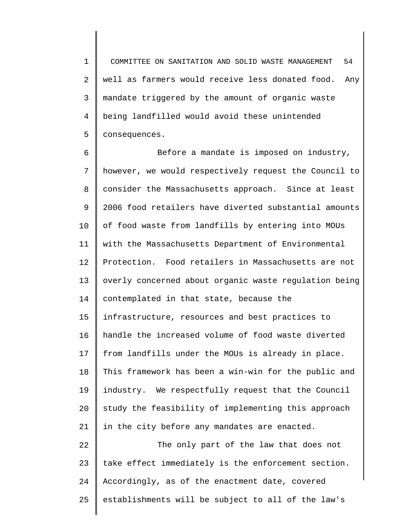1 2 3 4 5 COMMITTEE ON SANITATION AND SOLID WASTE MANAGEMENT 54 well as farmers would receive less donated food. Any mandate triggered by the amount of organic waste being landfilled would avoid these unintended consequences.

6 7 8 9 10 11 12 13 14 15 16 17 18 19 20 21 22 Before a mandate is imposed on industry, however, we would respectively request the Council to consider the Massachusetts approach. Since at least 2006 food retailers have diverted substantial amounts of food waste from landfills by entering into MOUs with the Massachusetts Department of Environmental Protection. Food retailers in Massachusetts are not overly concerned about organic waste regulation being contemplated in that state, because the infrastructure, resources and best practices to handle the increased volume of food waste diverted from landfills under the MOUs is already in place. This framework has been a win-win for the public and industry. We respectfully request that the Council study the feasibility of implementing this approach in the city before any mandates are enacted. The only part of the law that does not

23 24 25 take effect immediately is the enforcement section. Accordingly, as of the enactment date, covered establishments will be subject to all of the law's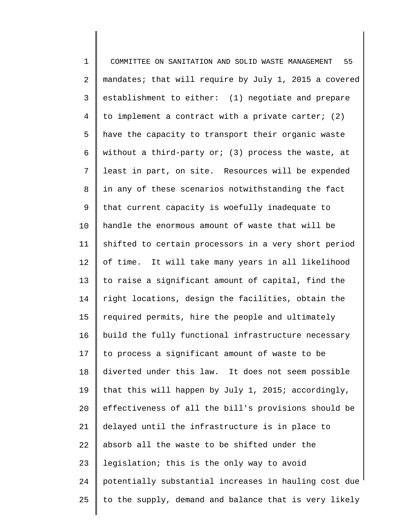1 2 3 4 5 6 7 8 9 10 11 12 13 14 15 16 17 18 19 20 21 22 23 24 25 COMMITTEE ON SANITATION AND SOLID WASTE MANAGEMENT 55 mandates; that will require by July 1, 2015 a covered establishment to either: (1) negotiate and prepare to implement a contract with a private carter; (2) have the capacity to transport their organic waste without a third-party or; (3) process the waste, at least in part, on site. Resources will be expended in any of these scenarios notwithstanding the fact that current capacity is woefully inadequate to handle the enormous amount of waste that will be shifted to certain processors in a very short period of time. It will take many years in all likelihood to raise a significant amount of capital, find the right locations, design the facilities, obtain the required permits, hire the people and ultimately build the fully functional infrastructure necessary to process a significant amount of waste to be diverted under this law. It does not seem possible that this will happen by July 1, 2015; accordingly, effectiveness of all the bill's provisions should be delayed until the infrastructure is in place to absorb all the waste to be shifted under the legislation; this is the only way to avoid potentially substantial increases in hauling cost due to the supply, demand and balance that is very likely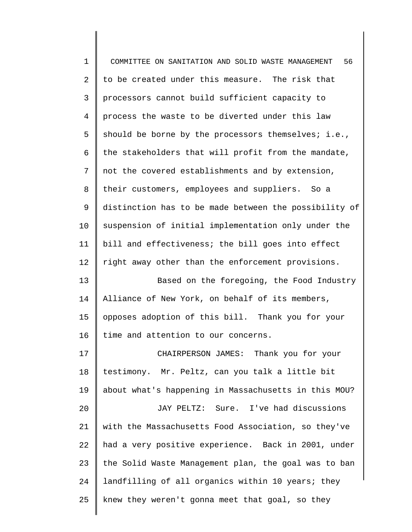| $\mathbf 1$    | 56<br>COMMITTEE ON SANITATION AND SOLID WASTE MANAGEMENT |
|----------------|----------------------------------------------------------|
| $\overline{2}$ | to be created under this measure. The risk that          |
| $\mathsf{3}$   | processors cannot build sufficient capacity to           |
| $\overline{4}$ | process the waste to be diverted under this law          |
| 5              | should be borne by the processors themselves; i.e.,      |
| 6              | the stakeholders that will profit from the mandate,      |
| 7              | not the covered establishments and by extension,         |
| $\,8\,$        | their customers, employees and suppliers. So a           |
| 9              | distinction has to be made between the possibility of    |
| 10             | suspension of initial implementation only under the      |
| 11             | bill and effectiveness; the bill goes into effect        |
| 12             | right away other than the enforcement provisions.        |
| 13             | Based on the foregoing, the Food Industry                |
| 14             | Alliance of New York, on behalf of its members,          |
| 15             | opposes adoption of this bill. Thank you for your        |
| 16             | time and attention to our concerns.                      |
| 17             | CHAIRPERSON JAMES: Thank you for your                    |
| 18             | testimony. Mr. Peltz, can you talk a little bit          |
| 19             | about what's happening in Massachusetts in this MOU?     |
| 20             | JAY PELTZ: Sure. I've had discussions                    |
| 21             | with the Massachusetts Food Association, so they've      |
| 22             | had a very positive experience. Back in 2001, under      |
| 23             | the Solid Waste Management plan, the goal was to ban     |
| 24             | landfilling of all organics within 10 years; they        |
| 25             | knew they weren't gonna meet that goal, so they          |
|                |                                                          |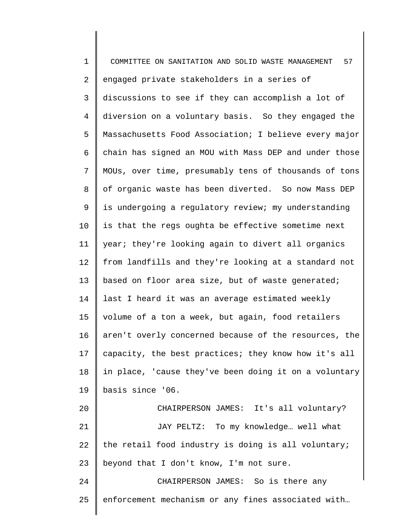| $\mathbf 1$    | 57<br>COMMITTEE ON SANITATION AND SOLID WASTE MANAGEMENT |
|----------------|----------------------------------------------------------|
| 2              | engaged private stakeholders in a series of              |
| 3              | discussions to see if they can accomplish a lot of       |
| $\overline{4}$ | diversion on a voluntary basis. So they engaged the      |
| 5              | Massachusetts Food Association; I believe every major    |
| 6              | chain has signed an MOU with Mass DEP and under those    |
| 7              | MOUs, over time, presumably tens of thousands of tons    |
| 8              | of organic waste has been diverted. So now Mass DEP      |
| 9              | is undergoing a regulatory review; my understanding      |
| 10             | is that the regs oughta be effective sometime next       |
| 11             | year; they're looking again to divert all organics       |
| 12             | from landfills and they're looking at a standard not     |
| 13             | based on floor area size, but of waste generated;        |
| 14             | last I heard it was an average estimated weekly          |
| 15             | volume of a ton a week, but again, food retailers        |
| 16             | aren't overly concerned because of the resources, the    |
| 17             | capacity, the best practices; they know how it's all     |
| 18             | in place, 'cause they've been doing it on a voluntary    |
| 19             | basis since '06.                                         |
| 20             | CHAIRPERSON JAMES: It's all voluntary?                   |
| 21             | JAY PELTZ: To my knowledge well what                     |
| 22             | the retail food industry is doing is all voluntary;      |
| 23             | beyond that I don't know, I'm not sure.                  |
| 24             | CHAIRPERSON JAMES: So is there any                       |
| 25             | enforcement mechanism or any fines associated with       |
|                |                                                          |

 $\parallel$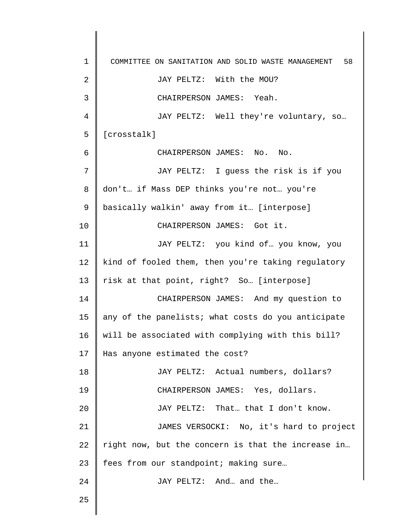1 2 3 4 5 6 7 8 9 10 11 12 13 14 15 16 17 18 19 20 21 22 23 24 25 COMMITTEE ON SANITATION AND SOLID WASTE MANAGEMENT 58 JAY PELTZ: With the MOU? CHAIRPERSON JAMES: Yeah. JAY PELTZ: Well they're voluntary, so… [crosstalk] CHAIRPERSON JAMES: No. No. JAY PELTZ: I guess the risk is if you don't… if Mass DEP thinks you're not… you're basically walkin' away from it… [interpose] CHAIRPERSON JAMES: Got it. JAY PELTZ: you kind of… you know, you kind of fooled them, then you're taking regulatory risk at that point, right? So… [interpose] CHAIRPERSON JAMES: And my question to any of the panelists; what costs do you anticipate will be associated with complying with this bill? Has anyone estimated the cost? JAY PELTZ: Actual numbers, dollars? CHAIRPERSON JAMES: Yes, dollars. JAY PELTZ: That… that I don't know. JAMES VERSOCKI: No, it's hard to project right now, but the concern is that the increase in… fees from our standpoint; making sure... JAY PELTZ: And… and the…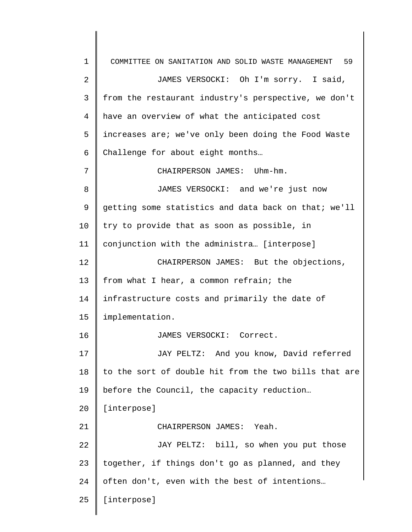1 2 3 4 5 6 7 8 9 10 11 12 13 14 15 16 17 18 19 20 21 22 23 24 25 COMMITTEE ON SANITATION AND SOLID WASTE MANAGEMENT 59 JAMES VERSOCKI: Oh I'm sorry. I said, from the restaurant industry's perspective, we don't have an overview of what the anticipated cost increases are; we've only been doing the Food Waste Challenge for about eight months… CHAIRPERSON JAMES: Uhm-hm. JAMES VERSOCKI: and we're just now getting some statistics and data back on that; we'll try to provide that as soon as possible, in conjunction with the administra… [interpose] CHAIRPERSON JAMES: But the objections, from what I hear, a common refrain; the infrastructure costs and primarily the date of implementation. JAMES VERSOCKI: Correct. JAY PELTZ: And you know, David referred to the sort of double hit from the two bills that are before the Council, the capacity reduction… [interpose] CHAIRPERSON JAMES: Yeah. JAY PELTZ: bill, so when you put those together, if things don't go as planned, and they often don't, even with the best of intentions… [interpose]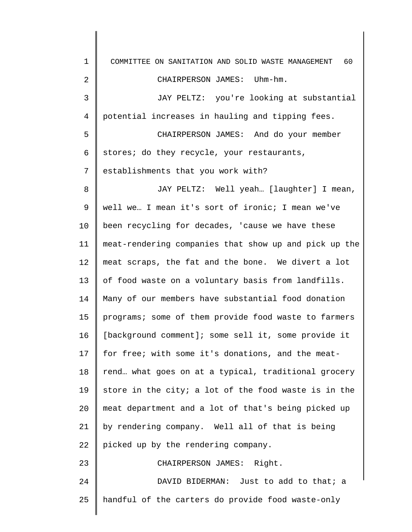| 1              | COMMITTEE ON SANITATION AND SOLID WASTE MANAGEMENT<br>60 |
|----------------|----------------------------------------------------------|
| $\overline{2}$ | CHAIRPERSON JAMES: Uhm-hm.                               |
| 3              | JAY PELTZ: you're looking at substantial                 |
| 4              | potential increases in hauling and tipping fees.         |
| 5              | CHAIRPERSON JAMES: And do your member                    |
| 6              | stores; do they recycle, your restaurants,               |
| 7              | establishments that you work with?                       |
| 8              | JAY PELTZ: Well yeah [laughter] I mean,                  |
| 9              | well we I mean it's sort of ironic; I mean we've         |
| 10             | been recycling for decades, 'cause we have these         |
| 11             | meat-rendering companies that show up and pick up the    |
| 12             | meat scraps, the fat and the bone. We divert a lot       |
| 13             | of food waste on a voluntary basis from landfills.       |
| 14             | Many of our members have substantial food donation       |
| 15             | programs; some of them provide food waste to farmers     |
| 16             | [background comment]; some sell it, some provide it      |
| 17             | for free; with some it's donations, and the meat-        |
| 18             | rend what goes on at a typical, traditional grocery      |
| 19             | store in the city; a lot of the food waste is in the     |
| 20             | meat department and a lot of that's being picked up      |
| 21             | by rendering company. Well all of that is being          |
| 22             | picked up by the rendering company.                      |
| 23             | CHAIRPERSON JAMES: Right.                                |
| 24             | DAVID BIDERMAN: Just to add to that; a                   |
| 25             | handful of the carters do provide food waste-only        |
|                |                                                          |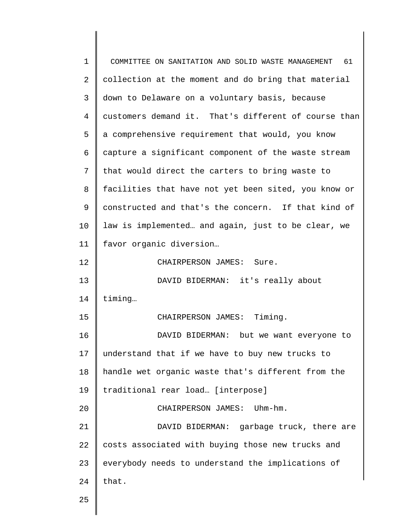| $\mathbf 1$ | 61<br>COMMITTEE ON SANITATION AND SOLID WASTE MANAGEMENT |
|-------------|----------------------------------------------------------|
| 2           | collection at the moment and do bring that material      |
| 3           | down to Delaware on a voluntary basis, because           |
| 4           | customers demand it. That's different of course than     |
| 5           | a comprehensive requirement that would, you know         |
| 6           | capture a significant component of the waste stream      |
| 7           | that would direct the carters to bring waste to          |
| 8           | facilities that have not yet been sited, you know or     |
| 9           | constructed and that's the concern. If that kind of      |
| 10          | law is implemented and again, just to be clear, we       |
| 11          | favor organic diversion                                  |
| 12          | CHAIRPERSON JAMES: Sure.                                 |
| 13          | DAVID BIDERMAN: it's really about                        |
| 14          | timing                                                   |
| 15          | CHAIRPERSON JAMES: Timing.                               |
| 16          | DAVID BIDERMAN: but we want everyone to                  |
| 17          | understand that if we have to buy new trucks to          |
| 18          | handle wet organic waste that's different from the       |
| 19          | traditional rear load [interpose]                        |
| 20          | CHAIRPERSON JAMES:<br>Uhm-hm.                            |
| 21          | DAVID BIDERMAN: garbage truck, there are                 |
| 22          | costs associated with buying those new trucks and        |
| 23          | everybody needs to understand the implications of        |
| 24          | that.                                                    |
| 25          |                                                          |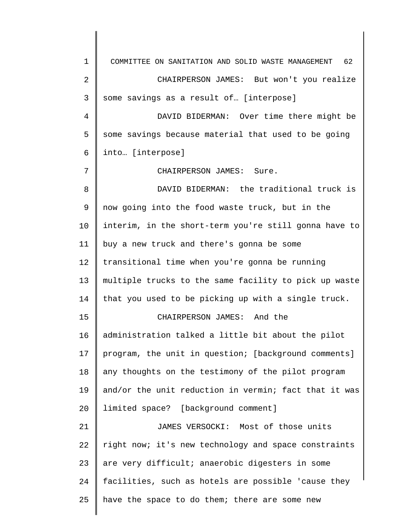1 2 3 4 5 6 7 8 9 10 11 12 13 14 15 16 17 18 19 20 21 22 23 24 25 COMMITTEE ON SANITATION AND SOLID WASTE MANAGEMENT 62 CHAIRPERSON JAMES: But won't you realize some savings as a result of… [interpose] DAVID BIDERMAN: Over time there might be some savings because material that used to be going into… [interpose] CHAIRPERSON JAMES: Sure. DAVID BIDERMAN: the traditional truck is now going into the food waste truck, but in the interim, in the short-term you're still gonna have to buy a new truck and there's gonna be some transitional time when you're gonna be running multiple trucks to the same facility to pick up waste that you used to be picking up with a single truck. CHAIRPERSON JAMES: And the administration talked a little bit about the pilot program, the unit in question; [background comments] any thoughts on the testimony of the pilot program and/or the unit reduction in vermin; fact that it was limited space? [background comment] JAMES VERSOCKI: Most of those units right now; it's new technology and space constraints are very difficult; anaerobic digesters in some facilities, such as hotels are possible 'cause they have the space to do them; there are some new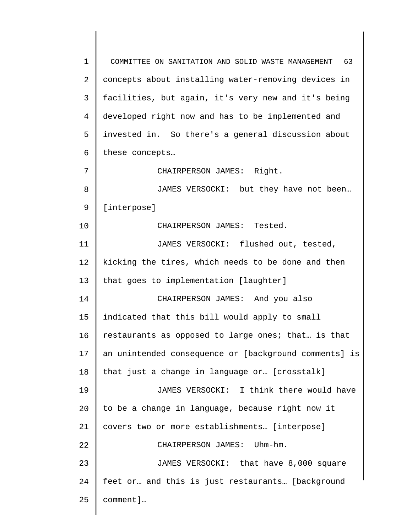1 2 3 4 5 6 7 8 9 10 11 12 13 14 15 16 17 18 19 20 21 22 23 24 25 COMMITTEE ON SANITATION AND SOLID WASTE MANAGEMENT 63 concepts about installing water-removing devices in facilities, but again, it's very new and it's being developed right now and has to be implemented and invested in. So there's a general discussion about these concepts… CHAIRPERSON JAMES: Right. JAMES VERSOCKI: but they have not been… [interpose] CHAIRPERSON JAMES: Tested. JAMES VERSOCKI: flushed out, tested, kicking the tires, which needs to be done and then that goes to implementation [laughter] CHAIRPERSON JAMES: And you also indicated that this bill would apply to small restaurants as opposed to large ones; that… is that an unintended consequence or [background comments] is that just a change in language or… [crosstalk] JAMES VERSOCKI: I think there would have to be a change in language, because right now it covers two or more establishments… [interpose] CHAIRPERSON JAMES: Uhm-hm. JAMES VERSOCKI: that have 8,000 square feet or… and this is just restaurants… [background comment]…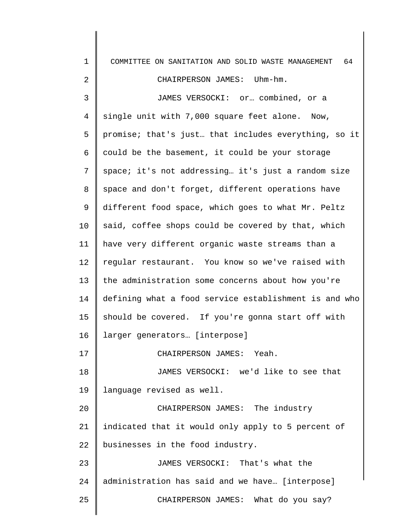| $\mathbf 1$    | 64<br>COMMITTEE ON SANITATION AND SOLID WASTE MANAGEMENT |
|----------------|----------------------------------------------------------|
| 2              | CHAIRPERSON JAMES: Uhm-hm.                               |
| 3              | JAMES VERSOCKI: or combined, or a                        |
| $\overline{4}$ | single unit with 7,000 square feet alone. Now,           |
| 5              | promise; that's just that includes everything, so it     |
| 6              | could be the basement, it could be your storage          |
| 7              | space; it's not addressing it's just a random size       |
| 8              | space and don't forget, different operations have        |
| 9              | different food space, which goes to what Mr. Peltz       |
| 10             | said, coffee shops could be covered by that, which       |
| 11             | have very different organic waste streams than a         |
| 12             | regular restaurant. You know so we've raised with        |
| 13             | the administration some concerns about how you're        |
| 14             | defining what a food service establishment is and who    |
| 15             | should be covered. If you're gonna start off with        |
| 16             | larger generators [interpose]                            |
| 17             | CHAIRPERSON JAMES: Yeah.                                 |
| 18             | JAMES VERSOCKI: we'd like to see that                    |
| 19             | language revised as well.                                |
| 20             | CHAIRPERSON JAMES: The industry                          |
| 21             | indicated that it would only apply to 5 percent of       |
| 22             | businesses in the food industry.                         |
| 23             | JAMES VERSOCKI: That's what the                          |
| 24             | administration has said and we have [interpose]          |
| 25             | CHAIRPERSON JAMES: What do you say?                      |
|                |                                                          |

 $\parallel$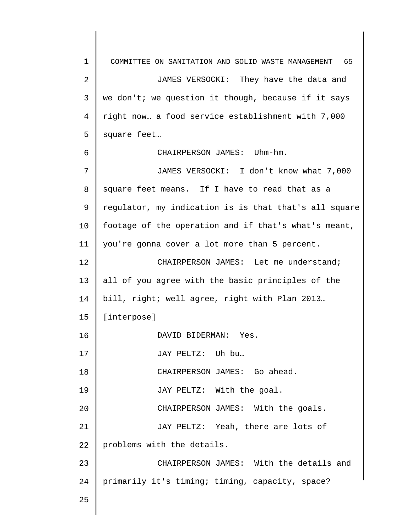1 2 3 4 5 6 7 8 9 10 11 12 13 14 15 16 17 18 19 20 21 22 23 24 25 COMMITTEE ON SANITATION AND SOLID WASTE MANAGEMENT 65 JAMES VERSOCKI: They have the data and we don't; we question it though, because if it says right now… a food service establishment with 7,000 square feet… CHAIRPERSON JAMES: Uhm-hm. JAMES VERSOCKI: I don't know what 7,000 square feet means. If I have to read that as a regulator, my indication is is that that's all square footage of the operation and if that's what's meant, you're gonna cover a lot more than 5 percent. CHAIRPERSON JAMES: Let me understand; all of you agree with the basic principles of the bill, right; well agree, right with Plan 2013… [interpose] DAVID BIDERMAN: Yes. JAY PELTZ: Uh bu… CHAIRPERSON JAMES: Go ahead. JAY PELTZ: With the goal. CHAIRPERSON JAMES: With the goals. JAY PELTZ: Yeah, there are lots of problems with the details. CHAIRPERSON JAMES: With the details and primarily it's timing; timing, capacity, space?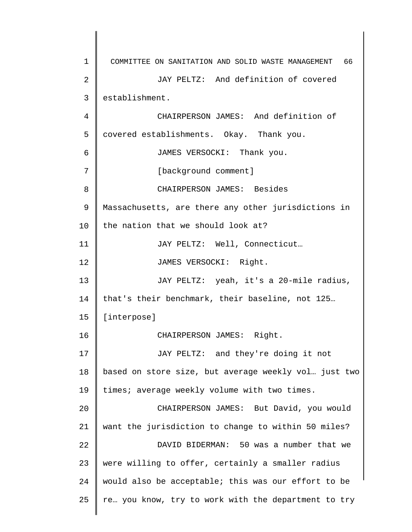1 2 3 4 5 6 7 8 9 10 11 12 13 14 15 16 17 18 19 20 21 22 23 24 25 COMMITTEE ON SANITATION AND SOLID WASTE MANAGEMENT 66 JAY PELTZ: And definition of covered establishment. CHAIRPERSON JAMES: And definition of covered establishments. Okay. Thank you. JAMES VERSOCKI: Thank you. [background comment] CHAIRPERSON JAMES: Besides Massachusetts, are there any other jurisdictions in the nation that we should look at? JAY PELTZ: Well, Connecticut… JAMES VERSOCKI: Right. JAY PELTZ: yeah, it's a 20-mile radius, that's their benchmark, their baseline, not 125… [interpose] CHAIRPERSON JAMES: Right. JAY PELTZ: and they're doing it not based on store size, but average weekly vol… just two times; average weekly volume with two times. CHAIRPERSON JAMES: But David, you would want the jurisdiction to change to within 50 miles? DAVID BIDERMAN: 50 was a number that we were willing to offer, certainly a smaller radius would also be acceptable; this was our effort to be re… you know, try to work with the department to try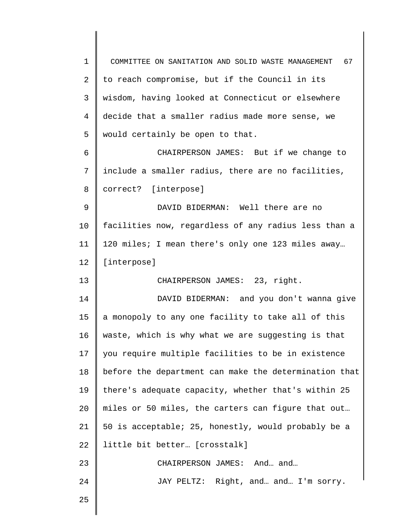| $\mathbf 1$    | COMMITTEE ON SANITATION AND SOLID WASTE MANAGEMENT 67 |
|----------------|-------------------------------------------------------|
| $\overline{a}$ | to reach compromise, but if the Council in its        |
| 3              | wisdom, having looked at Connecticut or elsewhere     |
| 4              | decide that a smaller radius made more sense, we      |
| 5              | would certainly be open to that.                      |
| 6              | CHAIRPERSON JAMES: But if we change to                |
| 7              | include a smaller radius, there are no facilities,    |
| 8              | correct? [interpose]                                  |
| 9              | DAVID BIDERMAN: Well there are no                     |
| 10             | facilities now, regardless of any radius less than a  |
| 11             | 120 miles; I mean there's only one 123 miles away     |
| 12             | [interpose]                                           |
| 13             | CHAIRPERSON JAMES: 23, right.                         |
| 14             | DAVID BIDERMAN: and you don't wanna give              |
| 15             | a monopoly to any one facility to take all of this    |
| 16             | waste, which is why what we are suggesting is that    |
| 17             | you require multiple facilities to be in existence    |
| 18             | before the department can make the determination that |
| 19             | there's adequate capacity, whether that's within 25   |
| 20             | miles or 50 miles, the carters can figure that out    |
| 21             | 50 is acceptable; 25, honestly, would probably be a   |
| 22             | little bit better [crosstalk]                         |
| 23             | CHAIRPERSON JAMES: And and                            |
| 24             | JAY PELTZ: Right, and and I'm sorry.                  |
| 25             |                                                       |
|                |                                                       |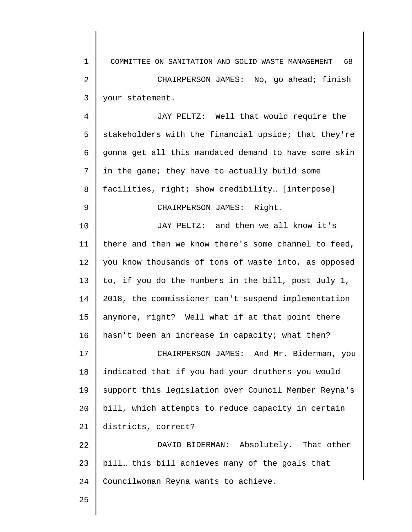1 2 3 COMMITTEE ON SANITATION AND SOLID WASTE MANAGEMENT 68 CHAIRPERSON JAMES: No, go ahead; finish your statement.

4 5 6 7 8 9 10 11 12 13 14 15 16 JAY PELTZ: Well that would require the stakeholders with the financial upside; that they're gonna get all this mandated demand to have some skin in the game; they have to actually build some facilities, right; show credibility… [interpose] CHAIRPERSON JAMES: Right. JAY PELTZ: and then we all know it's there and then we know there's some channel to feed, you know thousands of tons of waste into, as opposed to, if you do the numbers in the bill, post July 1, 2018, the commissioner can't suspend implementation anymore, right? Well what if at that point there hasn't been an increase in capacity; what then?

17 18 19 20 21 CHAIRPERSON JAMES: And Mr. Biderman, you indicated that if you had your druthers you would support this legislation over Council Member Reyna's bill, which attempts to reduce capacity in certain districts, correct?

22 23 24 DAVID BIDERMAN: Absolutely. That other bill… this bill achieves many of the goals that Councilwoman Reyna wants to achieve.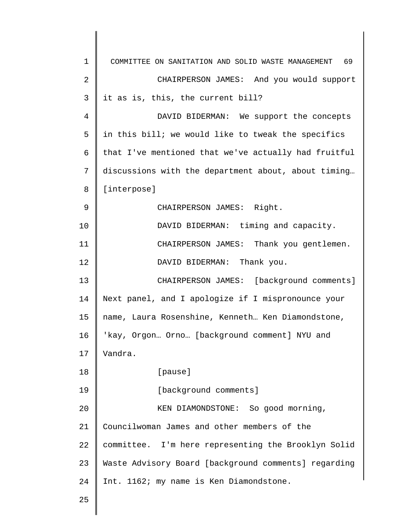| $\mathbf 1$    | COMMITTEE ON SANITATION AND SOLID WASTE MANAGEMENT 69 |
|----------------|-------------------------------------------------------|
| $\overline{2}$ | CHAIRPERSON JAMES: And you would support              |
| 3              | it as is, this, the current bill?                     |
| 4              | DAVID BIDERMAN: We support the concepts               |
| 5              | in this bill; we would like to tweak the specifics    |
| 6              | that I've mentioned that we've actually had fruitful  |
| 7              | discussions with the department about, about timing   |
| 8              | [interpose]                                           |
| 9              | CHAIRPERSON JAMES: Right.                             |
| 10             | DAVID BIDERMAN: timing and capacity.                  |
| 11             | CHAIRPERSON JAMES: Thank you gentlemen.               |
| 12             | DAVID BIDERMAN: Thank you.                            |
| 13             | CHAIRPERSON JAMES: [background comments]              |
| 14             | Next panel, and I apologize if I mispronounce your    |
| 15             | name, Laura Rosenshine, Kenneth Ken Diamondstone,     |
| 16             | 'kay, Orgon Orno [background comment] NYU and         |
| 17             | Vandra.                                               |
| 18             | [pause]                                               |
| 19             | [background comments]                                 |
| 20             | KEN DIAMONDSTONE: So good morning,                    |
| 21             | Councilwoman James and other members of the           |
| 22             | committee. I'm here representing the Brooklyn Solid   |
| 23             | Waste Advisory Board [background comments] regarding  |
| 24             | Int. 1162; my name is Ken Diamondstone.               |
| 25             |                                                       |

 $\parallel$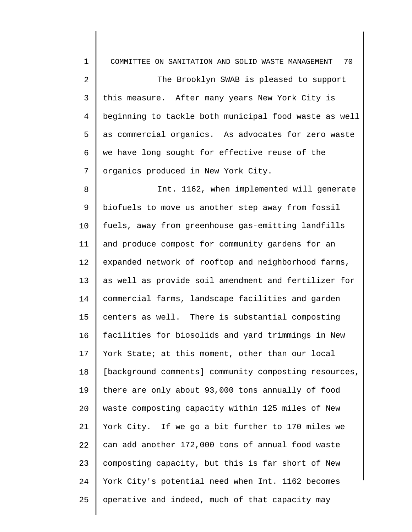| $\mathbf 1$    | 70<br>COMMITTEE ON SANITATION AND SOLID WASTE MANAGEMENT |
|----------------|----------------------------------------------------------|
| 2              | The Brooklyn SWAB is pleased to support                  |
| $\mathsf{3}$   | this measure. After many years New York City is          |
| $\overline{4}$ | beginning to tackle both municipal food waste as well    |
| 5              | as commercial organics. As advocates for zero waste      |
| 6              | we have long sought for effective reuse of the           |
| 7              | organics produced in New York City.                      |
| 8              | Int. 1162, when implemented will generate                |
| 9              | biofuels to move us another step away from fossil        |
| 10             | fuels, away from greenhouse gas-emitting landfills       |
| 11             | and produce compost for community gardens for an         |
| 12             | expanded network of rooftop and neighborhood farms,      |
| 13             | as well as provide soil amendment and fertilizer for     |
| 14             | commercial farms, landscape facilities and garden        |
| 15             | centers as well. There is substantial composting         |
| 16             | facilities for biosolids and yard trimmings in New       |
| 17             | York State; at this moment, other than our local         |
| 18             | [background comments] community composting resources,    |
| 19             | there are only about 93,000 tons annually of food        |
| 20             | waste composting capacity within 125 miles of New        |
| 21             | York City. If we go a bit further to 170 miles we        |
| 22             | can add another 172,000 tons of annual food waste        |
| 23             | composting capacity, but this is far short of New        |
| 24             | York City's potential need when Int. 1162 becomes        |
| 25             | operative and indeed, much of that capacity may          |

║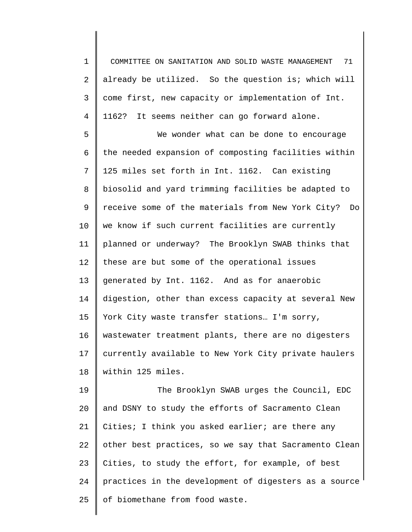1 2 3 4 COMMITTEE ON SANITATION AND SOLID WASTE MANAGEMENT 71 already be utilized. So the question is; which will come first, new capacity or implementation of Int. 1162? It seems neither can go forward alone.

5 6 7 8 9 10 11 12 13 14 15 16 17 18 We wonder what can be done to encourage the needed expansion of composting facilities within 125 miles set forth in Int. 1162. Can existing biosolid and yard trimming facilities be adapted to receive some of the materials from New York City? Do we know if such current facilities are currently planned or underway? The Brooklyn SWAB thinks that these are but some of the operational issues generated by Int. 1162. And as for anaerobic digestion, other than excess capacity at several New York City waste transfer stations... I'm sorry, wastewater treatment plants, there are no digesters currently available to New York City private haulers within 125 miles.

19 20 21 22 23 24 25 The Brooklyn SWAB urges the Council, EDC and DSNY to study the efforts of Sacramento Clean Cities; I think you asked earlier; are there any other best practices, so we say that Sacramento Clean Cities, to study the effort, for example, of best practices in the development of digesters as a source of biomethane from food waste.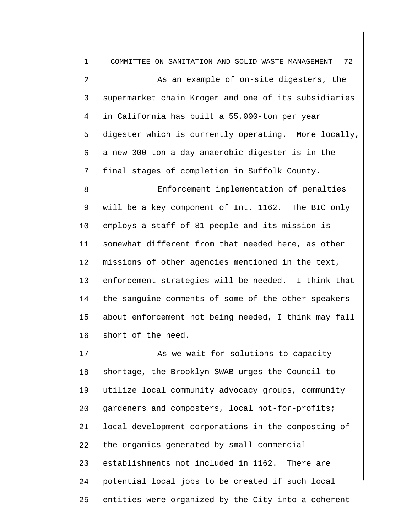| $\mathbf 1$ | 72<br>COMMITTEE ON SANITATION AND SOLID WASTE MANAGEMENT |
|-------------|----------------------------------------------------------|
| 2           | As an example of on-site digesters, the                  |
| 3           | supermarket chain Kroger and one of its subsidiaries     |
| 4           | in California has built a 55,000-ton per year            |
| 5           | digester which is currently operating. More locally,     |
| 6           | a new 300-ton a day anaerobic digester is in the         |
| 7           | final stages of completion in Suffolk County.            |
| 8           | Enforcement implementation of penalties                  |
| 9           | will be a key component of Int. 1162. The BIC only       |
| 10          | employs a staff of 81 people and its mission is          |
| 11          | somewhat different from that needed here, as other       |
| 12          | missions of other agencies mentioned in the text,        |
| 13          | enforcement strategies will be needed. I think that      |
| 14          | the sanguine comments of some of the other speakers      |
| 15          | about enforcement not being needed, I think may fall     |
| 16          | short of the need.                                       |
| 17          | As we wait for solutions to capacity                     |
| 18          | shortage, the Brooklyn SWAB urges the Council to         |
| 19          | utilize local community advocacy groups, community       |
| 20          | gardeners and composters, local not-for-profits;         |
| 21          | local development corporations in the composting of      |
| 22          | the organics generated by small commercial               |
| 23          | establishments not included in 1162. There are           |
| 24          | potential local jobs to be created if such local         |
| 25          | entities were organized by the City into a coherent      |
|             |                                                          |

∥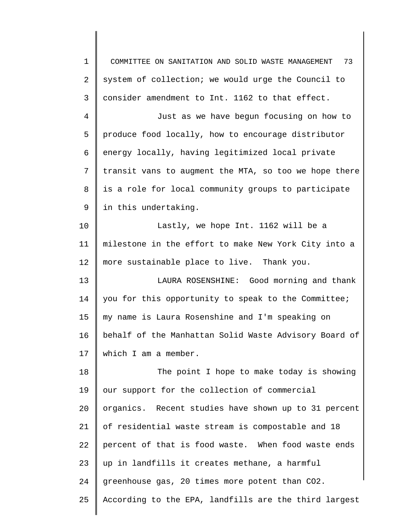1 2 3 4 5 6 7 8 9 10 11 12 13 14 15 16 17 18 19 20 21 22 23 24 25 COMMITTEE ON SANITATION AND SOLID WASTE MANAGEMENT 73 system of collection; we would urge the Council to consider amendment to Int. 1162 to that effect. Just as we have begun focusing on how to produce food locally, how to encourage distributor energy locally, having legitimized local private transit vans to augment the MTA, so too we hope there is a role for local community groups to participate in this undertaking. Lastly, we hope Int. 1162 will be a milestone in the effort to make New York City into a more sustainable place to live. Thank you. LAURA ROSENSHINE: Good morning and thank you for this opportunity to speak to the Committee; my name is Laura Rosenshine and I'm speaking on behalf of the Manhattan Solid Waste Advisory Board of which I am a member. The point I hope to make today is showing our support for the collection of commercial organics. Recent studies have shown up to 31 percent of residential waste stream is compostable and 18 percent of that is food waste. When food waste ends up in landfills it creates methane, a harmful greenhouse gas, 20 times more potent than CO2. According to the EPA, landfills are the third largest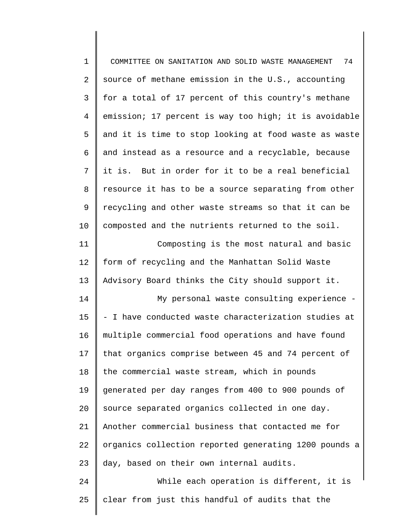| $\mathbf 1$    | 74<br>COMMITTEE ON SANITATION AND SOLID WASTE MANAGEMENT |
|----------------|----------------------------------------------------------|
| $\overline{2}$ | source of methane emission in the U.S., accounting       |
| 3              | for a total of 17 percent of this country's methane      |
| $\overline{4}$ | emission; 17 percent is way too high; it is avoidable    |
| 5              | and it is time to stop looking at food waste as waste    |
| 6              | and instead as a resource and a recyclable, because      |
| 7              | it is. But in order for it to be a real beneficial       |
| 8              | resource it has to be a source separating from other     |
| 9              | recycling and other waste streams so that it can be      |
| 10             | composted and the nutrients returned to the soil.        |
| 11             | Composting is the most natural and basic                 |
| 12             | form of recycling and the Manhattan Solid Waste          |
| 13             | Advisory Board thinks the City should support it.        |
| 14             | My personal waste consulting experience -                |
| 15             | - I have conducted waste characterization studies at     |
| 16             | multiple commercial food operations and have found       |
| 17             | that organics comprise between 45 and 74 percent of      |
| 18             | the commercial waste stream, which in pounds             |
| 19             | generated per day ranges from 400 to 900 pounds of       |
| 20             | source separated organics collected in one day.          |
| 21             | Another commercial business that contacted me for        |
| 22             | organics collection reported generating 1200 pounds a    |
| 23             | day, based on their own internal audits.                 |
| 24             | While each operation is different, it is                 |
| 25             | clear from just this handful of audits that the          |
|                |                                                          |

∥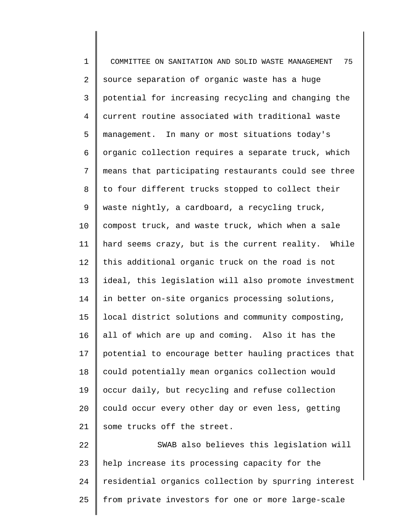1 2 3 4 5 6 7 8 9 10 11 12 13 14 15 16 17 18 19 20 21 22 23 24 COMMITTEE ON SANITATION AND SOLID WASTE MANAGEMENT 75 source separation of organic waste has a huge potential for increasing recycling and changing the current routine associated with traditional waste management. In many or most situations today's organic collection requires a separate truck, which means that participating restaurants could see three to four different trucks stopped to collect their waste nightly, a cardboard, a recycling truck, compost truck, and waste truck, which when a sale hard seems crazy, but is the current reality. While this additional organic truck on the road is not ideal, this legislation will also promote investment in better on-site organics processing solutions, local district solutions and community composting, all of which are up and coming. Also it has the potential to encourage better hauling practices that could potentially mean organics collection would occur daily, but recycling and refuse collection could occur every other day or even less, getting some trucks off the street. SWAB also believes this legislation will help increase its processing capacity for the residential organics collection by spurring interest

from private investors for one or more large-scale

25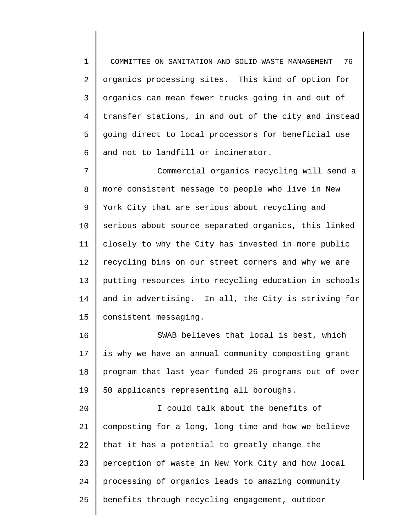1 2 3 4 5 6 COMMITTEE ON SANITATION AND SOLID WASTE MANAGEMENT 76 organics processing sites. This kind of option for organics can mean fewer trucks going in and out of transfer stations, in and out of the city and instead going direct to local processors for beneficial use and not to landfill or incinerator.

7 8 9 10 11 12 13 14 15 Commercial organics recycling will send a more consistent message to people who live in New York City that are serious about recycling and serious about source separated organics, this linked closely to why the City has invested in more public recycling bins on our street corners and why we are putting resources into recycling education in schools and in advertising. In all, the City is striving for consistent messaging.

16 17 18 19 SWAB believes that local is best, which is why we have an annual community composting grant program that last year funded 26 programs out of over 50 applicants representing all boroughs.

20 21 22 23 24 25 I could talk about the benefits of composting for a long, long time and how we believe that it has a potential to greatly change the perception of waste in New York City and how local processing of organics leads to amazing community benefits through recycling engagement, outdoor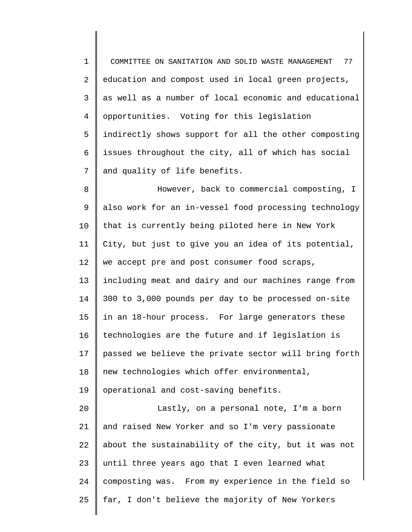1 2 3 4 5 6 7 8 9 10 11 12 13 14 15 16 17 18 19 20 21 22 23 COMMITTEE ON SANITATION AND SOLID WASTE MANAGEMENT 77 education and compost used in local green projects, as well as a number of local economic and educational opportunities. Voting for this legislation indirectly shows support for all the other composting issues throughout the city, all of which has social and quality of life benefits. However, back to commercial composting, I also work for an in-vessel food processing technology that is currently being piloted here in New York City, but just to give you an idea of its potential, we accept pre and post consumer food scraps, including meat and dairy and our machines range from 300 to 3,000 pounds per day to be processed on-site in an 18-hour process. For large generators these technologies are the future and if legislation is passed we believe the private sector will bring forth new technologies which offer environmental, operational and cost-saving benefits. Lastly, on a personal note, I'm a born and raised New Yorker and so I'm very passionate about the sustainability of the city, but it was not until three years ago that I even learned what

composting was. From my experience in the field so

far, I don't believe the majority of New Yorkers

24

25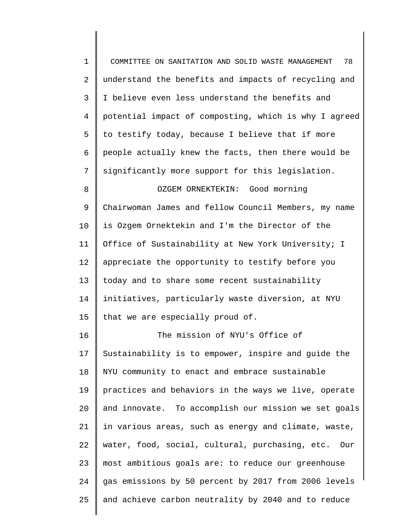| $\mathbf 1$    | 78<br>COMMITTEE ON SANITATION AND SOLID WASTE MANAGEMENT |
|----------------|----------------------------------------------------------|
| 2              | understand the benefits and impacts of recycling and     |
| 3              | I believe even less understand the benefits and          |
| $\overline{4}$ | potential impact of composting, which is why I agreed    |
| 5              | to testify today, because I believe that if more         |
| 6              | people actually knew the facts, then there would be      |
| 7              | significantly more support for this legislation.         |
| 8              | OZGEM ORNEKTEKIN: Good morning                           |
| 9              | Chairwoman James and fellow Council Members, my name     |
| 10             | is Ozgem Ornektekin and I'm the Director of the          |
| 11             | Office of Sustainability at New York University; I       |
| 12             | appreciate the opportunity to testify before you         |
| 13             | today and to share some recent sustainability            |
| 14             | initiatives, particularly waste diversion, at NYU        |
| 15             | that we are especially proud of.                         |
| 16             | The mission of NYU's Office of                           |
| 17             | Sustainability is to empower, inspire and guide the      |
| 18             | NYU community to enact and embrace sustainable           |
| 19             | practices and behaviors in the ways we live, operate     |
| 20             | and innovate. To accomplish our mission we set goals     |
| 21             | in various areas, such as energy and climate, waste,     |
| 22             | water, food, social, cultural, purchasing, etc.<br>Our   |
| 23             | most ambitious goals are: to reduce our greenhouse       |
| 24             | gas emissions by 50 percent by 2017 from 2006 levels     |
| 25             | and achieve carbon neutrality by 2040 and to reduce      |

∥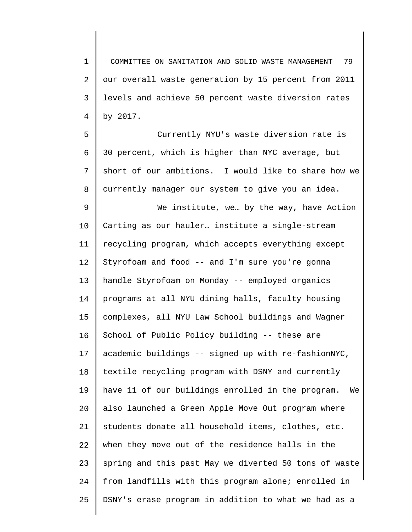1 2 3 4 COMMITTEE ON SANITATION AND SOLID WASTE MANAGEMENT 79 our overall waste generation by 15 percent from 2011 levels and achieve 50 percent waste diversion rates by 2017.

5 6 7 8 Currently NYU's waste diversion rate is 30 percent, which is higher than NYC average, but short of our ambitions. I would like to share how we currently manager our system to give you an idea.

9 10 11 12 13 14 15 16 17 18 19 20 21 22 23 24 25 We institute, we… by the way, have Action Carting as our hauler… institute a single-stream recycling program, which accepts everything except Styrofoam and food -- and I'm sure you're gonna handle Styrofoam on Monday -- employed organics programs at all NYU dining halls, faculty housing complexes, all NYU Law School buildings and Wagner School of Public Policy building -- these are academic buildings -- signed up with re-fashionNYC, textile recycling program with DSNY and currently have 11 of our buildings enrolled in the program. We also launched a Green Apple Move Out program where students donate all household items, clothes, etc. when they move out of the residence halls in the spring and this past May we diverted 50 tons of waste from landfills with this program alone; enrolled in DSNY's erase program in addition to what we had as a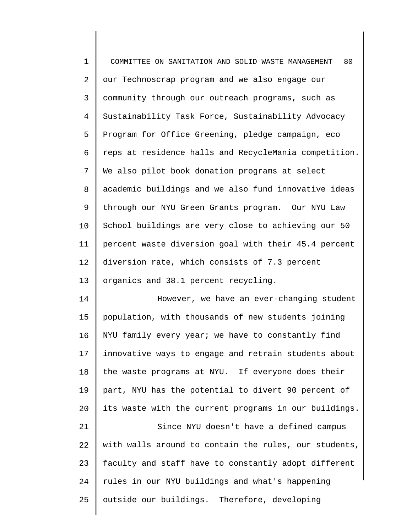| $\mathbf 1$    | 80<br>COMMITTEE ON SANITATION AND SOLID WASTE MANAGEMENT |
|----------------|----------------------------------------------------------|
| 2              | our Technoscrap program and we also engage our           |
| 3              | community through our outreach programs, such as         |
| $\overline{4}$ | Sustainability Task Force, Sustainability Advocacy       |
| 5              | Program for Office Greening, pledge campaign, eco        |
| 6              | reps at residence halls and RecycleMania competition.    |
| 7              | We also pilot book donation programs at select           |
| 8              | academic buildings and we also fund innovative ideas     |
| 9              | through our NYU Green Grants program. Our NYU Law        |
| 10             | School buildings are very close to achieving our 50      |
| 11             | percent waste diversion goal with their 45.4 percent     |
| 12             | diversion rate, which consists of 7.3 percent            |
| 13             | organics and 38.1 percent recycling.                     |
| 14             | However, we have an ever-changing student                |
| 15             | population, with thousands of new students joining       |
| 16             | NYU family every year; we have to constantly find        |
| 17             | innovative ways to engage and retrain students about     |
| 18             | the waste programs at NYU. If everyone does their        |
| 19             | part, NYU has the potential to divert 90 percent of      |
| 20             | its waste with the current programs in our buildings.    |
| 21             | Since NYU doesn't have a defined campus                  |
| 22             | with walls around to contain the rules, our students,    |
| 23             | faculty and staff have to constantly adopt different     |
| 24             | rules in our NYU buildings and what's happening          |
| 25             | outside our buildings. Therefore, developing             |
|                |                                                          |

∥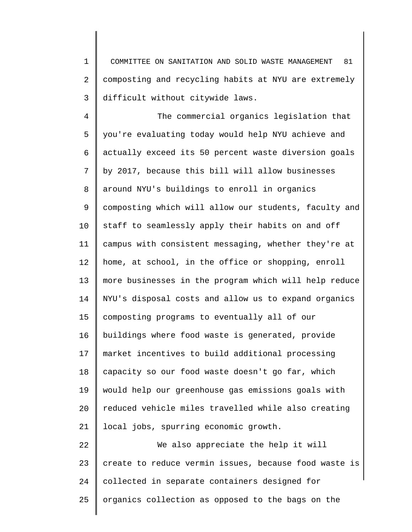1 2 3 COMMITTEE ON SANITATION AND SOLID WASTE MANAGEMENT 81 composting and recycling habits at NYU are extremely difficult without citywide laws.

4 5 6 7 8 9 10 11 12 13 14 15 16 17 18 19 20 21 22 23 The commercial organics legislation that you're evaluating today would help NYU achieve and actually exceed its 50 percent waste diversion goals by 2017, because this bill will allow businesses around NYU's buildings to enroll in organics composting which will allow our students, faculty and staff to seamlessly apply their habits on and off campus with consistent messaging, whether they're at home, at school, in the office or shopping, enroll more businesses in the program which will help reduce NYU's disposal costs and allow us to expand organics composting programs to eventually all of our buildings where food waste is generated, provide market incentives to build additional processing capacity so our food waste doesn't go far, which would help our greenhouse gas emissions goals with reduced vehicle miles travelled while also creating local jobs, spurring economic growth. We also appreciate the help it will create to reduce vermin issues, because food waste is

25 organics collection as opposed to the bags on the

collected in separate containers designed for

24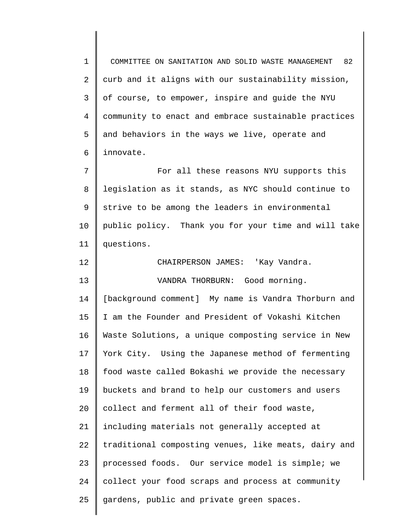1 2 3 4 5 6 COMMITTEE ON SANITATION AND SOLID WASTE MANAGEMENT 82 curb and it aligns with our sustainability mission, of course, to empower, inspire and guide the NYU community to enact and embrace sustainable practices and behaviors in the ways we live, operate and innovate.

7 8 9 10 11 For all these reasons NYU supports this legislation as it stands, as NYC should continue to strive to be among the leaders in environmental public policy. Thank you for your time and will take questions.

12 13 14 15 16 17 18 19 20 21 22 23 24 25 CHAIRPERSON JAMES: 'Kay Vandra. VANDRA THORBURN: Good morning. [background comment] My name is Vandra Thorburn and I am the Founder and President of Vokashi Kitchen Waste Solutions, a unique composting service in New York City. Using the Japanese method of fermenting food waste called Bokashi we provide the necessary buckets and brand to help our customers and users collect and ferment all of their food waste, including materials not generally accepted at traditional composting venues, like meats, dairy and processed foods. Our service model is simple; we collect your food scraps and process at community gardens, public and private green spaces.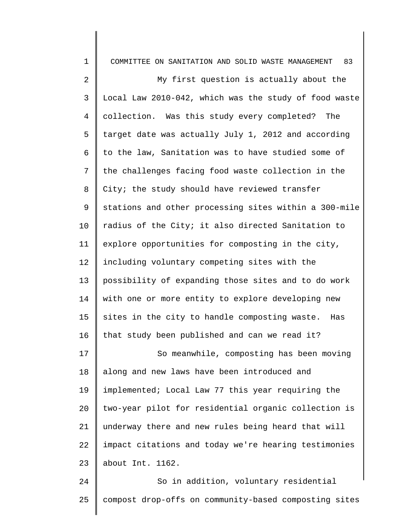| $\mathbf 1$    | 83<br>COMMITTEE ON SANITATION AND SOLID WASTE MANAGEMENT |
|----------------|----------------------------------------------------------|
| $\overline{a}$ | My first question is actually about the                  |
| 3              | Local Law 2010-042, which was the study of food waste    |
| $\overline{4}$ | collection. Was this study every completed?<br>The       |
| 5              | target date was actually July 1, 2012 and according      |
| 6              | to the law, Sanitation was to have studied some of       |
| 7              | the challenges facing food waste collection in the       |
| 8              | City; the study should have reviewed transfer            |
| 9              | stations and other processing sites within a 300-mile    |
| 10             | radius of the City; it also directed Sanitation to       |
| 11             | explore opportunities for composting in the city,        |
| 12             | including voluntary competing sites with the             |
| 13             | possibility of expanding those sites and to do work      |
| 14             | with one or more entity to explore developing new        |
| 15             | sites in the city to handle composting waste.<br>Has     |
| 16             | that study been published and can we read it?            |
| 17             | So meanwhile, composting has been moving                 |
| 18             | along and new laws have been introduced and              |
| 19             | implemented; Local Law 77 this year requiring the        |
| 20             | two-year pilot for residential organic collection is     |
| 21             | underway there and new rules being heard that will       |
| 22             | impact citations and today we're hearing testimonies     |
| 23             | about Int. 1162.                                         |
| 24             | So in addition, voluntary residential                    |

25

compost drop-offs on community-based composting sites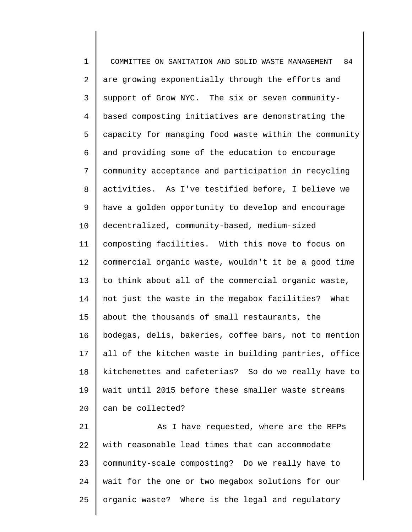1 2 3 4 5 6 7 8 9 10 11 12 13 14 15 16 17 18 19 20 21 COMMITTEE ON SANITATION AND SOLID WASTE MANAGEMENT 84 are growing exponentially through the efforts and support of Grow NYC. The six or seven communitybased composting initiatives are demonstrating the capacity for managing food waste within the community and providing some of the education to encourage community acceptance and participation in recycling activities. As I've testified before, I believe we have a golden opportunity to develop and encourage decentralized, community-based, medium-sized composting facilities. With this move to focus on commercial organic waste, wouldn't it be a good time to think about all of the commercial organic waste, not just the waste in the megabox facilities? What about the thousands of small restaurants, the bodegas, delis, bakeries, coffee bars, not to mention all of the kitchen waste in building pantries, office kitchenettes and cafeterias? So do we really have to wait until 2015 before these smaller waste streams can be collected? As I have requested, where are the RFPs

22 23 24 25 with reasonable lead times that can accommodate community-scale composting? Do we really have to wait for the one or two megabox solutions for our organic waste? Where is the legal and regulatory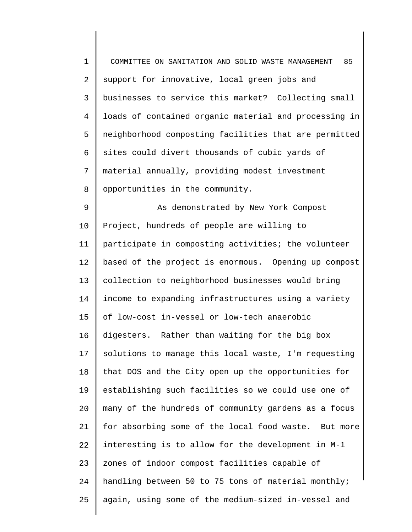| $\mathbf 1$    | 85<br>COMMITTEE ON SANITATION AND SOLID WASTE MANAGEMENT |
|----------------|----------------------------------------------------------|
| 2              | support for innovative, local green jobs and             |
| 3              | businesses to service this market? Collecting small      |
| $\overline{4}$ | loads of contained organic material and processing in    |
| 5              | neighborhood composting facilities that are permitted    |
| 6              | sites could divert thousands of cubic yards of           |
| 7              | material annually, providing modest investment           |
| 8              | opportunities in the community.                          |
| $\mathsf 9$    | As demonstrated by New York Compost                      |
| 10             | Project, hundreds of people are willing to               |
| 11             | participate in composting activities; the volunteer      |
| 12             | based of the project is enormous. Opening up compost     |
| 13             | collection to neighborhood businesses would bring        |
| 14             | income to expanding infrastructures using a variety      |
| 15             | of low-cost in-vessel or low-tech anaerobic              |
| 16             | digesters. Rather than waiting for the big box           |
| 17             | solutions to manage this local waste, I'm requesting     |
| 18             | that DOS and the City open up the opportunities for      |
| 19             | establishing such facilities so we could use one of      |
| 20             | many of the hundreds of community gardens as a focus     |
| 21             | for absorbing some of the local food waste. But more     |
| 22             | interesting is to allow for the development in M-1       |
| 23             | zones of indoor compost facilities capable of            |
| 24             | handling between 50 to 75 tons of material monthly;      |
| 25             | again, using some of the medium-sized in-vessel and      |
|                |                                                          |

║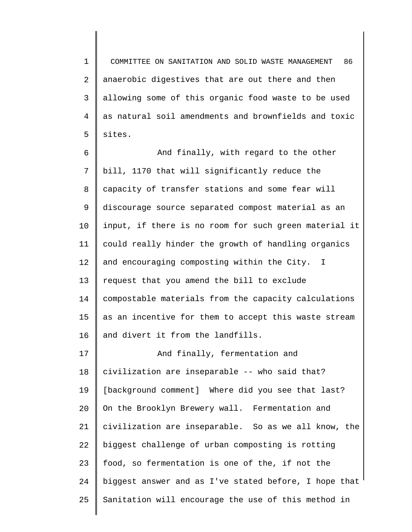1 2 3 4 5 COMMITTEE ON SANITATION AND SOLID WASTE MANAGEMENT 86 anaerobic digestives that are out there and then allowing some of this organic food waste to be used as natural soil amendments and brownfields and toxic sites.

6 7 8 9 10 11 12 13 14 15 16 17 And finally, with regard to the other bill, 1170 that will significantly reduce the capacity of transfer stations and some fear will discourage source separated compost material as an input, if there is no room for such green material it could really hinder the growth of handling organics and encouraging composting within the City. I request that you amend the bill to exclude compostable materials from the capacity calculations as an incentive for them to accept this waste stream and divert it from the landfills. And finally, fermentation and

18 19 20 21 22 23 24 25 civilization are inseparable -- who said that? [background comment] Where did you see that last? On the Brooklyn Brewery wall. Fermentation and civilization are inseparable. So as we all know, the biggest challenge of urban composting is rotting food, so fermentation is one of the, if not the biggest answer and as I've stated before, I hope that Sanitation will encourage the use of this method in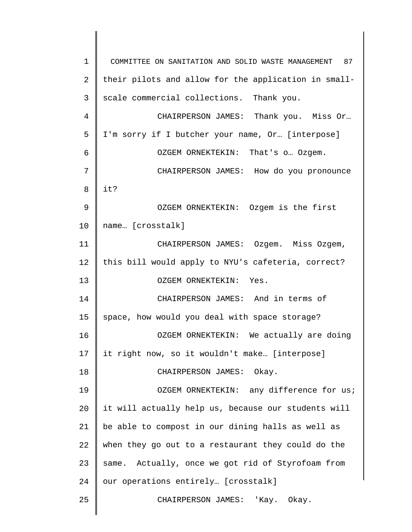| $\mathbf 1$    | COMMITTEE ON SANITATION AND SOLID WASTE MANAGEMENT 87 |
|----------------|-------------------------------------------------------|
| $\overline{2}$ | their pilots and allow for the application in small-  |
| 3              | scale commercial collections. Thank you.              |
| 4              | CHAIRPERSON JAMES: Thank you. Miss Or                 |
| 5              | I'm sorry if I butcher your name, Or [interpose]      |
| 6              | OZGEM ORNEKTEKIN: That's o Ozgem.                     |
| 7              | CHAIRPERSON JAMES: How do you pronounce               |
| 8              | it?                                                   |
| 9              | OZGEM ORNEKTEKIN: Ozgem is the first                  |
| 10             | name [crosstalk]                                      |
| 11             | CHAIRPERSON JAMES: Ozgem. Miss Ozgem,                 |
| 12             | this bill would apply to NYU's cafeteria, correct?    |
| 13             | OZGEM ORNEKTEKIN: Yes.                                |
| 14             | CHAIRPERSON JAMES: And in terms of                    |
| 15             | space, how would you deal with space storage?         |
| 16             | OZGEM ORNEKTEKIN: We actually are doing               |
| 17             | it right now, so it wouldn't make [interpose]         |
| 18             | CHAIRPERSON JAMES: Okay.                              |
| 19             | OZGEM ORNEKTEKIN: any difference for us;              |
| 20             | it will actually help us, because our students will   |
| 21             | be able to compost in our dining halls as well as     |
| 22             | when they go out to a restaurant they could do the    |
| 23             | same. Actually, once we got rid of Styrofoam from     |
| 24             | our operations entirely [crosstalk]                   |
| 25             | CHAIRPERSON JAMES: 'Kay. Okay.                        |
|                |                                                       |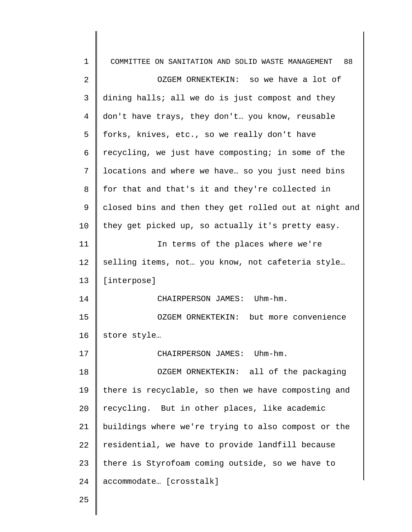| $\mathbf 1$  | COMMITTEE ON SANITATION AND SOLID WASTE MANAGEMENT<br>88 |
|--------------|----------------------------------------------------------|
| 2            | OZGEM ORNEKTEKIN: so we have a lot of                    |
| $\mathsf{3}$ | dining halls; all we do is just compost and they         |
| 4            | don't have trays, they don't you know, reusable          |
| 5            | forks, knives, etc., so we really don't have             |
| 6            | recycling, we just have composting; in some of the       |
| 7            | locations and where we have so you just need bins        |
| 8            | for that and that's it and they're collected in          |
| 9            | closed bins and then they get rolled out at night and    |
| 10           | they get picked up, so actually it's pretty easy.        |
| 11           | In terms of the places where we're                       |
| 12           | selling items, not. you know, not cafeteria style        |
| 13           | [interpose]                                              |
| 14           | CHAIRPERSON JAMES: Uhm-hm.                               |
| 15           | OZGEM ORNEKTEKIN: but more convenience                   |
| 16           | store style                                              |
| 17           | CHAIRPERSON JAMES: Uhm-hm.                               |
| 18           | OZGEM ORNEKTEKIN: all of the packaging                   |
| 19           | there is recyclable, so then we have composting and      |
| 20           | recycling. But in other places, like academic            |
| 21           | buildings where we're trying to also compost or the      |
| 22           | residential, we have to provide landfill because         |
| 23           | there is Styrofoam coming outside, so we have to         |
| 24           | accommodate [crosstalk]                                  |
| 25           |                                                          |

∥ ∥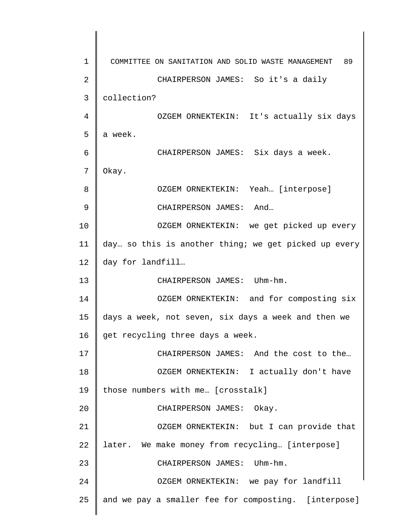| 1  | COMMITTEE ON SANITATION AND SOLID WASTE MANAGEMENT<br>89 |
|----|----------------------------------------------------------|
| 2  | CHAIRPERSON JAMES: So it's a daily                       |
| 3  | collection?                                              |
| 4  | OZGEM ORNEKTEKIN: It's actually six days                 |
| 5  | a week.                                                  |
| 6  | CHAIRPERSON JAMES: Six days a week.                      |
| 7  | Okay.                                                    |
| 8  | OZGEM ORNEKTEKIN: Yeah [interpose]                       |
| 9  | CHAIRPERSON JAMES: And                                   |
| 10 | OZGEM ORNEKTEKIN: we get picked up every                 |
| 11 | day so this is another thing; we get picked up every     |
| 12 | day for landfill                                         |
| 13 | CHAIRPERSON JAMES: Uhm-hm.                               |
| 14 | OZGEM ORNEKTEKIN: and for composting six                 |
| 15 | days a week, not seven, six days a week and then we      |
| 16 | get recycling three days a week.                         |
| 17 | CHAIRPERSON JAMES: And the cost to the                   |
| 18 | OZGEM ORNEKTEKIN: I actually don't have                  |
| 19 | those numbers with me [crosstalk]                        |
| 20 | CHAIRPERSON JAMES: Okay.                                 |
| 21 | OZGEM ORNEKTEKIN: but I can provide that                 |
| 22 | later. We make money from recycling [interpose]          |
| 23 | $Uhm-hm$ .<br>CHAIRPERSON JAMES:                         |
| 24 | OZGEM ORNEKTEKIN: we pay for landfill                    |
| 25 | and we pay a smaller fee for composting. [interpose]     |
|    |                                                          |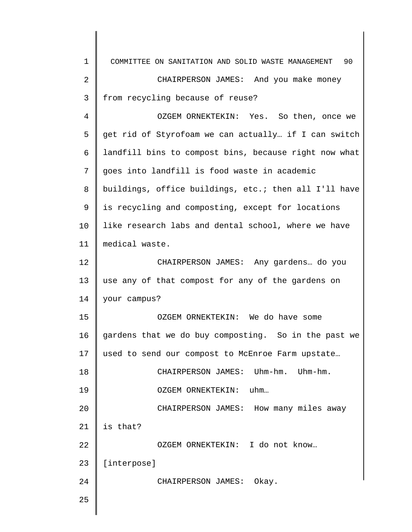| $\mathbf 1$ | 90<br>COMMITTEE ON SANITATION AND SOLID WASTE MANAGEMENT |
|-------------|----------------------------------------------------------|
| 2           | CHAIRPERSON JAMES: And you make money                    |
| 3           | from recycling because of reuse?                         |
| 4           | OZGEM ORNEKTEKIN: Yes. So then, once we                  |
| 5           | get rid of Styrofoam we can actually if I can switch     |
| 6           | landfill bins to compost bins, because right now what    |
| 7           | goes into landfill is food waste in academic             |
| 8           | buildings, office buildings, etc.; then all I'll have    |
| 9           | is recycling and composting, except for locations        |
| 10          | like research labs and dental school, where we have      |
| 11          | medical waste.                                           |
| 12          | CHAIRPERSON JAMES: Any gardens do you                    |
| 13          | use any of that compost for any of the gardens on        |
| 14          | your campus?                                             |
| 15          | OZGEM ORNEKTEKIN: We do have some                        |
| 16          | gardens that we do buy composting. So in the past we     |
| 17          | used to send our compost to McEnroe Farm upstate         |
| 18          | CHAIRPERSON JAMES: Uhm-hm. Uhm-hm.                       |
| 19          | OZGEM ORNEKTEKIN: uhm                                    |
| 20          | CHAIRPERSON JAMES: How many miles away                   |
| 21          | is that?                                                 |
| 22          | OZGEM ORNEKTEKIN: I do not know                          |
| 23          | [interpose]                                              |
| 24          | CHAIRPERSON JAMES: Okay.                                 |
| 25          |                                                          |
|             |                                                          |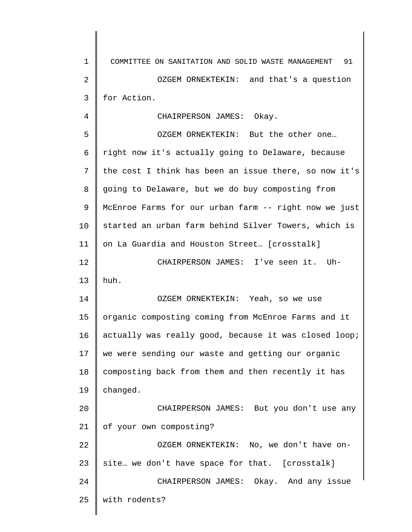1 2 3 4 5 6 7 8 9 10 11 12 13 14 15 16 17 18 19 20 21 22 23 24 25 COMMITTEE ON SANITATION AND SOLID WASTE MANAGEMENT 91 OZGEM ORNEKTEKIN: and that's a question for Action. CHAIRPERSON JAMES: Okay. OZGEM ORNEKTEKIN: But the other one… right now it's actually going to Delaware, because the cost I think has been an issue there, so now it's going to Delaware, but we do buy composting from McEnroe Farms for our urban farm -- right now we just started an urban farm behind Silver Towers, which is on La Guardia and Houston Street… [crosstalk] CHAIRPERSON JAMES: I've seen it. Uhhuh. OZGEM ORNEKTEKIN: Yeah, so we use organic composting coming from McEnroe Farms and it actually was really good, because it was closed loop; we were sending our waste and getting our organic composting back from them and then recently it has changed. CHAIRPERSON JAMES: But you don't use any of your own composting? OZGEM ORNEKTEKIN: No, we don't have onsite… we don't have space for that. [crosstalk] CHAIRPERSON JAMES: Okay. And any issue with rodents?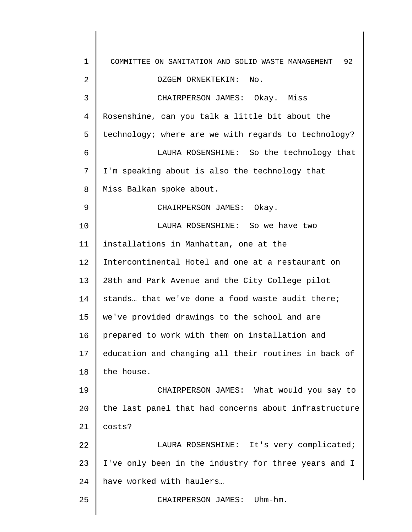1 2 3 4 5 6 7 8 9 10 11 12 13 14 15 16 17 18 19 20 21 22 23 24 25 COMMITTEE ON SANITATION AND SOLID WASTE MANAGEMENT 92 OZGEM ORNEKTEKIN: No. CHAIRPERSON JAMES: Okay. Miss Rosenshine, can you talk a little bit about the technology; where are we with regards to technology? LAURA ROSENSHINE: So the technology that I'm speaking about is also the technology that Miss Balkan spoke about. CHAIRPERSON JAMES: Okay. LAURA ROSENSHINE: So we have two installations in Manhattan, one at the Intercontinental Hotel and one at a restaurant on 28th and Park Avenue and the City College pilot stands… that we've done a food waste audit there; we've provided drawings to the school and are prepared to work with them on installation and education and changing all their routines in back of the house. CHAIRPERSON JAMES: What would you say to the last panel that had concerns about infrastructure costs? LAURA ROSENSHINE: It's very complicated; I've only been in the industry for three years and I have worked with haulers… CHAIRPERSON JAMES: Uhm-hm.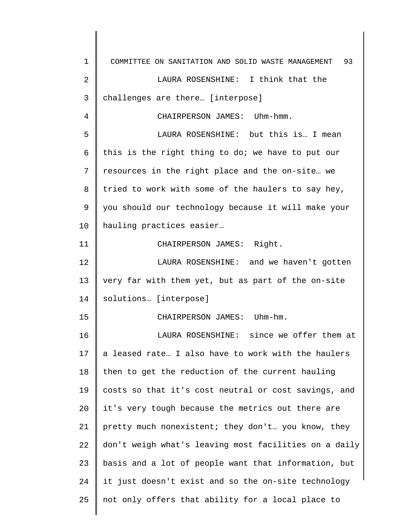1 2 3 4 5 6 7 8 9 10 11 12 13 14 15 16 17 18 19 20 21 22 23 24 25 COMMITTEE ON SANITATION AND SOLID WASTE MANAGEMENT 93 LAURA ROSENSHINE: I think that the challenges are there… [interpose] CHAIRPERSON JAMES: Uhm-hmm. LAURA ROSENSHINE: but this is… I mean this is the right thing to do; we have to put our resources in the right place and the on-site… we tried to work with some of the haulers to say hey, you should our technology because it will make your hauling practices easier… CHAIRPERSON JAMES: Right. LAURA ROSENSHINE: and we haven't gotten very far with them yet, but as part of the on-site solutions… [interpose] CHAIRPERSON JAMES: Uhm-hm. LAURA ROSENSHINE: since we offer them at a leased rate… I also have to work with the haulers then to get the reduction of the current hauling costs so that it's cost neutral or cost savings, and it's very tough because the metrics out there are pretty much nonexistent; they don't… you know, they don't weigh what's leaving most facilities on a daily basis and a lot of people want that information, but it just doesn't exist and so the on-site technology not only offers that ability for a local place to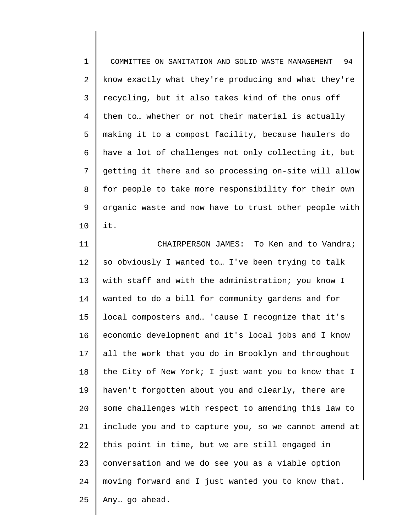1 2 3 4 5 6 7 8 9 10 COMMITTEE ON SANITATION AND SOLID WASTE MANAGEMENT 94 know exactly what they're producing and what they're recycling, but it also takes kind of the onus off them to… whether or not their material is actually making it to a compost facility, because haulers do have a lot of challenges not only collecting it, but getting it there and so processing on-site will allow for people to take more responsibility for their own organic waste and now have to trust other people with it.

11 12 13 14 15 16 17 18 19 20 21 22 23 24 25 CHAIRPERSON JAMES: To Ken and to Vandra; so obviously I wanted to… I've been trying to talk with staff and with the administration; you know I wanted to do a bill for community gardens and for local composters and… 'cause I recognize that it's economic development and it's local jobs and I know all the work that you do in Brooklyn and throughout the City of New York; I just want you to know that I haven't forgotten about you and clearly, there are some challenges with respect to amending this law to include you and to capture you, so we cannot amend at this point in time, but we are still engaged in conversation and we do see you as a viable option moving forward and I just wanted you to know that. Any… go ahead.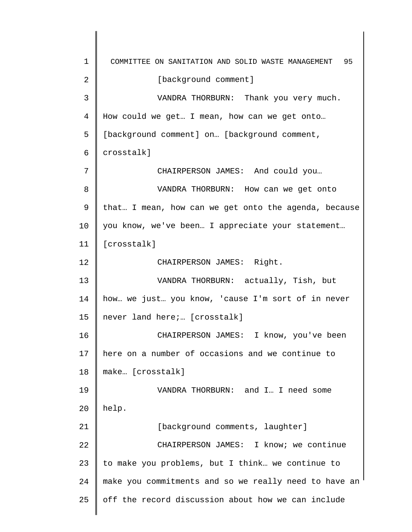1 2 3 4 5 6 7 8 9 10 11 12 13 14 15 16 17 18 19 20 21 22 23 24 25 COMMITTEE ON SANITATION AND SOLID WASTE MANAGEMENT 95 [background comment] VANDRA THORBURN: Thank you very much. How could we get… I mean, how can we get onto… [background comment] on... [background comment, crosstalk] CHAIRPERSON JAMES: And could you… VANDRA THORBURN: How can we get onto that… I mean, how can we get onto the agenda, because you know, we've been… I appreciate your statement… [crosstalk] CHAIRPERSON JAMES: Right. VANDRA THORBURN: actually, Tish, but how… we just… you know, 'cause I'm sort of in never never land here;… [crosstalk] CHAIRPERSON JAMES: I know, you've been here on a number of occasions and we continue to make… [crosstalk] VANDRA THORBURN: and I… I need some help. [background comments, laughter] CHAIRPERSON JAMES: I know; we continue to make you problems, but I think… we continue to make you commitments and so we really need to have an off the record discussion about how we can include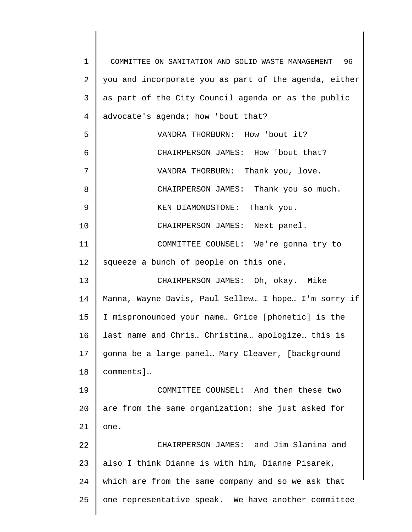1 2 3 4 5 6 7 8 9 10 11 12 13 14 15 16 17 18 19 20 21 22 23 24 25 COMMITTEE ON SANITATION AND SOLID WASTE MANAGEMENT 96 you and incorporate you as part of the agenda, either as part of the City Council agenda or as the public advocate's agenda; how 'bout that? VANDRA THORBURN: How 'bout it? CHAIRPERSON JAMES: How 'bout that? VANDRA THORBURN: Thank you, love. CHAIRPERSON JAMES: Thank you so much. KEN DIAMONDSTONE: Thank you. CHAIRPERSON JAMES: Next panel. COMMITTEE COUNSEL: We're gonna try to squeeze a bunch of people on this one. CHAIRPERSON JAMES: Oh, okay. Mike Manna, Wayne Davis, Paul Sellew… I hope… I'm sorry if I mispronounced your name… Grice [phonetic] is the last name and Chris… Christina… apologize… this is gonna be a large panel… Mary Cleaver, [background comments]… COMMITTEE COUNSEL: And then these two are from the same organization; she just asked for one. CHAIRPERSON JAMES: and Jim Slanina and also I think Dianne is with him, Dianne Pisarek, which are from the same company and so we ask that one representative speak. We have another committee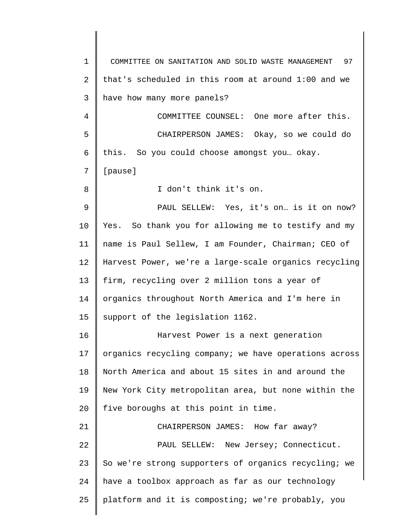| $\mathbf 1$ | COMMITTEE ON SANITATION AND SOLID WASTE MANAGEMENT 97 |
|-------------|-------------------------------------------------------|
| 2           | that's scheduled in this room at around 1:00 and we   |
| 3           | have how many more panels?                            |
| 4           | COMMITTEE COUNSEL: One more after this.               |
| 5           | CHAIRPERSON JAMES: Okay, so we could do               |
| 6           | this. So you could choose amongst you okay.           |
| 7           | [pause]                                               |
| 8           | I don't think it's on.                                |
| $\mathsf 9$ | PAUL SELLEW: Yes, it's on is it on now?               |
| 10          | Yes. So thank you for allowing me to testify and my   |
| 11          | name is Paul Sellew, I am Founder, Chairman; CEO of   |
| 12          | Harvest Power, we're a large-scale organics recycling |
| 13          | firm, recycling over 2 million tons a year of         |
| 14          | organics throughout North America and I'm here in     |
| 15          | support of the legislation 1162.                      |
| 16          | Harvest Power is a next generation                    |
| 17          | organics recycling company; we have operations across |
| 18          | North America and about 15 sites in and around the    |
| 19          | New York City metropolitan area, but none within the  |
| 20          | five boroughs at this point in time.                  |
| 21          | CHAIRPERSON JAMES: How far away?                      |
| 22          | PAUL SELLEW: New Jersey; Connecticut.                 |
| 23          | So we're strong supporters of organics recycling; we  |
| 24          | have a toolbox approach as far as our technology      |
| 25          | platform and it is composting; we're probably, you    |
|             |                                                       |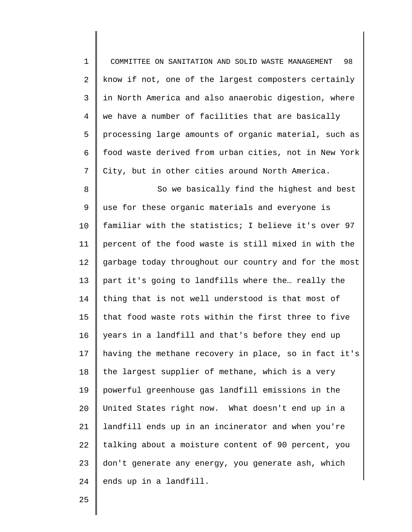| $\mathbf 1$    | 98<br>COMMITTEE ON SANITATION AND SOLID WASTE MANAGEMENT |
|----------------|----------------------------------------------------------|
| 2              | know if not, one of the largest composters certainly     |
| 3              | in North America and also anaerobic digestion, where     |
| $\overline{4}$ | we have a number of facilities that are basically        |
| 5              | processing large amounts of organic material, such as    |
| 6              | food waste derived from urban cities, not in New York    |
| 7              | City, but in other cities around North America.          |
| 8              | So we basically find the highest and best                |
| 9              | use for these organic materials and everyone is          |
| 10             | familiar with the statistics; I believe it's over 97     |
| 11             | percent of the food waste is still mixed in with the     |
| 12             | garbage today throughout our country and for the most    |
| 13             | part it's going to landfills where the really the        |
| 14             | thing that is not well understood is that most of        |
| 15             | that food waste rots within the first three to five      |
| 16             | years in a landfill and that's before they end up        |
| 17             | having the methane recovery in place, so in fact it's    |
| 18             | the largest supplier of methane, which is a very         |
| 19             | powerful greenhouse gas landfill emissions in the        |
| 20             | United States right now. What doesn't end up in a        |
| 21             | landfill ends up in an incinerator and when you're       |
| 22             | talking about a moisture content of 90 percent, you      |
| 23             | don't generate any energy, you generate ash, which       |
| 24             | ends up in a landfill.                                   |

25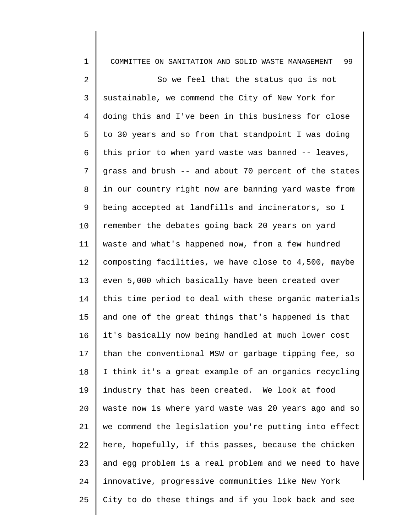| $\mathbf 1$    | 99<br>COMMITTEE ON SANITATION AND SOLID WASTE MANAGEMENT |
|----------------|----------------------------------------------------------|
| 2              | So we feel that the status quo is not                    |
| $\mathsf{3}$   | sustainable, we commend the City of New York for         |
| $\overline{4}$ | doing this and I've been in this business for close      |
| 5              | to 30 years and so from that standpoint I was doing      |
| 6              | this prior to when yard waste was banned -- leaves,      |
| 7              | grass and brush -- and about 70 percent of the states    |
| 8              | in our country right now are banning yard waste from     |
| 9              | being accepted at landfills and incinerators, so I       |
| 10             | remember the debates going back 20 years on yard         |
| 11             | waste and what's happened now, from a few hundred        |
| 12             | composting facilities, we have close to 4,500, maybe     |
| 13             | even 5,000 which basically have been created over        |
| 14             | this time period to deal with these organic materials    |
| 15             | and one of the great things that's happened is that      |
| 16             | it's basically now being handled at much lower cost      |
| 17             | than the conventional MSW or garbage tipping fee, so     |
| 18             | I think it's a great example of an organics recycling    |
| 19             | industry that has been created. We look at food          |
| 20             | waste now is where yard waste was 20 years ago and so    |
| 21             | we commend the legislation you're putting into effect    |
| 22             | here, hopefully, if this passes, because the chicken     |
| 23             | and egg problem is a real problem and we need to have    |
| 24             | innovative, progressive communities like New York        |
| 25             | City to do these things and if you look back and see     |
|                |                                                          |

║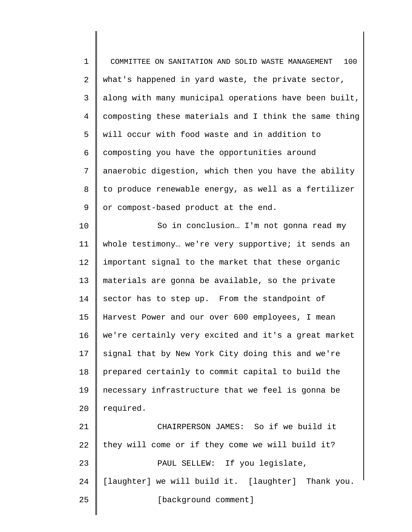1 2 3 4 5 6 7 8 9 10 11 12 13 14 15 16 17 18 19 20 21 22 23 24 25 COMMITTEE ON SANITATION AND SOLID WASTE MANAGEMENT 100 what's happened in yard waste, the private sector, along with many municipal operations have been built, composting these materials and I think the same thing will occur with food waste and in addition to composting you have the opportunities around anaerobic digestion, which then you have the ability to produce renewable energy, as well as a fertilizer or compost-based product at the end. So in conclusion… I'm not gonna read my whole testimony… we're very supportive; it sends an important signal to the market that these organic materials are gonna be available, so the private sector has to step up. From the standpoint of Harvest Power and our over 600 employees, I mean we're certainly very excited and it's a great market signal that by New York City doing this and we're prepared certainly to commit capital to build the necessary infrastructure that we feel is gonna be required. CHAIRPERSON JAMES: So if we build it they will come or if they come we will build it? PAUL SELLEW: If you legislate, [laughter] we will build it. [laughter] Thank you. [background comment]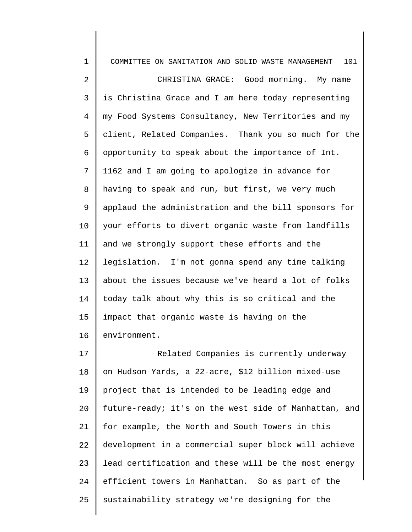1 2 3 4 5 6 7 8 9 10 11 12 13 14 15 16 17 18 19 20 21 COMMITTEE ON SANITATION AND SOLID WASTE MANAGEMENT 101 CHRISTINA GRACE: Good morning. My name is Christina Grace and I am here today representing my Food Systems Consultancy, New Territories and my client, Related Companies. Thank you so much for the opportunity to speak about the importance of Int. 1162 and I am going to apologize in advance for having to speak and run, but first, we very much applaud the administration and the bill sponsors for your efforts to divert organic waste from landfills and we strongly support these efforts and the legislation. I'm not gonna spend any time talking about the issues because we've heard a lot of folks today talk about why this is so critical and the impact that organic waste is having on the environment. Related Companies is currently underway on Hudson Yards, a 22-acre, \$12 billion mixed-use project that is intended to be leading edge and future-ready; it's on the west side of Manhattan, and for example, the North and South Towers in this

22 23 24 25 development in a commercial super block will achieve lead certification and these will be the most energy efficient towers in Manhattan. So as part of the sustainability strategy we're designing for the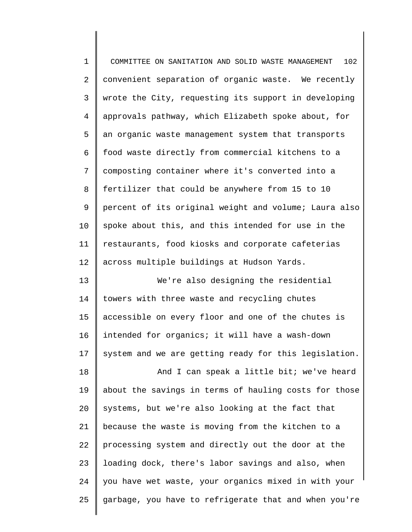| $\mathbf 1$    | 102<br>COMMITTEE ON SANITATION AND SOLID WASTE MANAGEMENT |
|----------------|-----------------------------------------------------------|
| 2              | convenient separation of organic waste. We recently       |
| 3              | wrote the City, requesting its support in developing      |
| $\overline{4}$ | approvals pathway, which Elizabeth spoke about, for       |
| 5              | an organic waste management system that transports        |
| 6              | food waste directly from commercial kitchens to a         |
| 7              | composting container where it's converted into a          |
| $\,8\,$        | fertilizer that could be anywhere from 15 to 10           |
| 9              | percent of its original weight and volume; Laura also     |
| 10             | spoke about this, and this intended for use in the        |
| 11             | restaurants, food kiosks and corporate cafeterias         |
| 12             | across multiple buildings at Hudson Yards.                |
| 13             | We're also designing the residential                      |
| 14             | towers with three waste and recycling chutes              |
| 15             | accessible on every floor and one of the chutes is        |
| 16             | intended for organics; it will have a wash-down           |
| 17             | system and we are getting ready for this legislation.     |
| 18             | And I can speak a little bit; we've heard                 |
| 19             | about the savings in terms of hauling costs for those     |
| 20             | systems, but we're also looking at the fact that          |
| 21             | because the waste is moving from the kitchen to a         |
| 22             | processing system and directly out the door at the        |
| 23             | loading dock, there's labor savings and also, when        |
| 24             | you have wet waste, your organics mixed in with your      |
| 25             | garbage, you have to refrigerate that and when you're     |
|                |                                                           |

∥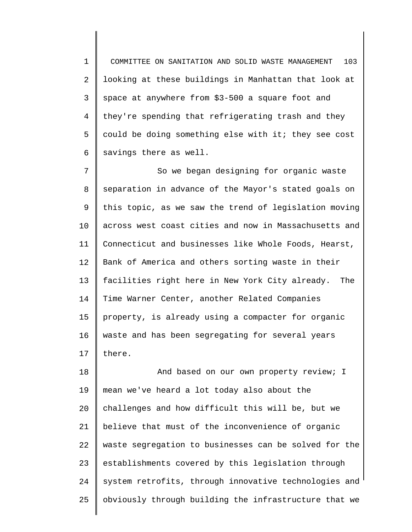1 2 3 4 5 6 COMMITTEE ON SANITATION AND SOLID WASTE MANAGEMENT 103 looking at these buildings in Manhattan that look at space at anywhere from \$3-500 a square foot and they're spending that refrigerating trash and they could be doing something else with it; they see cost savings there as well.

7 8 9 10 11 12 13 14 15 16 17 So we began designing for organic waste separation in advance of the Mayor's stated goals on this topic, as we saw the trend of legislation moving across west coast cities and now in Massachusetts and Connecticut and businesses like Whole Foods, Hearst, Bank of America and others sorting waste in their facilities right here in New York City already. The Time Warner Center, another Related Companies property, is already using a compacter for organic waste and has been segregating for several years there.

18 19 20 21 22 23 24 25 And based on our own property review; I mean we've heard a lot today also about the challenges and how difficult this will be, but we believe that must of the inconvenience of organic waste segregation to businesses can be solved for the establishments covered by this legislation through system retrofits, through innovative technologies and obviously through building the infrastructure that we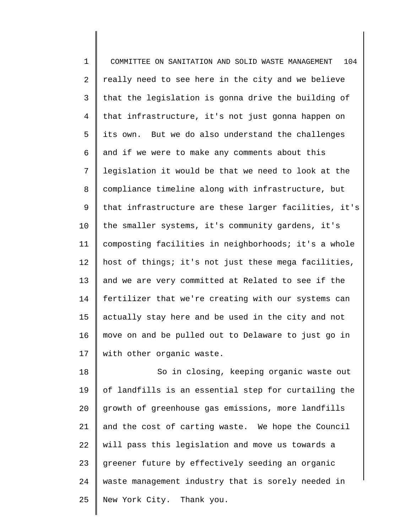1 2 3 4 5 6 7 8 9 10 11 12 13 14 15 16 17 COMMITTEE ON SANITATION AND SOLID WASTE MANAGEMENT 104 really need to see here in the city and we believe that the legislation is gonna drive the building of that infrastructure, it's not just gonna happen on its own. But we do also understand the challenges and if we were to make any comments about this legislation it would be that we need to look at the compliance timeline along with infrastructure, but that infrastructure are these larger facilities, it's the smaller systems, it's community gardens, it's composting facilities in neighborhoods; it's a whole host of things; it's not just these mega facilities, and we are very committed at Related to see if the fertilizer that we're creating with our systems can actually stay here and be used in the city and not move on and be pulled out to Delaware to just go in with other organic waste.

18 19 20 21 22 23 24 25 So in closing, keeping organic waste out of landfills is an essential step for curtailing the growth of greenhouse gas emissions, more landfills and the cost of carting waste. We hope the Council will pass this legislation and move us towards a greener future by effectively seeding an organic waste management industry that is sorely needed in New York City. Thank you.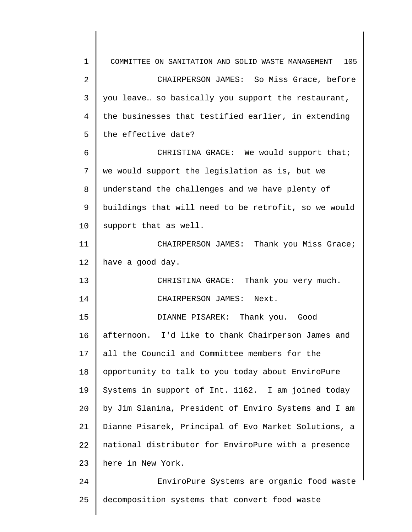1 2 3 4 5 6 7 8 9 10 11 12 13 14 15 16 17 18 19 20 21 22 23 24 25 COMMITTEE ON SANITATION AND SOLID WASTE MANAGEMENT 105 CHAIRPERSON JAMES: So Miss Grace, before you leave… so basically you support the restaurant, the businesses that testified earlier, in extending the effective date? CHRISTINA GRACE: We would support that; we would support the legislation as is, but we understand the challenges and we have plenty of buildings that will need to be retrofit, so we would support that as well. CHAIRPERSON JAMES: Thank you Miss Grace; have a good day. CHRISTINA GRACE: Thank you very much. CHAIRPERSON JAMES: Next. DIANNE PISAREK: Thank you. Good afternoon. I'd like to thank Chairperson James and all the Council and Committee members for the opportunity to talk to you today about EnviroPure Systems in support of Int. 1162. I am joined today by Jim Slanina, President of Enviro Systems and I am Dianne Pisarek, Principal of Evo Market Solutions, a national distributor for EnviroPure with a presence here in New York. EnviroPure Systems are organic food waste decomposition systems that convert food waste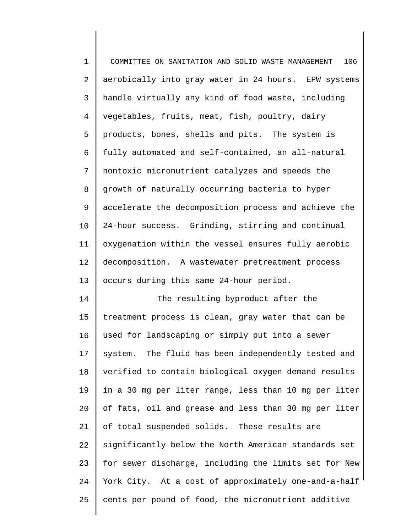1 2 3 4 5 6 7 8 9 10 11 12 13 14 15 16 17 18 COMMITTEE ON SANITATION AND SOLID WASTE MANAGEMENT 106 aerobically into gray water in 24 hours. EPW systems handle virtually any kind of food waste, including vegetables, fruits, meat, fish, poultry, dairy products, bones, shells and pits. The system is fully automated and self-contained, an all-natural nontoxic micronutrient catalyzes and speeds the growth of naturally occurring bacteria to hyper accelerate the decomposition process and achieve the 24-hour success. Grinding, stirring and continual oxygenation within the vessel ensures fully aerobic decomposition. A wastewater pretreatment process occurs during this same 24-hour period. The resulting byproduct after the treatment process is clean, gray water that can be used for landscaping or simply put into a sewer system. The fluid has been independently tested and verified to contain biological oxygen demand results

19 20 21 22 23 24 25 in a 30 mg per liter range, less than 10 mg per liter of fats, oil and grease and less than 30 mg per liter of total suspended solids. These results are significantly below the North American standards set for sewer discharge, including the limits set for New York City. At a cost of approximately one-and-a-half cents per pound of food, the micronutrient additive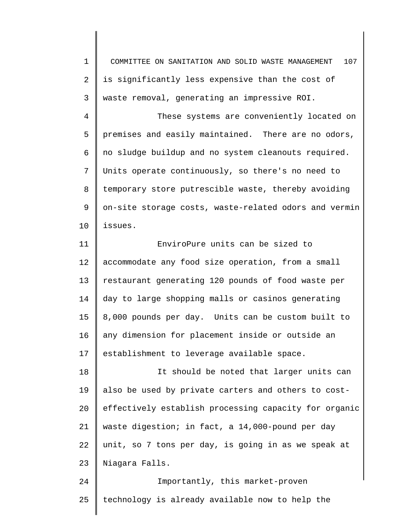1 2 3 4 5 6 7 8 9 10 11 12 13 14 15 16 17 18 19 20 21 22 23 24 25 COMMITTEE ON SANITATION AND SOLID WASTE MANAGEMENT 107 is significantly less expensive than the cost of waste removal, generating an impressive ROI. These systems are conveniently located on premises and easily maintained. There are no odors, no sludge buildup and no system cleanouts required. Units operate continuously, so there's no need to temporary store putrescible waste, thereby avoiding on-site storage costs, waste-related odors and vermin issues. EnviroPure units can be sized to accommodate any food size operation, from a small restaurant generating 120 pounds of food waste per day to large shopping malls or casinos generating 8,000 pounds per day. Units can be custom built to any dimension for placement inside or outside an establishment to leverage available space. It should be noted that larger units can also be used by private carters and others to costeffectively establish processing capacity for organic waste digestion; in fact, a 14,000-pound per day unit, so 7 tons per day, is going in as we speak at Niagara Falls. Importantly, this market-proven technology is already available now to help the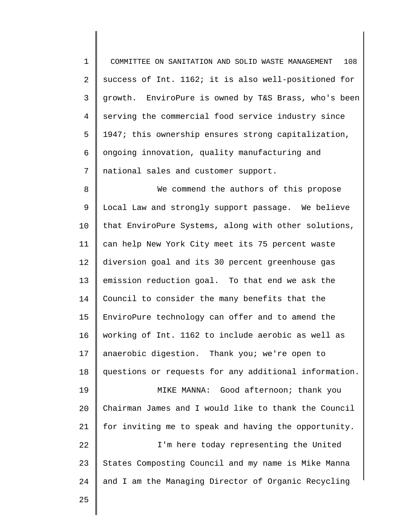1 2 3 4 5 6 7 COMMITTEE ON SANITATION AND SOLID WASTE MANAGEMENT 108 success of Int. 1162; it is also well-positioned for growth. EnviroPure is owned by T&S Brass, who's been serving the commercial food service industry since 1947; this ownership ensures strong capitalization, ongoing innovation, quality manufacturing and national sales and customer support.

8 9 10 11 12 13 14 15 16 17 18 19 20 21 22 23 We commend the authors of this propose Local Law and strongly support passage. We believe that EnviroPure Systems, along with other solutions, can help New York City meet its 75 percent waste diversion goal and its 30 percent greenhouse gas emission reduction goal. To that end we ask the Council to consider the many benefits that the EnviroPure technology can offer and to amend the working of Int. 1162 to include aerobic as well as anaerobic digestion. Thank you; we're open to questions or requests for any additional information. MIKE MANNA: Good afternoon; thank you Chairman James and I would like to thank the Council for inviting me to speak and having the opportunity. I'm here today representing the United States Composting Council and my name is Mike Manna

24 and I am the Managing Director of Organic Recycling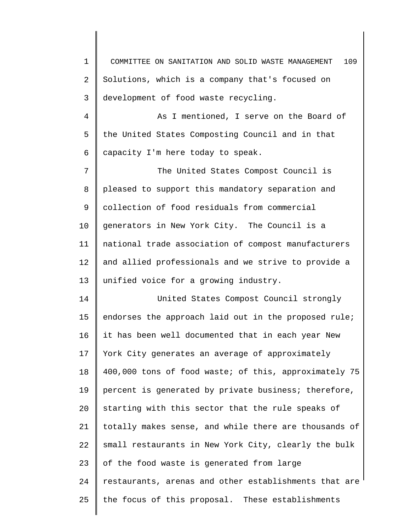1 2 3 4 5 6 7 8 9 10 11 12 13 14 15 16 17 18 19 20 21 22 23 24 25 COMMITTEE ON SANITATION AND SOLID WASTE MANAGEMENT 109 Solutions, which is a company that's focused on development of food waste recycling. As I mentioned, I serve on the Board of the United States Composting Council and in that capacity I'm here today to speak. The United States Compost Council is pleased to support this mandatory separation and collection of food residuals from commercial generators in New York City. The Council is a national trade association of compost manufacturers and allied professionals and we strive to provide a unified voice for a growing industry. United States Compost Council strongly endorses the approach laid out in the proposed rule; it has been well documented that in each year New York City generates an average of approximately 400,000 tons of food waste; of this, approximately 75 percent is generated by private business; therefore, starting with this sector that the rule speaks of totally makes sense, and while there are thousands of small restaurants in New York City, clearly the bulk of the food waste is generated from large restaurants, arenas and other establishments that are the focus of this proposal. These establishments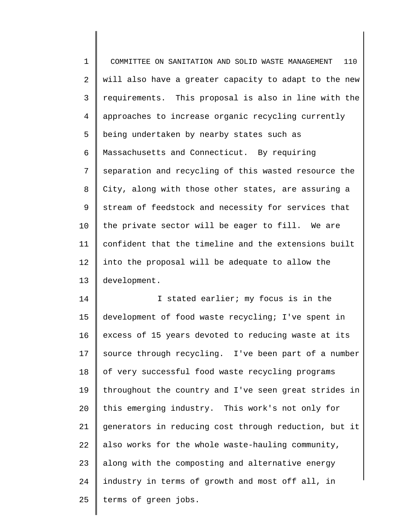1 2 3 4 5 6 7 8 9 10 11 12 13 COMMITTEE ON SANITATION AND SOLID WASTE MANAGEMENT 110 will also have a greater capacity to adapt to the new requirements. This proposal is also in line with the approaches to increase organic recycling currently being undertaken by nearby states such as Massachusetts and Connecticut. By requiring separation and recycling of this wasted resource the City, along with those other states, are assuring a stream of feedstock and necessity for services that the private sector will be eager to fill. We are confident that the timeline and the extensions built into the proposal will be adequate to allow the development.

14 15 16 17 18 19 20 21 22 23 24 25 I stated earlier; my focus is in the development of food waste recycling; I've spent in excess of 15 years devoted to reducing waste at its source through recycling. I've been part of a number of very successful food waste recycling programs throughout the country and I've seen great strides in this emerging industry. This work's not only for generators in reducing cost through reduction, but it also works for the whole waste-hauling community, along with the composting and alternative energy industry in terms of growth and most off all, in terms of green jobs.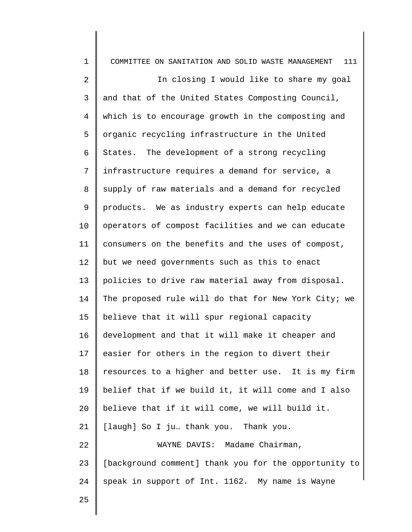1 2 3 4 5 6 7 8 9 10 11 12 13 14 15 16 17 18 19 20 21 22 23 24 25 COMMITTEE ON SANITATION AND SOLID WASTE MANAGEMENT 111 In closing I would like to share my goal and that of the United States Composting Council, which is to encourage growth in the composting and organic recycling infrastructure in the United States. The development of a strong recycling infrastructure requires a demand for service, a supply of raw materials and a demand for recycled products. We as industry experts can help educate operators of compost facilities and we can educate consumers on the benefits and the uses of compost, but we need governments such as this to enact policies to drive raw material away from disposal. The proposed rule will do that for New York City; we believe that it will spur regional capacity development and that it will make it cheaper and easier for others in the region to divert their resources to a higher and better use. It is my firm belief that if we build it, it will come and I also believe that if it will come, we will build it. [laugh] So I ju… thank you. Thank you. WAYNE DAVIS: Madame Chairman, [background comment] thank you for the opportunity to speak in support of Int. 1162. My name is Wayne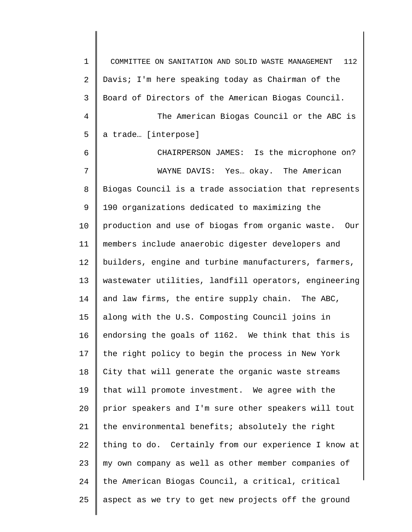1 2 3 4 5 6 7 8 9 10 11 12 13 14 15 16 17 18 19 20 21 22 23 24 25 COMMITTEE ON SANITATION AND SOLID WASTE MANAGEMENT 112 Davis; I'm here speaking today as Chairman of the Board of Directors of the American Biogas Council. The American Biogas Council or the ABC is a trade… [interpose] CHAIRPERSON JAMES: Is the microphone on? WAYNE DAVIS: Yes… okay. The American Biogas Council is a trade association that represents 190 organizations dedicated to maximizing the production and use of biogas from organic waste. Our members include anaerobic digester developers and builders, engine and turbine manufacturers, farmers, wastewater utilities, landfill operators, engineering and law firms, the entire supply chain. The ABC, along with the U.S. Composting Council joins in endorsing the goals of 1162. We think that this is the right policy to begin the process in New York City that will generate the organic waste streams that will promote investment. We agree with the prior speakers and I'm sure other speakers will tout the environmental benefits; absolutely the right thing to do. Certainly from our experience I know at my own company as well as other member companies of the American Biogas Council, a critical, critical aspect as we try to get new projects off the ground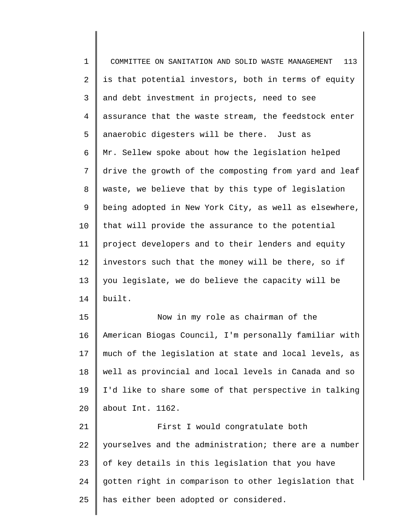1 2 3 4 5 6 7 8 9 10 11 12 13 14 15 16 17 18 19 20 21 22 23 24 25 COMMITTEE ON SANITATION AND SOLID WASTE MANAGEMENT 113 is that potential investors, both in terms of equity and debt investment in projects, need to see assurance that the waste stream, the feedstock enter anaerobic digesters will be there. Just as Mr. Sellew spoke about how the legislation helped drive the growth of the composting from yard and leaf waste, we believe that by this type of legislation being adopted in New York City, as well as elsewhere, that will provide the assurance to the potential project developers and to their lenders and equity investors such that the money will be there, so if you legislate, we do believe the capacity will be built. Now in my role as chairman of the American Biogas Council, I'm personally familiar with much of the legislation at state and local levels, as well as provincial and local levels in Canada and so I'd like to share some of that perspective in talking about Int. 1162. First I would congratulate both yourselves and the administration; there are a number of key details in this legislation that you have gotten right in comparison to other legislation that has either been adopted or considered.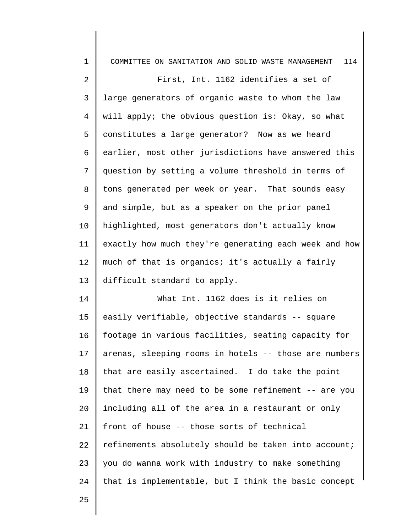| $\mathbf 1$    | 114<br>COMMITTEE ON SANITATION AND SOLID WASTE MANAGEMENT |
|----------------|-----------------------------------------------------------|
| $\overline{a}$ | First, Int. 1162 identifies a set of                      |
| 3              | large generators of organic waste to whom the law         |
| $\overline{4}$ | will apply; the obvious question is: Okay, so what        |
| 5              | constitutes a large generator? Now as we heard            |
| 6              | earlier, most other jurisdictions have answered this      |
| 7              | question by setting a volume threshold in terms of        |
| 8              | tons generated per week or year. That sounds easy         |
| 9              | and simple, but as a speaker on the prior panel           |
| 10             | highlighted, most generators don't actually know          |
| 11             | exactly how much they're generating each week and how     |
| 12             | much of that is organics; it's actually a fairly          |
| 13             | difficult standard to apply.                              |
| 14             | What Int. 1162 does is it relies on                       |
| 15             | easily verifiable, objective standards -- square          |
| 16             | footage in various facilities, seating capacity for       |
| 17             | arenas, sleeping rooms in hotels -- those are numbers     |
| 18             | that are easily ascertained. I do take the point          |
| 19             | that there may need to be some refinement -- are you      |
| 20             | including all of the area in a restaurant or only         |
| 21             | front of house -- those sorts of technical                |
| 22             | refinements absolutely should be taken into account;      |
| 23             | you do wanna work with industry to make something         |
| 24             | that is implementable, but I think the basic concept      |
|                |                                                           |

25

I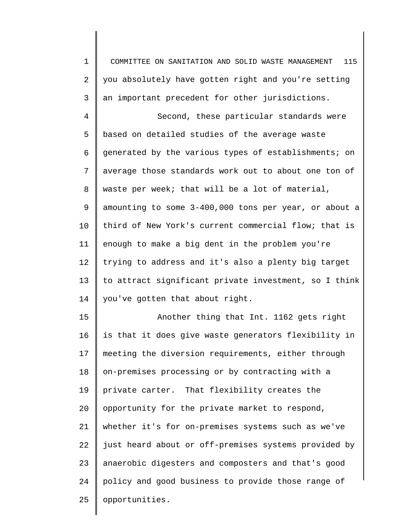1 2 3 COMMITTEE ON SANITATION AND SOLID WASTE MANAGEMENT 115 you absolutely have gotten right and you're setting an important precedent for other jurisdictions.

4 5 6 7 8 9 10 11 12 13 14 Second, these particular standards were based on detailed studies of the average waste generated by the various types of establishments; on average those standards work out to about one ton of waste per week; that will be a lot of material, amounting to some 3-400,000 tons per year, or about a third of New York's current commercial flow; that is enough to make a big dent in the problem you're trying to address and it's also a plenty big target to attract significant private investment, so I think you've gotten that about right.

15 16 17 18 19 20 21 22 23 24 25 Another thing that Int. 1162 gets right is that it does give waste generators flexibility in meeting the diversion requirements, either through on-premises processing or by contracting with a private carter. That flexibility creates the opportunity for the private market to respond, whether it's for on-premises systems such as we've just heard about or off-premises systems provided by anaerobic digesters and composters and that's good policy and good business to provide those range of opportunities.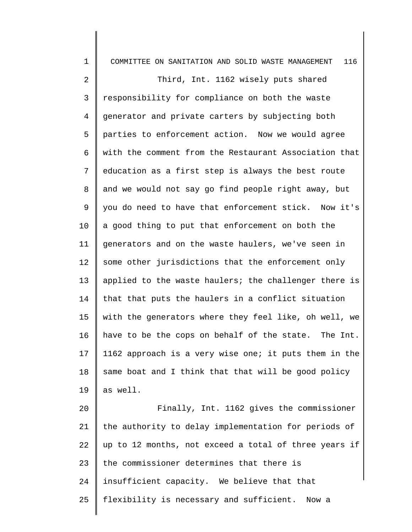| $\mathbf 1$     | 116<br>COMMITTEE ON SANITATION AND SOLID WASTE MANAGEMENT |
|-----------------|-----------------------------------------------------------|
| 2               | Third, Int. 1162 wisely puts shared                       |
| 3               | responsibility for compliance on both the waste           |
| $\overline{4}$  | generator and private carters by subjecting both          |
| 5               | parties to enforcement action. Now we would agree         |
| 6               | with the comment from the Restaurant Association that     |
| 7               | education as a first step is always the best route        |
| 8               | and we would not say go find people right away, but       |
| 9               | you do need to have that enforcement stick. Now it's      |
| $10 \,$         | a good thing to put that enforcement on both the          |
| 11              | generators and on the waste haulers, we've seen in        |
| 12              | some other jurisdictions that the enforcement only        |
| 13              | applied to the waste haulers; the challenger there is     |
| 14              | that that puts the haulers in a conflict situation        |
| 15              | with the generators where they feel like, oh well, we     |
| 16              | have to be the cops on behalf of the state. The Int.      |
| 17 <sub>2</sub> | 1162 approach is a very wise one; it puts them in the     |
| 18              | same boat and I think that that will be good policy       |
| 19              | as well.                                                  |
| 20              | Finally, Int. 1162 gives the commissioner                 |
| 21              | the authority to delay implementation for periods of      |
| 22              | up to 12 months, not exceed a total of three years if     |
| 23              | the commissioner determines that there is                 |
| 24              | insufficient capacity. We believe that that               |
| 25              | flexibility is necessary and sufficient. Now a            |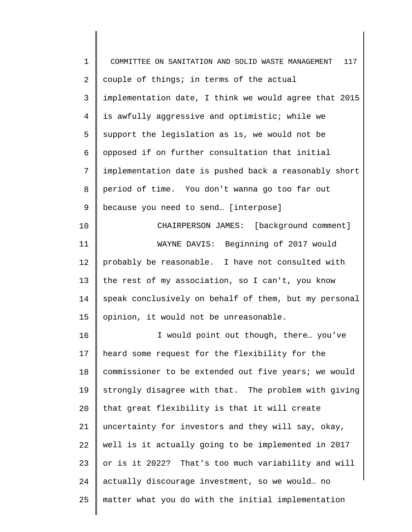| $\mathbf 1$ | COMMITTEE ON SANITATION AND SOLID WASTE MANAGEMENT<br>117 |
|-------------|-----------------------------------------------------------|
| 2           | couple of things; in terms of the actual                  |
| 3           | implementation date, I think we would agree that 2015     |
| 4           | is awfully aggressive and optimistic; while we            |
| 5           | support the legislation as is, we would not be            |
| 6           | opposed if on further consultation that initial           |
| 7           | implementation date is pushed back a reasonably short     |
| 8           | period of time. You don't wanna go too far out            |
| 9           | because you need to send [interpose]                      |
| 10          | CHAIRPERSON JAMES: [background comment]                   |
| 11          | WAYNE DAVIS: Beginning of 2017 would                      |
| 12          | probably be reasonable. I have not consulted with         |
| 13          | the rest of my association, so I can't, you know          |
| 14          | speak conclusively on behalf of them, but my personal     |
| 15          | opinion, it would not be unreasonable.                    |
| 16          | I would point out though, there you've                    |
| 17          | heard some request for the flexibility for the            |
| 18          | commissioner to be extended out five years; we would      |
| 19          | strongly disagree with that. The problem with giving      |
| 20          | that great flexibility is that it will create             |
| 21          | uncertainty for investors and they will say, okay,        |
| 22          | well is it actually going to be implemented in 2017       |
| 23          | or is it 2022? That's too much variability and will       |
| 24          | actually discourage investment, so we would no            |
| 25          | matter what you do with the initial implementation        |
|             |                                                           |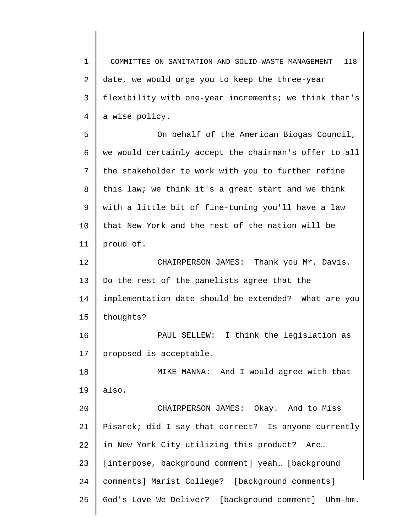1 2 3 4 5 6 7 8 9 10 11 12 13 14 15 16 17 18 19 20 21 22 23 24 25 COMMITTEE ON SANITATION AND SOLID WASTE MANAGEMENT 118 date, we would urge you to keep the three-year flexibility with one-year increments; we think that's a wise policy. On behalf of the American Biogas Council, we would certainly accept the chairman's offer to all the stakeholder to work with you to further refine this law; we think it's a great start and we think with a little bit of fine-tuning you'll have a law that New York and the rest of the nation will be proud of. CHAIRPERSON JAMES: Thank you Mr. Davis. Do the rest of the panelists agree that the implementation date should be extended? What are you thoughts? PAUL SELLEW: I think the legislation as proposed is acceptable. MIKE MANNA: And I would agree with that also. CHAIRPERSON JAMES: Okay. And to Miss Pisarek; did I say that correct? Is anyone currently in New York City utilizing this product? Are… [interpose, background comment] yeah... [background comments] Marist College? [background comments] God's Love We Deliver? [background comment] Uhm-hm.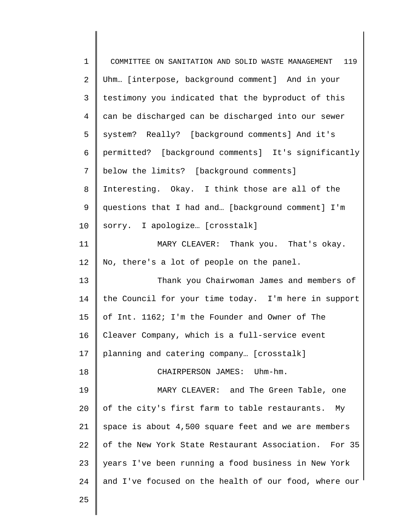| $\mathbf 1$    | COMMITTEE ON SANITATION AND SOLID WASTE MANAGEMENT<br>119 |
|----------------|-----------------------------------------------------------|
| 2              | Uhm [interpose, background comment] And in your           |
| $\mathsf{3}$   | testimony you indicated that the byproduct of this        |
| $\overline{4}$ | can be discharged can be discharged into our sewer        |
| 5              | system? Really? [background comments] And it's            |
| 6              | permitted? [background comments] It's significantly       |
| 7              | below the limits? [background comments]                   |
| 8              | Interesting. Okay. I think those are all of the           |
| 9              | questions that I had and [background comment] I'm         |
| 10             | sorry. I apologize [crosstalk]                            |
| 11             | MARY CLEAVER: Thank you. That's okay.                     |
| 12             | No, there's a lot of people on the panel.                 |
| 13             | Thank you Chairwoman James and members of                 |
| 14             | the Council for your time today. I'm here in support      |
| 15             | of Int. 1162; I'm the Founder and Owner of The            |
| 16             | Cleaver Company, which is a full-service event            |
| 17             | planning and catering company [crosstalk]                 |
| 18             | CHAIRPERSON JAMES: Uhm-hm.                                |
| 19             | MARY CLEAVER: and The Green Table, one                    |
| 20             | of the city's first farm to table restaurants. My         |
| 21             | space is about 4,500 square feet and we are members       |
| 22             | of the New York State Restaurant Association. For 35      |
| 23             | years I've been running a food business in New York       |
| 24             | and I've focused on the health of our food, where our     |
| 25             |                                                           |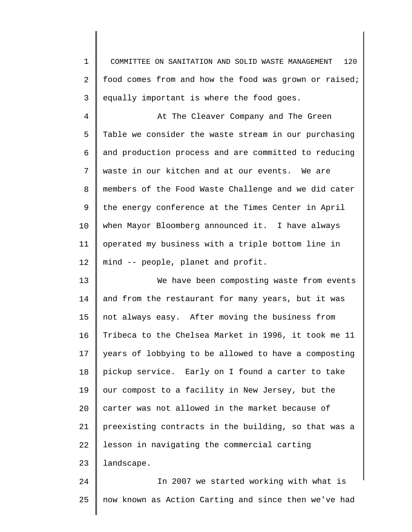1 2 3 COMMITTEE ON SANITATION AND SOLID WASTE MANAGEMENT 120 food comes from and how the food was grown or raised; equally important is where the food goes.

4 5 6 7 8 9 10 11 12 At The Cleaver Company and The Green Table we consider the waste stream in our purchasing and production process and are committed to reducing waste in our kitchen and at our events. We are members of the Food Waste Challenge and we did cater the energy conference at the Times Center in April when Mayor Bloomberg announced it. I have always operated my business with a triple bottom line in mind -- people, planet and profit.

13 14 15 16 17 18 19 20 21 22 23 We have been composting waste from events and from the restaurant for many years, but it was not always easy. After moving the business from Tribeca to the Chelsea Market in 1996, it took me 11 years of lobbying to be allowed to have a composting pickup service. Early on I found a carter to take our compost to a facility in New Jersey, but the carter was not allowed in the market because of preexisting contracts in the building, so that was a lesson in navigating the commercial carting landscape.

24 25 In 2007 we started working with what is now known as Action Carting and since then we've had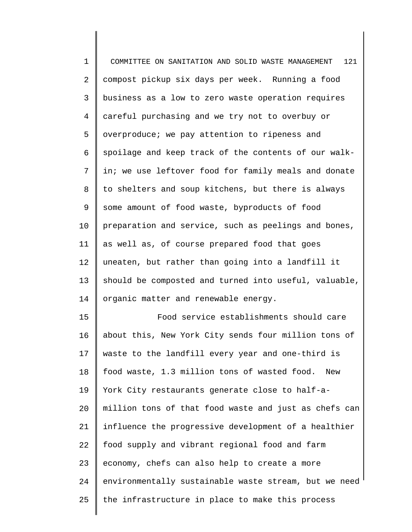| $\mathbf 1$    | 121                                                   |
|----------------|-------------------------------------------------------|
|                | COMMITTEE ON SANITATION AND SOLID WASTE MANAGEMENT    |
| 2              | compost pickup six days per week. Running a food      |
| $\mathsf{3}$   | business as a low to zero waste operation requires    |
| $\overline{4}$ | careful purchasing and we try not to overbuy or       |
| 5              | overproduce; we pay attention to ripeness and         |
| 6              | spoilage and keep track of the contents of our walk-  |
| 7              | in; we use leftover food for family meals and donate  |
| 8              | to shelters and soup kitchens, but there is always    |
| 9              | some amount of food waste, byproducts of food         |
| 10             | preparation and service, such as peelings and bones,  |
| 11             | as well as, of course prepared food that goes         |
| 12             | uneaten, but rather than going into a landfill it     |
| 13             | should be composted and turned into useful, valuable, |
| 14             | organic matter and renewable energy.                  |
| 15             | Food service establishments should care               |
| 16             | about this, New York City sends four million tons of  |
| 17             | waste to the landfill every year and one-third is     |
| 18             | food waste, 1.3 million tons of wasted food.<br>New   |
| 19             | York City restaurants generate close to half-a-       |
| 20             | million tons of that food waste and just as chefs can |
| 21             | influence the progressive development of a healthier  |
| 22             | food supply and vibrant regional food and farm        |
| 23             | economy, chefs can also help to create a more         |
| 24             | environmentally sustainable waste stream, but we need |

the infrastructure in place to make this process

25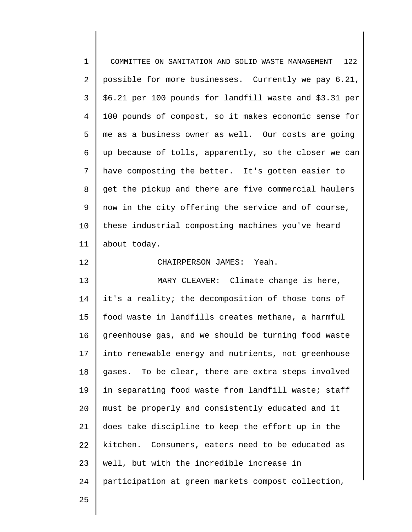| $\mathbf 1$    | 122<br>COMMITTEE ON SANITATION AND SOLID WASTE MANAGEMENT |
|----------------|-----------------------------------------------------------|
| $\overline{2}$ | possible for more businesses. Currently we pay 6.21,      |
| 3              | \$6.21 per 100 pounds for landfill waste and \$3.31 per   |
| $\overline{4}$ | 100 pounds of compost, so it makes economic sense for     |
| 5              | me as a business owner as well. Our costs are going       |
| 6              | up because of tolls, apparently, so the closer we can     |
| 7              | have composting the better. It's gotten easier to         |
| 8              | get the pickup and there are five commercial haulers      |
| 9              | now in the city offering the service and of course,       |
| 10             | these industrial composting machines you've heard         |
| 11             | about today.                                              |
| 12             | CHAIRPERSON JAMES: Yeah.                                  |
| 13             | MARY CLEAVER: Climate change is here,                     |
| 14             | it's a reality; the decomposition of those tons of        |
| 15             | food waste in landfills creates methane, a harmful        |
| 16             | greenhouse gas, and we should be turning food waste       |
| 17             | into renewable energy and nutrients, not greenhouse       |
| 18             | gases. To be clear, there are extra steps involved        |
| 19             | in separating food waste from landfill waste; staff       |
| 20             | must be properly and consistently educated and it         |
| 21             | does take discipline to keep the effort up in the         |
| 22             | kitchen. Consumers, eaters need to be educated as         |
| 23             | well, but with the incredible increase in                 |
| 24             | participation at green markets compost collection,        |
| 25             |                                                           |

25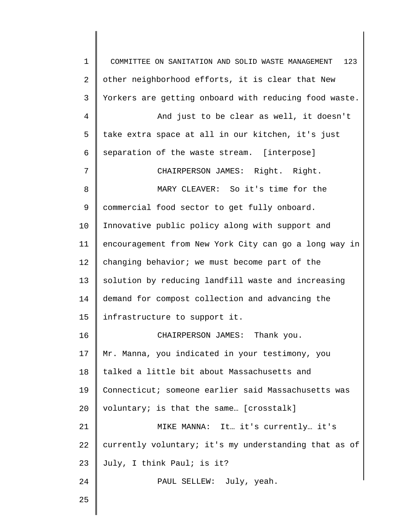1 2 3 4 5 6 7 8 9 10 11 12 13 14 15 16 17 18 19 20 21 22 23 24 25 COMMITTEE ON SANITATION AND SOLID WASTE MANAGEMENT 123 other neighborhood efforts, it is clear that New Yorkers are getting onboard with reducing food waste. And just to be clear as well, it doesn't take extra space at all in our kitchen, it's just separation of the waste stream. [interpose] CHAIRPERSON JAMES: Right. Right. MARY CLEAVER: So it's time for the commercial food sector to get fully onboard. Innovative public policy along with support and encouragement from New York City can go a long way in changing behavior; we must become part of the solution by reducing landfill waste and increasing demand for compost collection and advancing the infrastructure to support it. CHAIRPERSON JAMES: Thank you. Mr. Manna, you indicated in your testimony, you talked a little bit about Massachusetts and Connecticut; someone earlier said Massachusetts was voluntary; is that the same… [crosstalk] MIKE MANNA: It… it's currently… it's currently voluntary; it's my understanding that as of July, I think Paul; is it? PAUL SELLEW: July, yeah.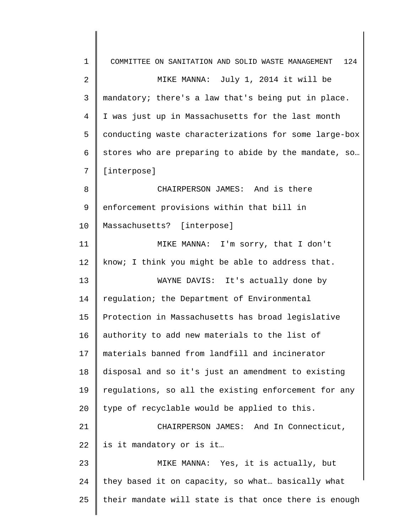| $\mathbf 1$    | 124<br>COMMITTEE ON SANITATION AND SOLID WASTE MANAGEMENT |
|----------------|-----------------------------------------------------------|
| $\overline{2}$ | MIKE MANNA: July 1, 2014 it will be                       |
| 3              | mandatory; there's a law that's being put in place.       |
| 4              | I was just up in Massachusetts for the last month         |
| 5              | conducting waste characterizations for some large-box     |
| 6              | stores who are preparing to abide by the mandate, so      |
| 7              | [interpose]                                               |
| 8              | CHAIRPERSON JAMES: And is there                           |
| 9              | enforcement provisions within that bill in                |
| 10             | Massachusetts? [interpose]                                |
| 11             | MIKE MANNA: I'm sorry, that I don't                       |
| 12             | know; I think you might be able to address that.          |
| 13             | WAYNE DAVIS: It's actually done by                        |
| 14             | regulation; the Department of Environmental               |
| 15             | Protection in Massachusetts has broad legislative         |
| 16             | authority to add new materials to the list of             |
| 17             | materials banned from landfill and incinerator            |
| 18             | disposal and so it's just an amendment to existing        |
| 19             | regulations, so all the existing enforcement for any      |
| 20             | type of recyclable would be applied to this.              |
| 21             | CHAIRPERSON JAMES: And In Connecticut,                    |
| 22             | is it mandatory or is it                                  |
| 23             | MIKE MANNA: Yes, it is actually, but                      |
| 24             | they based it on capacity, so what basically what         |
| 25             | their mandate will state is that once there is enough     |
|                |                                                           |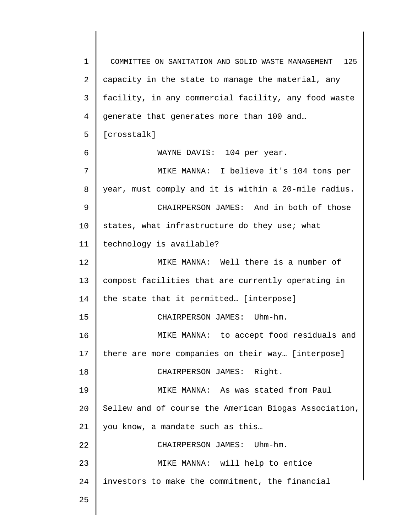1 2 3 4 5 6 7 8 9 10 11 12 13 14 15 16 17 18 19 20 21 22 23 24 25 COMMITTEE ON SANITATION AND SOLID WASTE MANAGEMENT 125 capacity in the state to manage the material, any facility, in any commercial facility, any food waste generate that generates more than 100 and… [crosstalk] WAYNE DAVIS: 104 per year. MIKE MANNA: I believe it's 104 tons per year, must comply and it is within a 20-mile radius. CHAIRPERSON JAMES: And in both of those states, what infrastructure do they use; what technology is available? MIKE MANNA: Well there is a number of compost facilities that are currently operating in the state that it permitted… [interpose] CHAIRPERSON JAMES: Uhm-hm. MIKE MANNA: to accept food residuals and there are more companies on their way… [interpose] CHAIRPERSON JAMES: Right. MIKE MANNA: As was stated from Paul Sellew and of course the American Biogas Association, you know, a mandate such as this… CHAIRPERSON JAMES: Uhm-hm. MIKE MANNA: will help to entice investors to make the commitment, the financial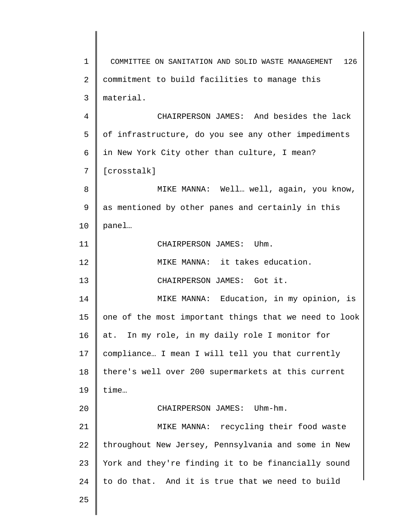1 2 3 4 5 6 7 8 9 10 11 12 13 14 15 16 17 18 19 20 21 22 23 24 25 COMMITTEE ON SANITATION AND SOLID WASTE MANAGEMENT 126 commitment to build facilities to manage this material. CHAIRPERSON JAMES: And besides the lack of infrastructure, do you see any other impediments in New York City other than culture, I mean? [crosstalk] MIKE MANNA: Well… well, again, you know, as mentioned by other panes and certainly in this panel… CHAIRPERSON JAMES: Uhm. MIKE MANNA: it takes education. CHAIRPERSON JAMES: Got it. MIKE MANNA: Education, in my opinion, is one of the most important things that we need to look at. In my role, in my daily role I monitor for compliance… I mean I will tell you that currently there's well over 200 supermarkets at this current time… CHAIRPERSON JAMES: Uhm-hm. MIKE MANNA: recycling their food waste throughout New Jersey, Pennsylvania and some in New York and they're finding it to be financially sound to do that. And it is true that we need to build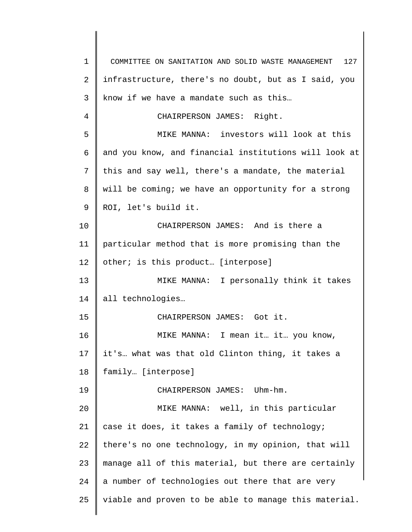1 2 3 4 5 6 7 8 9 10 11 12 13 14 15 16 17 18 19 20 21 22 23 24 25 COMMITTEE ON SANITATION AND SOLID WASTE MANAGEMENT 127 infrastructure, there's no doubt, but as I said, you know if we have a mandate such as this… CHAIRPERSON JAMES: Right. MIKE MANNA: investors will look at this and you know, and financial institutions will look at this and say well, there's a mandate, the material will be coming; we have an opportunity for a strong ROI, let's build it. CHAIRPERSON JAMES: And is there a particular method that is more promising than the other; is this product… [interpose] MIKE MANNA: I personally think it takes all technologies… CHAIRPERSON JAMES: Got it. MIKE MANNA: I mean it… it… you know, it's… what was that old Clinton thing, it takes a family… [interpose] CHAIRPERSON JAMES: Uhm-hm. MIKE MANNA: well, in this particular case it does, it takes a family of technology; there's no one technology, in my opinion, that will manage all of this material, but there are certainly a number of technologies out there that are very viable and proven to be able to manage this material.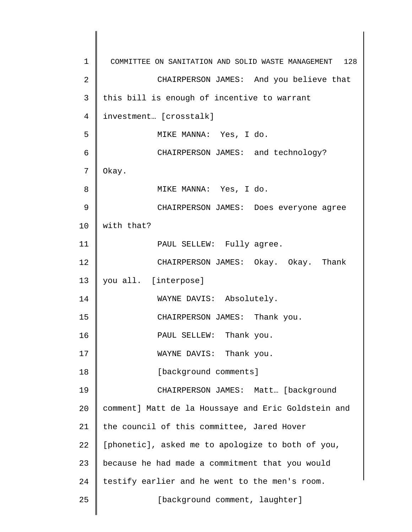1 2 3 4 5 6 7 8 9 10 11 12 13 14 15 16 17 18 19 20 21 22 23 24 25 COMMITTEE ON SANITATION AND SOLID WASTE MANAGEMENT 128 CHAIRPERSON JAMES: And you believe that this bill is enough of incentive to warrant investment… [crosstalk] MIKE MANNA: Yes, I do. CHAIRPERSON JAMES: and technology? Okay. MIKE MANNA: Yes, I do. CHAIRPERSON JAMES: Does everyone agree with that? PAUL SELLEW: Fully agree. CHAIRPERSON JAMES: Okay. Okay. Thank you all. [interpose] WAYNE DAVIS: Absolutely. CHAIRPERSON JAMES: Thank you. PAUL SELLEW: Thank you. WAYNE DAVIS: Thank you. [background comments] CHAIRPERSON JAMES: Matt… [background comment] Matt de la Houssaye and Eric Goldstein and the council of this committee, Jared Hover [phonetic], asked me to apologize to both of you, because he had made a commitment that you would testify earlier and he went to the men's room. [background comment, laughter]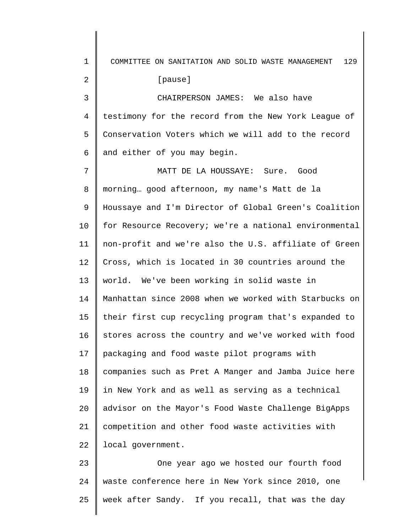1 2 3 4 5 6 7 8 9 10 11 12 13 14 15 16 17 18 19 20 21 22 23 24 COMMITTEE ON SANITATION AND SOLID WASTE MANAGEMENT 129 [pause] CHAIRPERSON JAMES: We also have testimony for the record from the New York League of Conservation Voters which we will add to the record and either of you may begin. MATT DE LA HOUSSAYE: Sure. Good morning… good afternoon, my name's Matt de la Houssaye and I'm Director of Global Green's Coalition for Resource Recovery; we're a national environmental non-profit and we're also the U.S. affiliate of Green Cross, which is located in 30 countries around the world. We've been working in solid waste in Manhattan since 2008 when we worked with Starbucks on their first cup recycling program that's expanded to stores across the country and we've worked with food packaging and food waste pilot programs with companies such as Pret A Manger and Jamba Juice here in New York and as well as serving as a technical advisor on the Mayor's Food Waste Challenge BigApps competition and other food waste activities with local government. One year ago we hosted our fourth food waste conference here in New York since 2010, one

week after Sandy. If you recall, that was the day

25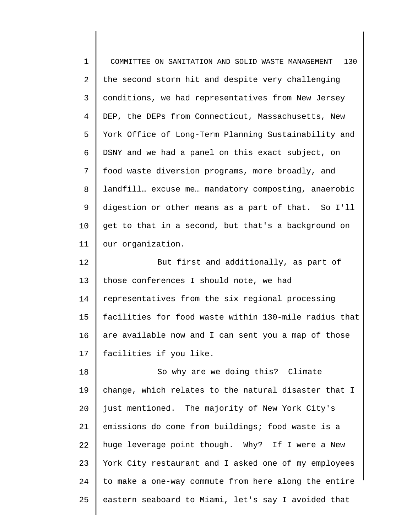| $\mathbf 1$ | 130<br>COMMITTEE ON SANITATION AND SOLID WASTE MANAGEMENT |
|-------------|-----------------------------------------------------------|
| 2           | the second storm hit and despite very challenging         |
| 3           | conditions, we had representatives from New Jersey        |
| 4           | DEP, the DEPs from Connecticut, Massachusetts, New        |
| 5           | York Office of Long-Term Planning Sustainability and      |
| 6           | DSNY and we had a panel on this exact subject, on         |
| 7           | food waste diversion programs, more broadly, and          |
| 8           | landfill excuse me mandatory composting, anaerobic        |
| 9           | digestion or other means as a part of that. So I'll       |
| $10 \,$     | get to that in a second, but that's a background on       |
| 11          | our organization.                                         |
| 12          | But first and additionally, as part of                    |
| 13          | those conferences I should note, we had                   |
| 14          | representatives from the six regional processing          |
| 15          | facilities for food waste within 130-mile radius that     |
| 16          | are available now and I can sent you a map of those       |
| 17          | facilities if you like.                                   |
| 18          | So why are we doing this? Climate                         |
| 19          | change, which relates to the natural disaster that I      |
| 20          | just mentioned. The majority of New York City's           |
| 21          | emissions do come from buildings; food waste is a         |
| 22          | huge leverage point though. Why? If I were a New          |
| 23          | York City restaurant and I asked one of my employees      |
| 24          | to make a one-way commute from here along the entire      |
| 25          | eastern seaboard to Miami, let's say I avoided that       |

 $\begin{array}{c} \hline \end{array}$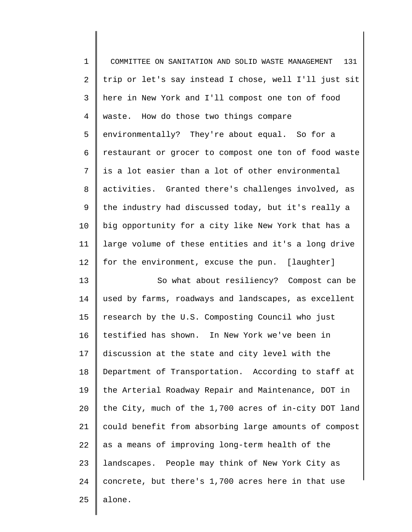| $\mathbf 1$    | 131<br>COMMITTEE ON SANITATION AND SOLID WASTE MANAGEMENT |
|----------------|-----------------------------------------------------------|
| $\overline{2}$ | trip or let's say instead I chose, well I'll just sit     |
| 3              | here in New York and I'll compost one ton of food         |
| $\overline{4}$ | waste. How do those two things compare                    |
| 5              | environmentally? They're about equal. So for a            |
| 6              | restaurant or grocer to compost one ton of food waste     |
| 7              | is a lot easier than a lot of other environmental         |
| 8              | activities. Granted there's challenges involved, as       |
| 9              | the industry had discussed today, but it's really a       |
| 10             | big opportunity for a city like New York that has a       |
| 11             | large volume of these entities and it's a long drive      |
| 12             | for the environment, excuse the pun. [laughter]           |
| 13             | So what about resiliency? Compost can be                  |
| 14             | used by farms, roadways and landscapes, as excellent      |
| 15             | research by the U.S. Composting Council who just          |
| 16             | testified has shown. In New York we've been in            |
| 17             | discussion at the state and city level with the           |
| 18             | Department of Transportation. According to staff at       |
| 19             | the Arterial Roadway Repair and Maintenance, DOT in       |
| 20             | the City, much of the 1,700 acres of in-city DOT land     |
| 21             | could benefit from absorbing large amounts of compost     |
| 22             | as a means of improving long-term health of the           |
| 23             | landscapes. People may think of New York City as          |
| 24             | concrete, but there's 1,700 acres here in that use        |
| 25             | alone.                                                    |
|                |                                                           |

 $\begin{array}{c} \hline \end{array}$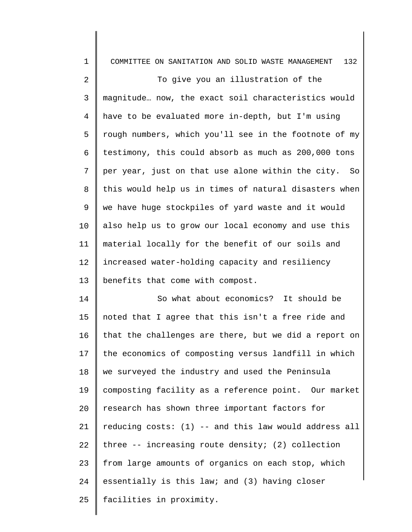| $\mathbf 1$ | 132<br>COMMITTEE ON SANITATION AND SOLID WASTE MANAGEMENT |
|-------------|-----------------------------------------------------------|
| 2           | To give you an illustration of the                        |
| 3           | magnitude now, the exact soil characteristics would       |
| 4           | have to be evaluated more in-depth, but I'm using         |
| 5           | rough numbers, which you'll see in the footnote of my     |
| 6           | testimony, this could absorb as much as 200,000 tons      |
| 7           | per year, just on that use alone within the city. So      |
| 8           | this would help us in times of natural disasters when     |
| 9           | we have huge stockpiles of yard waste and it would        |
| 10          | also help us to grow our local economy and use this       |
| 11          | material locally for the benefit of our soils and         |
| 12          | increased water-holding capacity and resiliency           |
| 13          | benefits that come with compost.                          |
| 14          | So what about economics? It should be                     |
| 15          | noted that I agree that this isn't a free ride and        |
| 16          | that the challenges are there, but we did a report on     |
| 17          | the economics of composting versus landfill in which      |
| 18          | we surveyed the industry and used the Peninsula           |
| 19          | composting facility as a reference point. Our market      |
| 20          | research has shown three important factors for            |
| 21          | reducing costs: (1) -- and this law would address all     |
| 22          | three $-$ - increasing route density; (2) collection      |
| 23          | from large amounts of organics on each stop, which        |
| 24          | essentially is this law; and (3) having closer            |
| 25          | facilities in proximity.                                  |
|             |                                                           |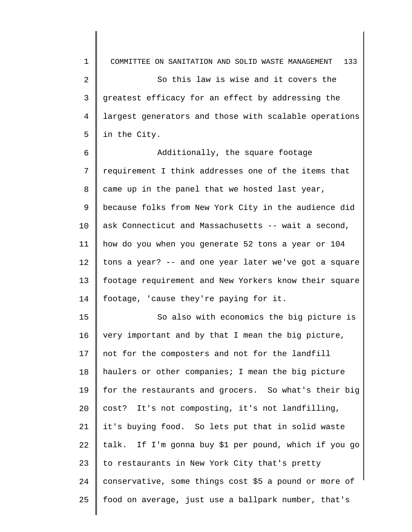1 2 3 4 5 COMMITTEE ON SANITATION AND SOLID WASTE MANAGEMENT 133 So this law is wise and it covers the greatest efficacy for an effect by addressing the largest generators and those with scalable operations in the City.

6 7 8 9 10 11 12 13 14 Additionally, the square footage requirement I think addresses one of the items that came up in the panel that we hosted last year, because folks from New York City in the audience did ask Connecticut and Massachusetts -- wait a second, how do you when you generate 52 tons a year or 104 tons a year? -- and one year later we've got a square footage requirement and New Yorkers know their square footage, 'cause they're paying for it.

15 16 17 18 19 20 21 22 23 24 25 So also with economics the big picture is very important and by that I mean the big picture, not for the composters and not for the landfill haulers or other companies; I mean the big picture for the restaurants and grocers. So what's their big cost? It's not composting, it's not landfilling, it's buying food. So lets put that in solid waste talk. If I'm gonna buy \$1 per pound, which if you go to restaurants in New York City that's pretty conservative, some things cost \$5 a pound or more of food on average, just use a ballpark number, that's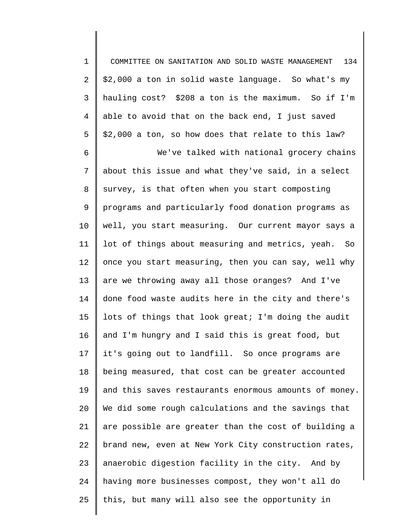1 2 3 4 5 6 7 8 9 10 11 12 13 14 15 16 17 18 19 20 21 22 23 24 25 COMMITTEE ON SANITATION AND SOLID WASTE MANAGEMENT 134 \$2,000 a ton in solid waste language. So what's my hauling cost? \$208 a ton is the maximum. So if I'm able to avoid that on the back end, I just saved \$2,000 a ton, so how does that relate to this law? We've talked with national grocery chains about this issue and what they've said, in a select survey, is that often when you start composting programs and particularly food donation programs as well, you start measuring. Our current mayor says a lot of things about measuring and metrics, yeah. So once you start measuring, then you can say, well why are we throwing away all those oranges? And I've done food waste audits here in the city and there's lots of things that look great; I'm doing the audit and I'm hungry and I said this is great food, but it's going out to landfill. So once programs are being measured, that cost can be greater accounted and this saves restaurants enormous amounts of money. We did some rough calculations and the savings that are possible are greater than the cost of building a brand new, even at New York City construction rates, anaerobic digestion facility in the city. And by having more businesses compost, they won't all do this, but many will also see the opportunity in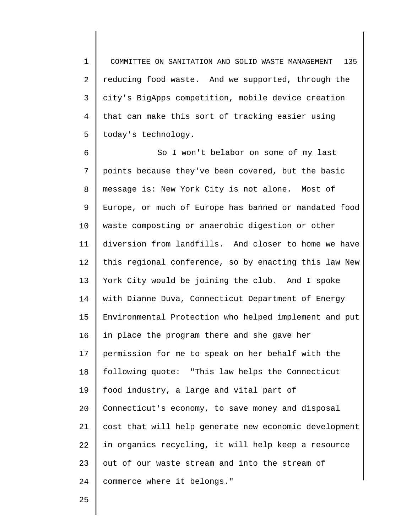1 2 3 4 5 COMMITTEE ON SANITATION AND SOLID WASTE MANAGEMENT 135 reducing food waste. And we supported, through the city's BigApps competition, mobile device creation that can make this sort of tracking easier using today's technology.

6 7 8 9 10 11 12 13 14 15 16 17 18 19 20 21 22 23 24 So I won't belabor on some of my last points because they've been covered, but the basic message is: New York City is not alone. Most of Europe, or much of Europe has banned or mandated food waste composting or anaerobic digestion or other diversion from landfills. And closer to home we have this regional conference, so by enacting this law New York City would be joining the club. And I spoke with Dianne Duva, Connecticut Department of Energy Environmental Protection who helped implement and put in place the program there and she gave her permission for me to speak on her behalf with the following quote: "This law helps the Connecticut food industry, a large and vital part of Connecticut's economy, to save money and disposal cost that will help generate new economic development in organics recycling, it will help keep a resource out of our waste stream and into the stream of commerce where it belongs."

25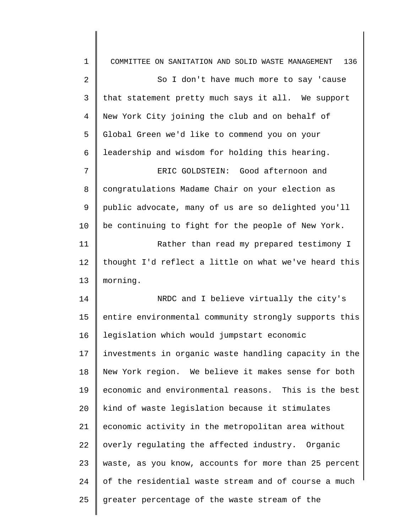| $\mathbf 1$     | 136<br>COMMITTEE ON SANITATION AND SOLID WASTE MANAGEMENT |
|-----------------|-----------------------------------------------------------|
| $\overline{2}$  | So I don't have much more to say 'cause                   |
| 3               | that statement pretty much says it all. We support        |
| $\overline{4}$  | New York City joining the club and on behalf of           |
| 5               | Global Green we'd like to commend you on your             |
| 6               | leadership and wisdom for holding this hearing.           |
| 7               | ERIC GOLDSTEIN: Good afternoon and                        |
| 8               | congratulations Madame Chair on your election as          |
| 9               | public advocate, many of us are so delighted you'll       |
| 10              | be continuing to fight for the people of New York.        |
| 11              | Rather than read my prepared testimony I                  |
| 12              | thought I'd reflect a little on what we've heard this     |
| 13              | morning.                                                  |
| 14              | NRDC and I believe virtually the city's                   |
| 15              | entire environmental community strongly supports this     |
| 16              | legislation which would jumpstart economic                |
| 17 <sub>2</sub> | investments in organic waste handling capacity in the     |
| 18              | New York region. We believe it makes sense for both       |
| 19              | economic and environmental reasons. This is the best      |
| 20              | kind of waste legislation because it stimulates           |
| 21              | economic activity in the metropolitan area without        |
| 22              | overly regulating the affected industry. Organic          |
| 23              | waste, as you know, accounts for more than 25 percent     |
| 24              | of the residential waste stream and of course a much      |
| 25              | greater percentage of the waste stream of the             |
|                 |                                                           |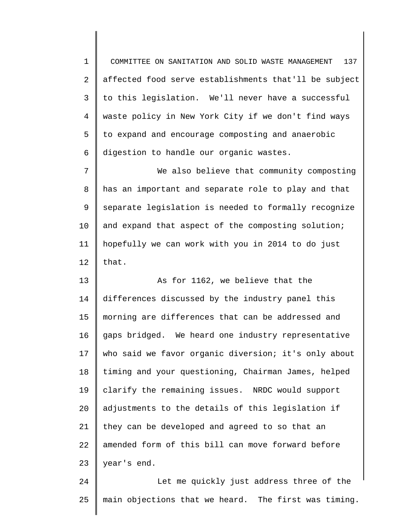1 2 3 4 5 6 COMMITTEE ON SANITATION AND SOLID WASTE MANAGEMENT 137 affected food serve establishments that'll be subject to this legislation. We'll never have a successful waste policy in New York City if we don't find ways to expand and encourage composting and anaerobic digestion to handle our organic wastes.

7 8 9 10 11 12 We also believe that community composting has an important and separate role to play and that separate legislation is needed to formally recognize and expand that aspect of the composting solution; hopefully we can work with you in 2014 to do just that.

13 14 15 16 17 18 19 20 21 22 23 As for 1162, we believe that the differences discussed by the industry panel this morning are differences that can be addressed and gaps bridged. We heard one industry representative who said we favor organic diversion; it's only about timing and your questioning, Chairman James, helped clarify the remaining issues. NRDC would support adjustments to the details of this legislation if they can be developed and agreed to so that an amended form of this bill can move forward before year's end.

24 25 Let me quickly just address three of the main objections that we heard. The first was timing.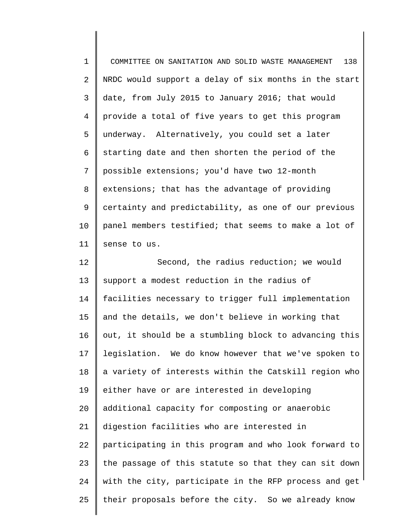| $\mathbf 1$    | 138<br>COMMITTEE ON SANITATION AND SOLID WASTE MANAGEMENT |
|----------------|-----------------------------------------------------------|
| 2              | NRDC would support a delay of six months in the start     |
| 3              | date, from July 2015 to January 2016; that would          |
| $\overline{4}$ | provide a total of five years to get this program         |
| 5              | underway. Alternatively, you could set a later            |
| 6              | starting date and then shorten the period of the          |
| 7              | possible extensions; you'd have two 12-month              |
| 8              | extensions; that has the advantage of providing           |
| 9              | certainty and predictability, as one of our previous      |
| 10             | panel members testified; that seems to make a lot of      |
| 11             | sense to us.                                              |
| 12             | Second, the radius reduction; we would                    |
| 13             | support a modest reduction in the radius of               |
| 14             | facilities necessary to trigger full implementation       |
| 15             | and the details, we don't believe in working that         |
| 16             | out, it should be a stumbling block to advancing this     |
| 17             | legislation. We do know however that we've spoken to      |
| 18             | a variety of interests within the Catskill region who     |
| 19             | either have or are interested in developing               |
| 20             | additional capacity for composting or anaerobic           |
| 21             | digestion facilities who are interested in                |
| 22             | participating in this program and who look forward to     |
| 23             | the passage of this statute so that they can sit down     |
| 24             | with the city, participate in the RFP process and get     |
| 25             | their proposals before the city. So we already know       |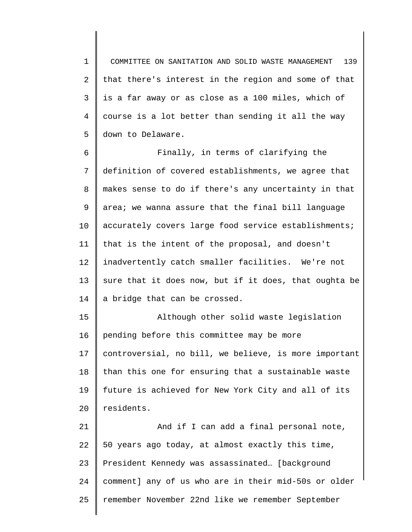1 2 3 4 5 COMMITTEE ON SANITATION AND SOLID WASTE MANAGEMENT 139 that there's interest in the region and some of that is a far away or as close as a 100 miles, which of course is a lot better than sending it all the way down to Delaware.

6 7 8 9 10 11 12 13 14 Finally, in terms of clarifying the definition of covered establishments, we agree that makes sense to do if there's any uncertainty in that area; we wanna assure that the final bill language accurately covers large food service establishments; that is the intent of the proposal, and doesn't inadvertently catch smaller facilities. We're not sure that it does now, but if it does, that oughta be a bridge that can be crossed.

15 16 17 18 19  $20^{\circ}$ Although other solid waste legislation pending before this committee may be more controversial, no bill, we believe, is more important than this one for ensuring that a sustainable waste future is achieved for New York City and all of its residents.

21 22 23 24 25 And if I can add a final personal note, 50 years ago today, at almost exactly this time, President Kennedy was assassinated… [background comment] any of us who are in their mid-50s or older remember November 22nd like we remember September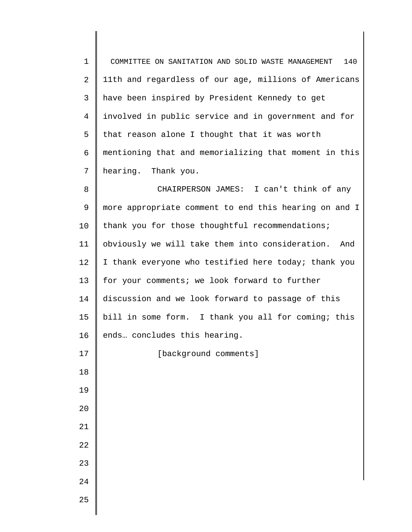1 2 3 4 5 6 7 8 COMMITTEE ON SANITATION AND SOLID WASTE MANAGEMENT 140 11th and regardless of our age, millions of Americans have been inspired by President Kennedy to get involved in public service and in government and for that reason alone I thought that it was worth mentioning that and memorializing that moment in this hearing. Thank you. CHAIRPERSON JAMES: I can't think of any

9 10 11 12 13 14 15 16 more appropriate comment to end this hearing on and I thank you for those thoughtful recommendations; obviously we will take them into consideration. And I thank everyone who testified here today; thank you for your comments; we look forward to further discussion and we look forward to passage of this bill in some form. I thank you all for coming; this ends… concludes this hearing.

[background comments]

25